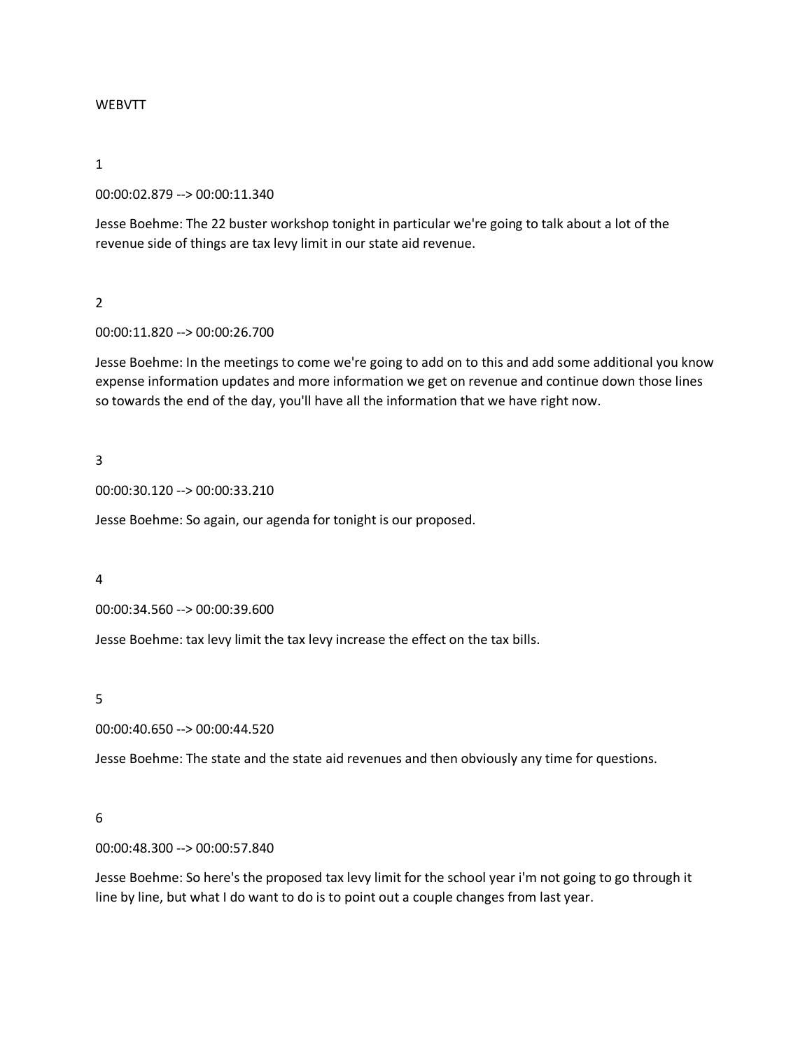#### WEBVTT

#### 1

## 00:00:02.879 --> 00:00:11.340

Jesse Boehme: The 22 buster workshop tonight in particular we're going to talk about a lot of the revenue side of things are tax levy limit in our state aid revenue.

#### 2

00:00:11.820 --> 00:00:26.700

Jesse Boehme: In the meetings to come we're going to add on to this and add some additional you know expense information updates and more information we get on revenue and continue down those lines so towards the end of the day, you'll have all the information that we have right now.

#### 3

00:00:30.120 --> 00:00:33.210

Jesse Boehme: So again, our agenda for tonight is our proposed.

#### 4

00:00:34.560 --> 00:00:39.600

Jesse Boehme: tax levy limit the tax levy increase the effect on the tax bills.

## 5

00:00:40.650 --> 00:00:44.520

Jesse Boehme: The state and the state aid revenues and then obviously any time for questions.

## 6

00:00:48.300 --> 00:00:57.840

Jesse Boehme: So here's the proposed tax levy limit for the school year i'm not going to go through it line by line, but what I do want to do is to point out a couple changes from last year.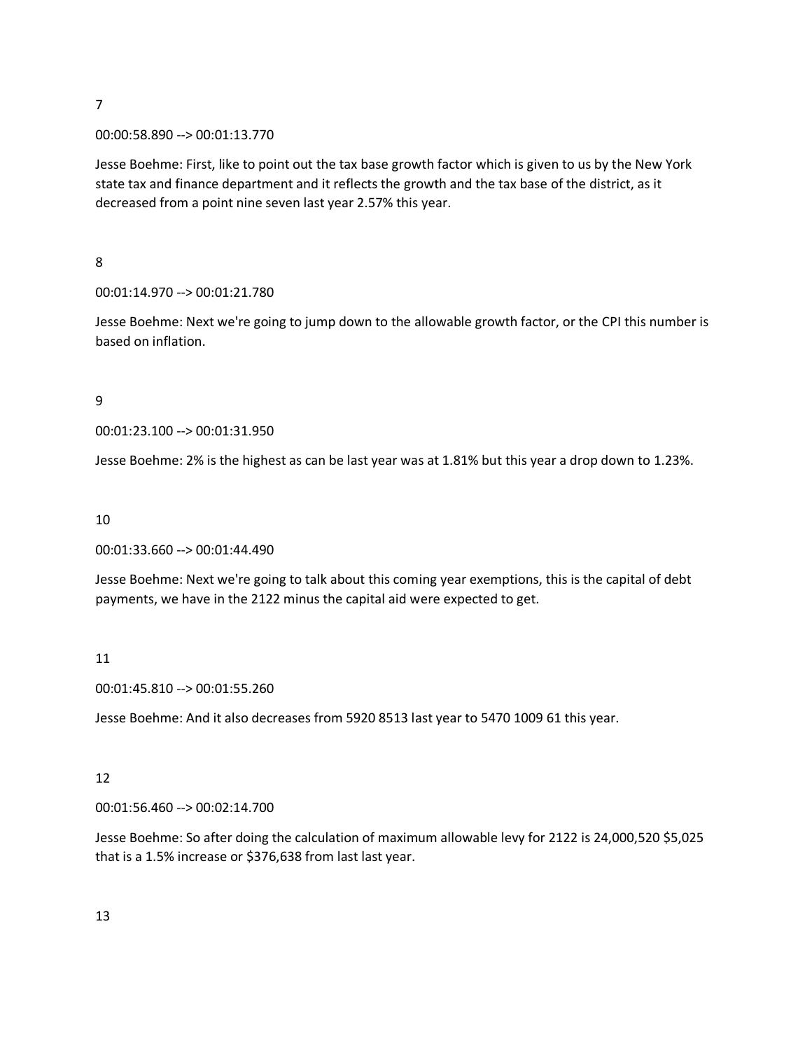#### 00:00:58.890 --> 00:01:13.770

Jesse Boehme: First, like to point out the tax base growth factor which is given to us by the New York state tax and finance department and it reflects the growth and the tax base of the district, as it decreased from a point nine seven last year 2.57% this year.

8

00:01:14.970 --> 00:01:21.780

Jesse Boehme: Next we're going to jump down to the allowable growth factor, or the CPI this number is based on inflation.

9

00:01:23.100 --> 00:01:31.950

Jesse Boehme: 2% is the highest as can be last year was at 1.81% but this year a drop down to 1.23%.

10

00:01:33.660 --> 00:01:44.490

Jesse Boehme: Next we're going to talk about this coming year exemptions, this is the capital of debt payments, we have in the 2122 minus the capital aid were expected to get.

#### 11

00:01:45.810 --> 00:01:55.260

Jesse Boehme: And it also decreases from 5920 8513 last year to 5470 1009 61 this year.

#### 12

00:01:56.460 --> 00:02:14.700

Jesse Boehme: So after doing the calculation of maximum allowable levy for 2122 is 24,000,520 \$5,025 that is a 1.5% increase or \$376,638 from last last year.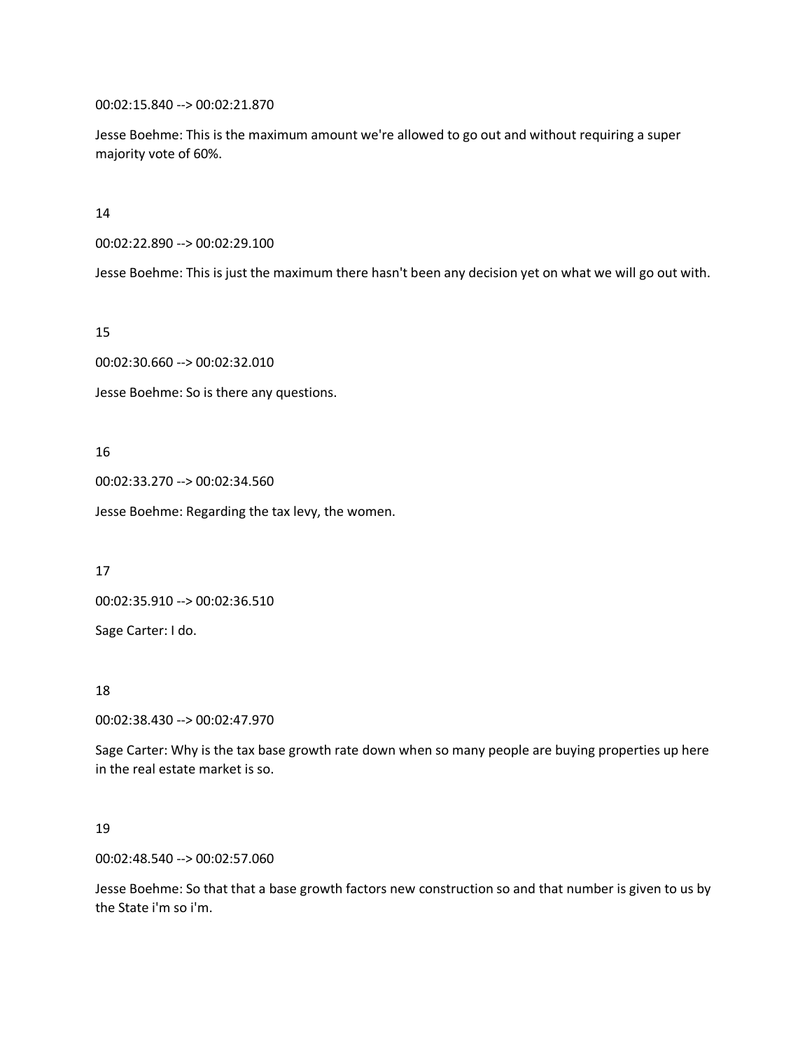00:02:15.840 --> 00:02:21.870

Jesse Boehme: This is the maximum amount we're allowed to go out and without requiring a super majority vote of 60%.

14

00:02:22.890 --> 00:02:29.100

Jesse Boehme: This is just the maximum there hasn't been any decision yet on what we will go out with.

15

00:02:30.660 --> 00:02:32.010

Jesse Boehme: So is there any questions.

16

00:02:33.270 --> 00:02:34.560

Jesse Boehme: Regarding the tax levy, the women.

17

00:02:35.910 --> 00:02:36.510

Sage Carter: I do.

18

00:02:38.430 --> 00:02:47.970

Sage Carter: Why is the tax base growth rate down when so many people are buying properties up here in the real estate market is so.

19

00:02:48.540 --> 00:02:57.060

Jesse Boehme: So that that a base growth factors new construction so and that number is given to us by the State i'm so i'm.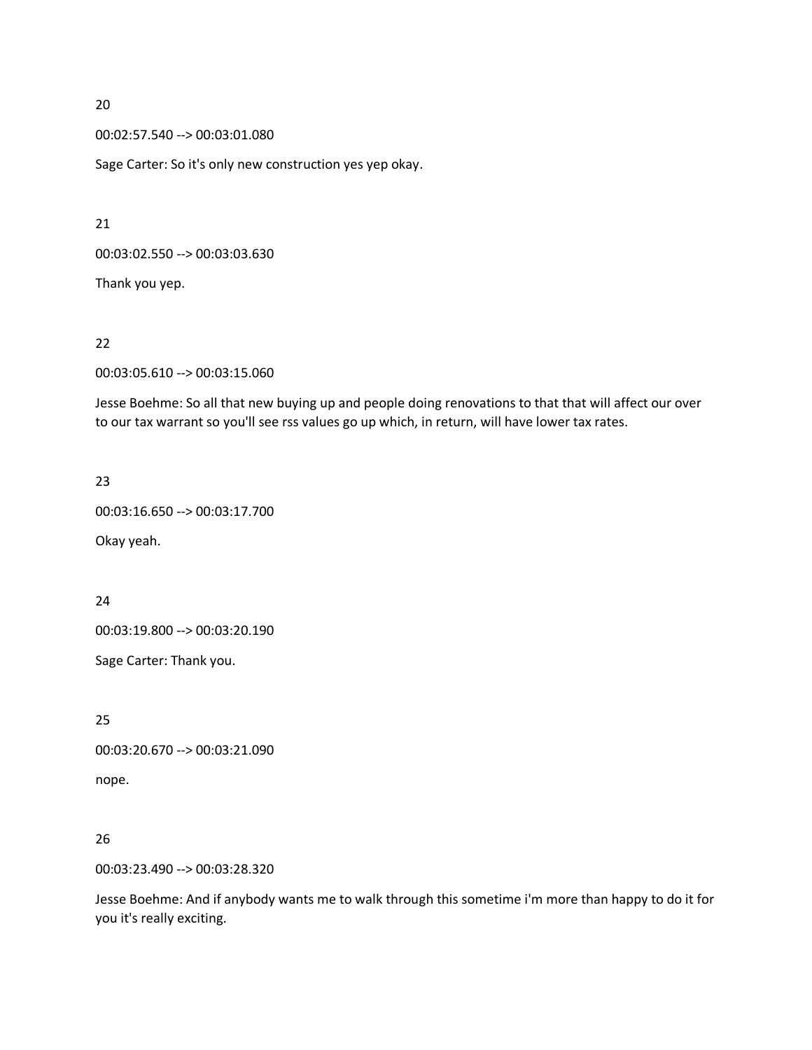00:02:57.540 --> 00:03:01.080

Sage Carter: So it's only new construction yes yep okay.

21

00:03:02.550 --> 00:03:03.630

Thank you yep.

22

00:03:05.610 --> 00:03:15.060

Jesse Boehme: So all that new buying up and people doing renovations to that that will affect our over to our tax warrant so you'll see rss values go up which, in return, will have lower tax rates.

# 23

00:03:16.650 --> 00:03:17.700 Okay yeah.

## 24

00:03:19.800 --> 00:03:20.190

Sage Carter: Thank you.

25

00:03:20.670 --> 00:03:21.090 nope.

# 26

00:03:23.490 --> 00:03:28.320

Jesse Boehme: And if anybody wants me to walk through this sometime i'm more than happy to do it for you it's really exciting.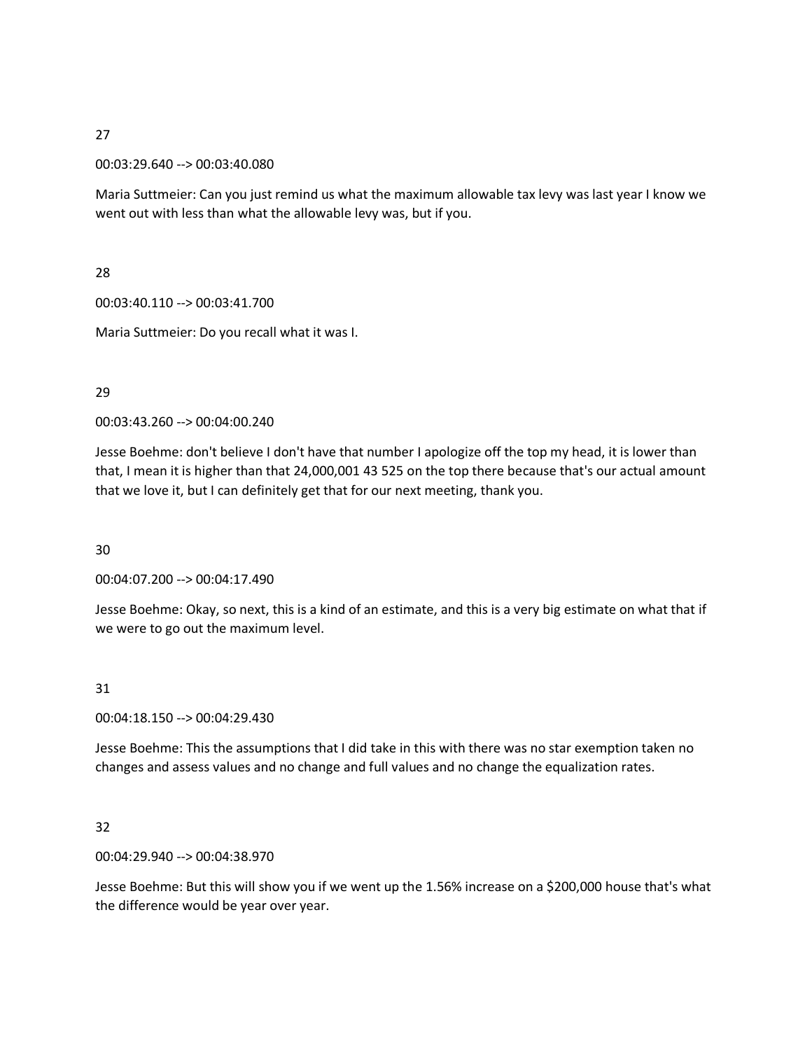00:03:29.640 --> 00:03:40.080

Maria Suttmeier: Can you just remind us what the maximum allowable tax levy was last year I know we went out with less than what the allowable levy was, but if you.

28

00:03:40.110 --> 00:03:41.700

Maria Suttmeier: Do you recall what it was I.

# 29

00:03:43.260 --> 00:04:00.240

Jesse Boehme: don't believe I don't have that number I apologize off the top my head, it is lower than that, I mean it is higher than that 24,000,001 43 525 on the top there because that's our actual amount that we love it, but I can definitely get that for our next meeting, thank you.

30

00:04:07.200 --> 00:04:17.490

Jesse Boehme: Okay, so next, this is a kind of an estimate, and this is a very big estimate on what that if we were to go out the maximum level.

# 31

00:04:18.150 --> 00:04:29.430

Jesse Boehme: This the assumptions that I did take in this with there was no star exemption taken no changes and assess values and no change and full values and no change the equalization rates.

# 32

00:04:29.940 --> 00:04:38.970

Jesse Boehme: But this will show you if we went up the 1.56% increase on a \$200,000 house that's what the difference would be year over year.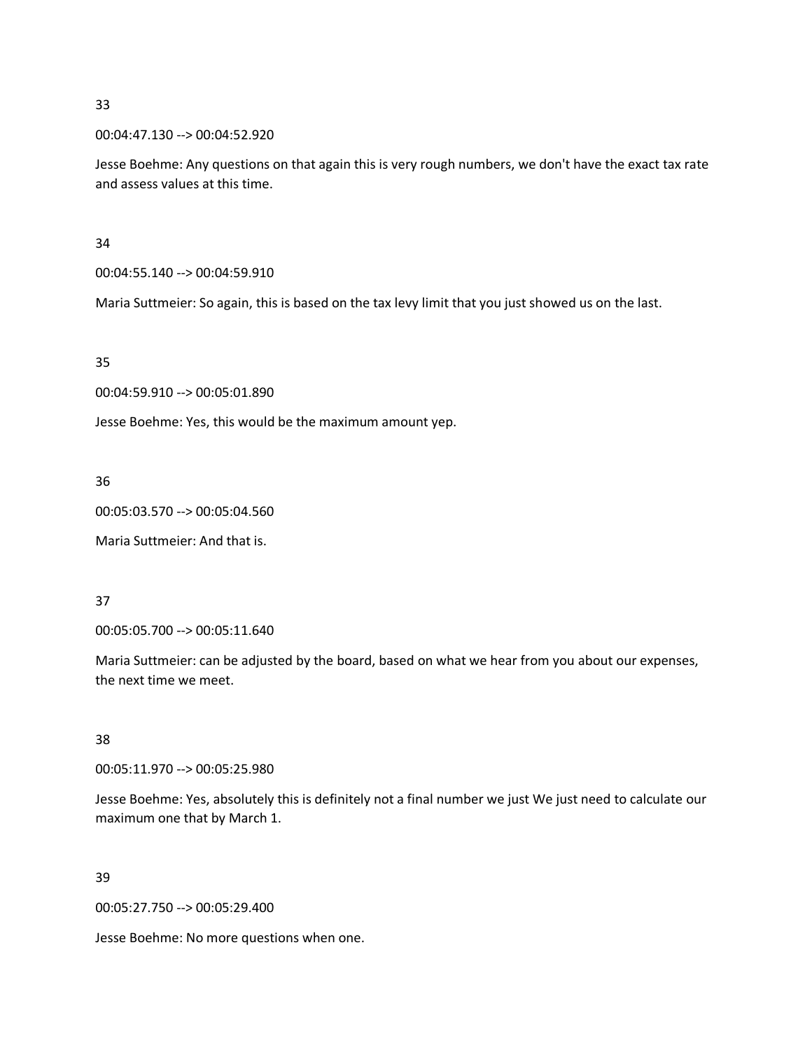00:04:47.130 --> 00:04:52.920

Jesse Boehme: Any questions on that again this is very rough numbers, we don't have the exact tax rate and assess values at this time.

34

00:04:55.140 --> 00:04:59.910

Maria Suttmeier: So again, this is based on the tax levy limit that you just showed us on the last.

35

00:04:59.910 --> 00:05:01.890

Jesse Boehme: Yes, this would be the maximum amount yep.

36

00:05:03.570 --> 00:05:04.560

Maria Suttmeier: And that is.

37

00:05:05.700 --> 00:05:11.640

Maria Suttmeier: can be adjusted by the board, based on what we hear from you about our expenses, the next time we meet.

38

00:05:11.970 --> 00:05:25.980

Jesse Boehme: Yes, absolutely this is definitely not a final number we just We just need to calculate our maximum one that by March 1.

39

00:05:27.750 --> 00:05:29.400

Jesse Boehme: No more questions when one.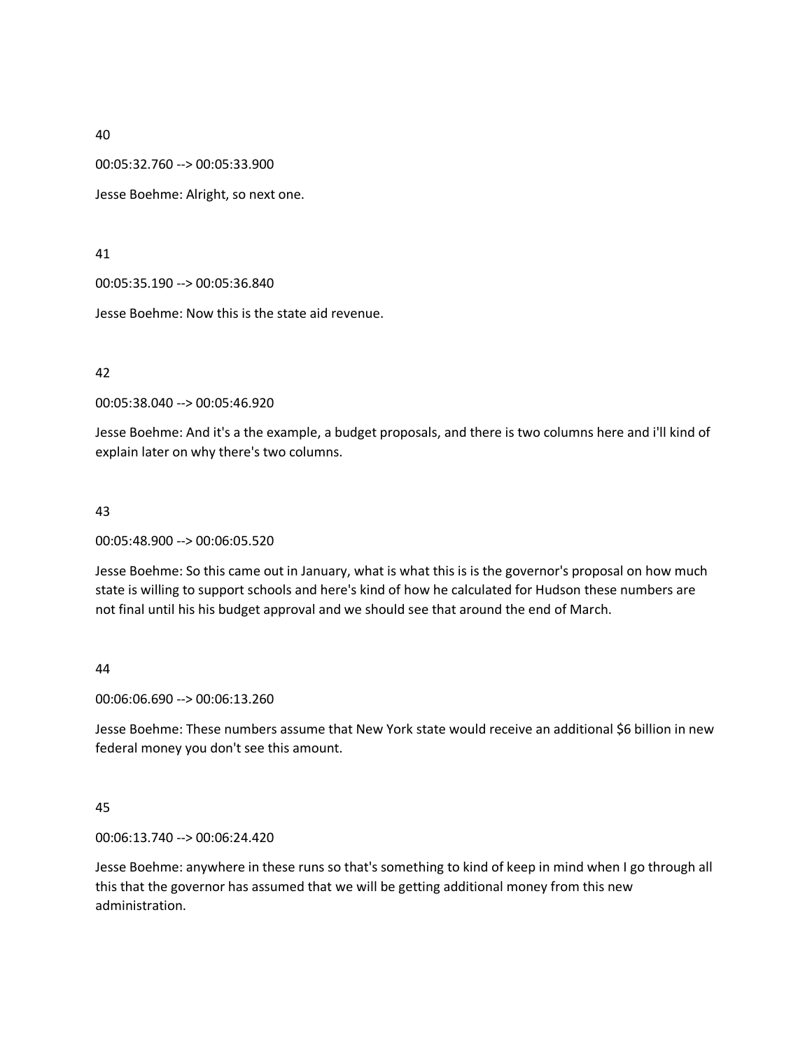00:05:32.760 --> 00:05:33.900

Jesse Boehme: Alright, so next one.

41

00:05:35.190 --> 00:05:36.840

Jesse Boehme: Now this is the state aid revenue.

42

00:05:38.040 --> 00:05:46.920

Jesse Boehme: And it's a the example, a budget proposals, and there is two columns here and i'll kind of explain later on why there's two columns.

## 43

00:05:48.900 --> 00:06:05.520

Jesse Boehme: So this came out in January, what is what this is is the governor's proposal on how much state is willing to support schools and here's kind of how he calculated for Hudson these numbers are not final until his his budget approval and we should see that around the end of March.

## 44

00:06:06.690 --> 00:06:13.260

Jesse Boehme: These numbers assume that New York state would receive an additional \$6 billion in new federal money you don't see this amount.

## 45

00:06:13.740 --> 00:06:24.420

Jesse Boehme: anywhere in these runs so that's something to kind of keep in mind when I go through all this that the governor has assumed that we will be getting additional money from this new administration.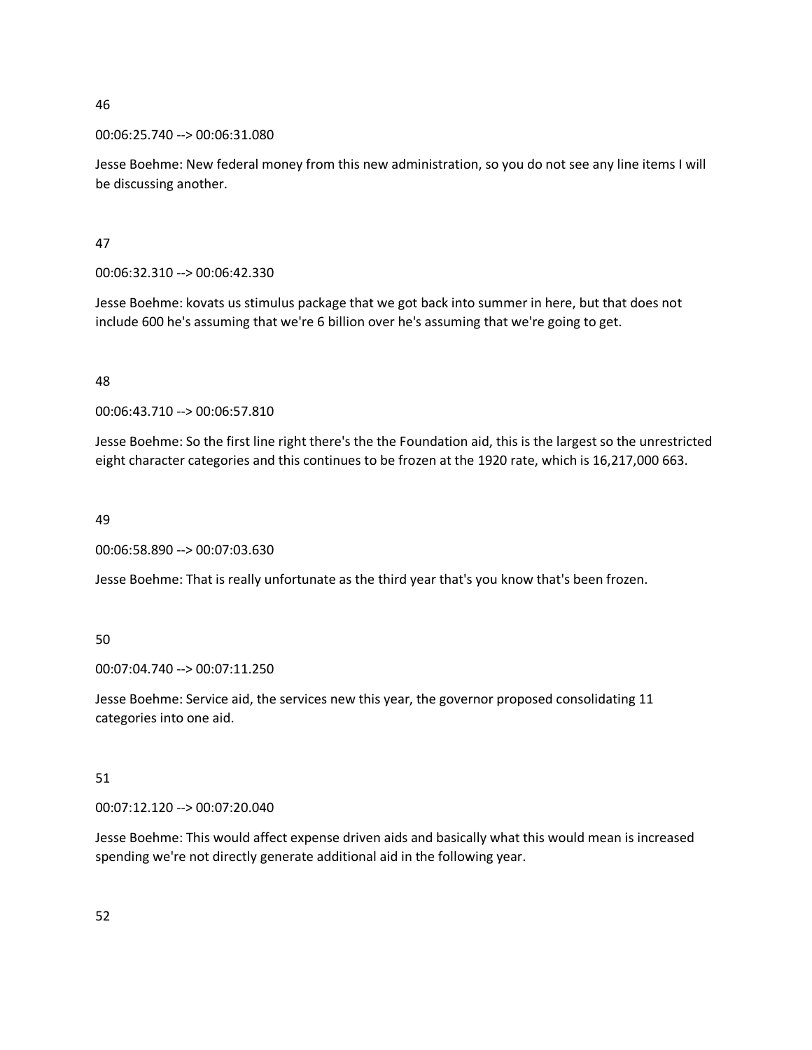## 00:06:25.740 --> 00:06:31.080

Jesse Boehme: New federal money from this new administration, so you do not see any line items I will be discussing another.

47

00:06:32.310 --> 00:06:42.330

Jesse Boehme: kovats us stimulus package that we got back into summer in here, but that does not include 600 he's assuming that we're 6 billion over he's assuming that we're going to get.

## 48

00:06:43.710 --> 00:06:57.810

Jesse Boehme: So the first line right there's the the Foundation aid, this is the largest so the unrestricted eight character categories and this continues to be frozen at the 1920 rate, which is 16,217,000 663.

# 49

00:06:58.890 --> 00:07:03.630

Jesse Boehme: That is really unfortunate as the third year that's you know that's been frozen.

## 50

00:07:04.740 --> 00:07:11.250

Jesse Boehme: Service aid, the services new this year, the governor proposed consolidating 11 categories into one aid.

## 51

00:07:12.120 --> 00:07:20.040

Jesse Boehme: This would affect expense driven aids and basically what this would mean is increased spending we're not directly generate additional aid in the following year.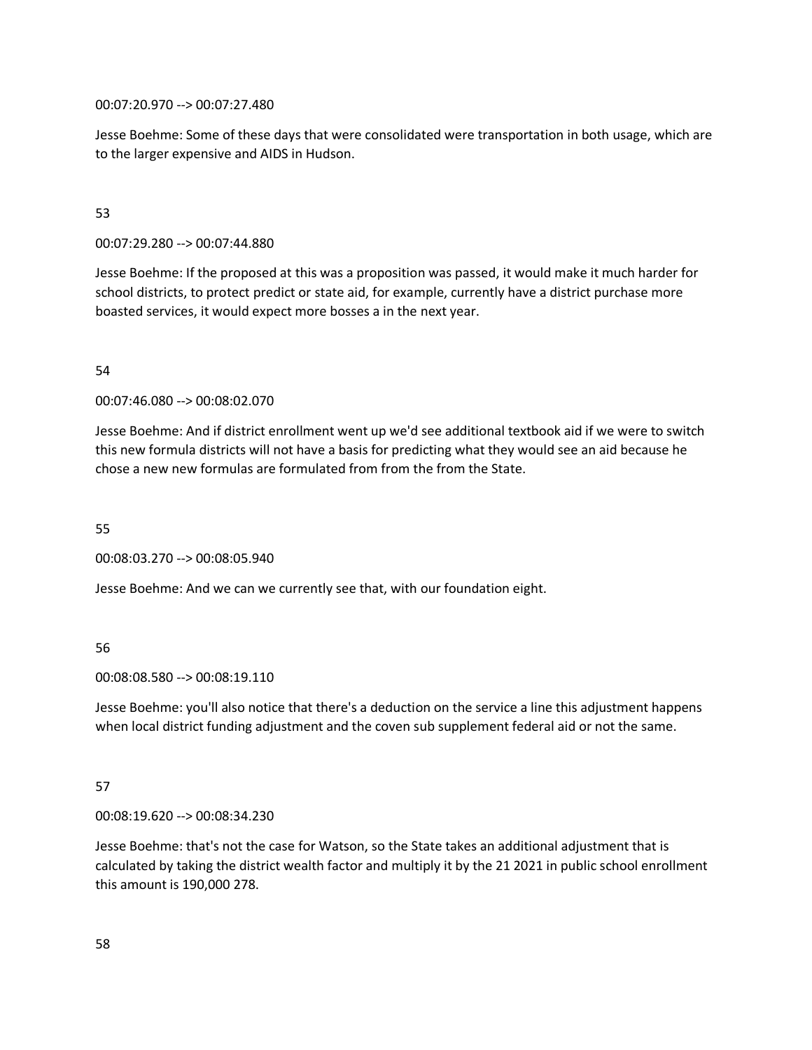00:07:20.970 --> 00:07:27.480

Jesse Boehme: Some of these days that were consolidated were transportation in both usage, which are to the larger expensive and AIDS in Hudson.

# 53

00:07:29.280 --> 00:07:44.880

Jesse Boehme: If the proposed at this was a proposition was passed, it would make it much harder for school districts, to protect predict or state aid, for example, currently have a district purchase more boasted services, it would expect more bosses a in the next year.

# 54

00:07:46.080 --> 00:08:02.070

Jesse Boehme: And if district enrollment went up we'd see additional textbook aid if we were to switch this new formula districts will not have a basis for predicting what they would see an aid because he chose a new new formulas are formulated from from the from the State.

55

00:08:03.270 --> 00:08:05.940

Jesse Boehme: And we can we currently see that, with our foundation eight.

## 56

00:08:08.580 --> 00:08:19.110

Jesse Boehme: you'll also notice that there's a deduction on the service a line this adjustment happens when local district funding adjustment and the coven sub supplement federal aid or not the same.

# 57

00:08:19.620 --> 00:08:34.230

Jesse Boehme: that's not the case for Watson, so the State takes an additional adjustment that is calculated by taking the district wealth factor and multiply it by the 21 2021 in public school enrollment this amount is 190,000 278.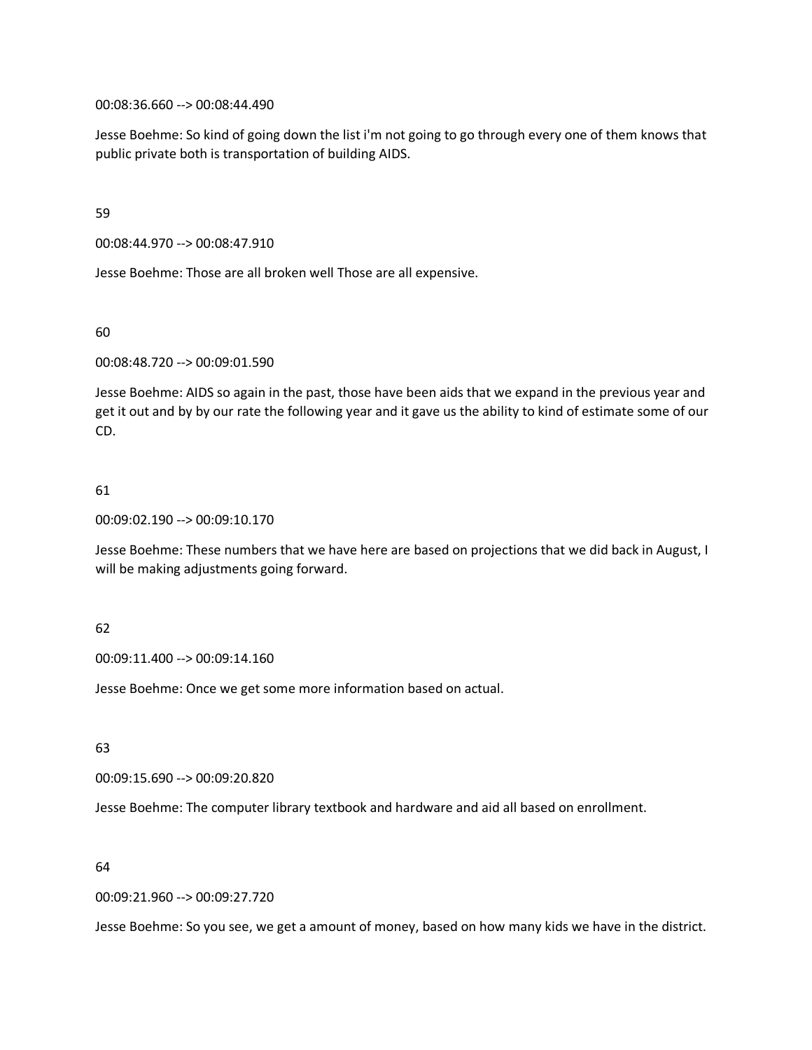00:08:36.660 --> 00:08:44.490

Jesse Boehme: So kind of going down the list i'm not going to go through every one of them knows that public private both is transportation of building AIDS.

59

00:08:44.970 --> 00:08:47.910

Jesse Boehme: Those are all broken well Those are all expensive.

60

00:08:48.720 --> 00:09:01.590

Jesse Boehme: AIDS so again in the past, those have been aids that we expand in the previous year and get it out and by by our rate the following year and it gave us the ability to kind of estimate some of our CD.

## 61

00:09:02.190 --> 00:09:10.170

Jesse Boehme: These numbers that we have here are based on projections that we did back in August, I will be making adjustments going forward.

## 62

00:09:11.400 --> 00:09:14.160

Jesse Boehme: Once we get some more information based on actual.

63

00:09:15.690 --> 00:09:20.820

Jesse Boehme: The computer library textbook and hardware and aid all based on enrollment.

#### 64

00:09:21.960 --> 00:09:27.720

Jesse Boehme: So you see, we get a amount of money, based on how many kids we have in the district.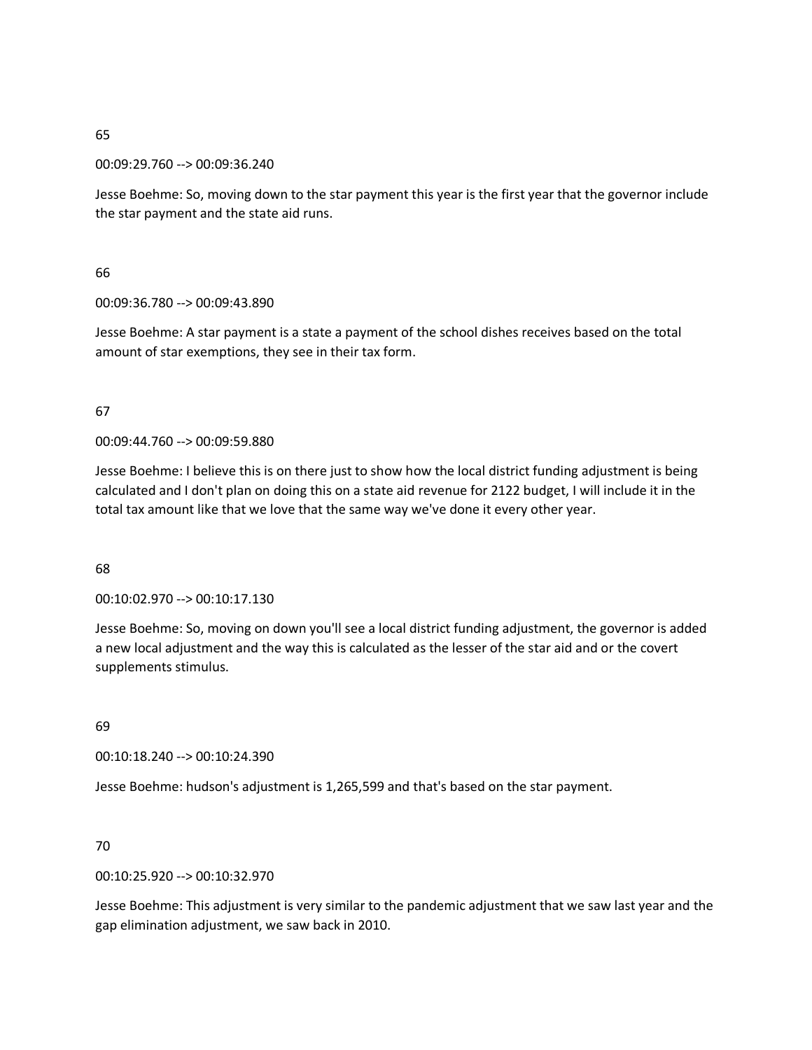00:09:29.760 --> 00:09:36.240

Jesse Boehme: So, moving down to the star payment this year is the first year that the governor include the star payment and the state aid runs.

66

00:09:36.780 --> 00:09:43.890

Jesse Boehme: A star payment is a state a payment of the school dishes receives based on the total amount of star exemptions, they see in their tax form.

## 67

00:09:44.760 --> 00:09:59.880

Jesse Boehme: I believe this is on there just to show how the local district funding adjustment is being calculated and I don't plan on doing this on a state aid revenue for 2122 budget, I will include it in the total tax amount like that we love that the same way we've done it every other year.

## 68

00:10:02.970 --> 00:10:17.130

Jesse Boehme: So, moving on down you'll see a local district funding adjustment, the governor is added a new local adjustment and the way this is calculated as the lesser of the star aid and or the covert supplements stimulus.

69

00:10:18.240 --> 00:10:24.390

Jesse Boehme: hudson's adjustment is 1,265,599 and that's based on the star payment.

## 70

00:10:25.920 --> 00:10:32.970

Jesse Boehme: This adjustment is very similar to the pandemic adjustment that we saw last year and the gap elimination adjustment, we saw back in 2010.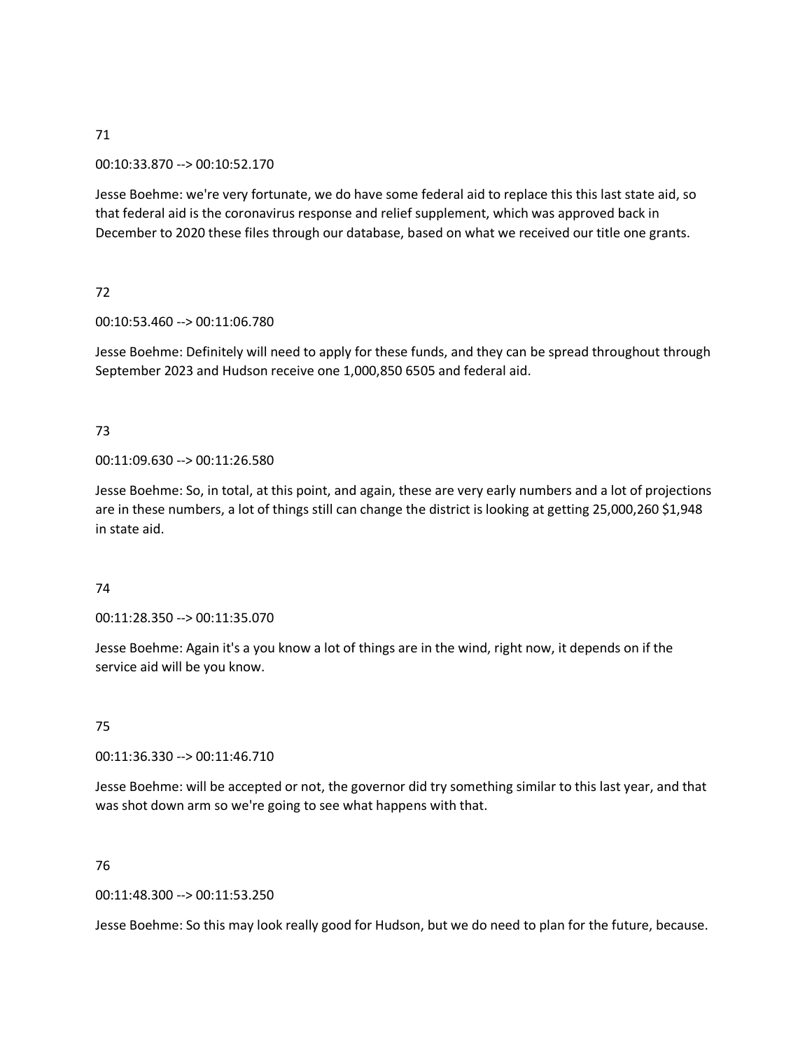# 00:10:33.870 --> 00:10:52.170

Jesse Boehme: we're very fortunate, we do have some federal aid to replace this this last state aid, so that federal aid is the coronavirus response and relief supplement, which was approved back in December to 2020 these files through our database, based on what we received our title one grants.

# 72

## 00:10:53.460 --> 00:11:06.780

Jesse Boehme: Definitely will need to apply for these funds, and they can be spread throughout through September 2023 and Hudson receive one 1,000,850 6505 and federal aid.

# 73

# 00:11:09.630 --> 00:11:26.580

Jesse Boehme: So, in total, at this point, and again, these are very early numbers and a lot of projections are in these numbers, a lot of things still can change the district is looking at getting 25,000,260 \$1,948 in state aid.

## 74

00:11:28.350 --> 00:11:35.070

Jesse Boehme: Again it's a you know a lot of things are in the wind, right now, it depends on if the service aid will be you know.

# 75

00:11:36.330 --> 00:11:46.710

Jesse Boehme: will be accepted or not, the governor did try something similar to this last year, and that was shot down arm so we're going to see what happens with that.

## 76

# 00:11:48.300 --> 00:11:53.250

Jesse Boehme: So this may look really good for Hudson, but we do need to plan for the future, because.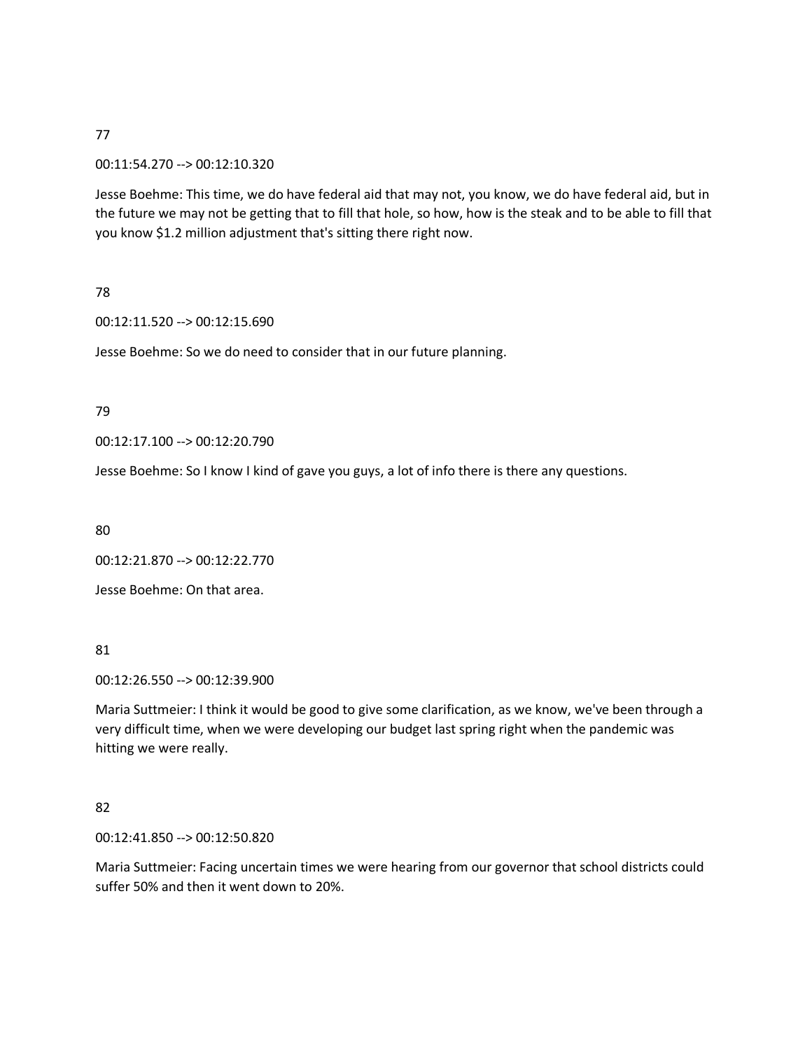#### 00:11:54.270 --> 00:12:10.320

Jesse Boehme: This time, we do have federal aid that may not, you know, we do have federal aid, but in the future we may not be getting that to fill that hole, so how, how is the steak and to be able to fill that you know \$1.2 million adjustment that's sitting there right now.

78

00:12:11.520 --> 00:12:15.690

Jesse Boehme: So we do need to consider that in our future planning.

79

00:12:17.100 --> 00:12:20.790

Jesse Boehme: So I know I kind of gave you guys, a lot of info there is there any questions.

80

00:12:21.870 --> 00:12:22.770

Jesse Boehme: On that area.

81

00:12:26.550 --> 00:12:39.900

Maria Suttmeier: I think it would be good to give some clarification, as we know, we've been through a very difficult time, when we were developing our budget last spring right when the pandemic was hitting we were really.

82

00:12:41.850 --> 00:12:50.820

Maria Suttmeier: Facing uncertain times we were hearing from our governor that school districts could suffer 50% and then it went down to 20%.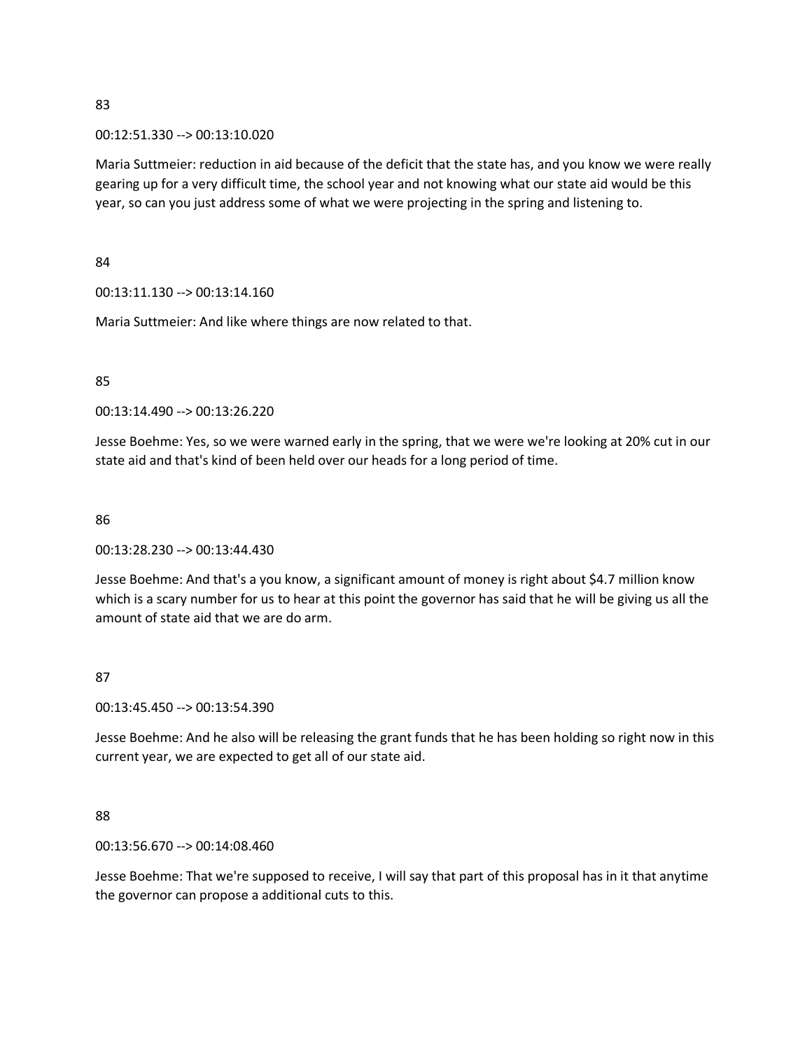#### 00:12:51.330 --> 00:13:10.020

Maria Suttmeier: reduction in aid because of the deficit that the state has, and you know we were really gearing up for a very difficult time, the school year and not knowing what our state aid would be this year, so can you just address some of what we were projecting in the spring and listening to.

84

00:13:11.130 --> 00:13:14.160

Maria Suttmeier: And like where things are now related to that.

#### 85

00:13:14.490 --> 00:13:26.220

Jesse Boehme: Yes, so we were warned early in the spring, that we were we're looking at 20% cut in our state aid and that's kind of been held over our heads for a long period of time.

#### 86

00:13:28.230 --> 00:13:44.430

Jesse Boehme: And that's a you know, a significant amount of money is right about \$4.7 million know which is a scary number for us to hear at this point the governor has said that he will be giving us all the amount of state aid that we are do arm.

## 87

00:13:45.450 --> 00:13:54.390

Jesse Boehme: And he also will be releasing the grant funds that he has been holding so right now in this current year, we are expected to get all of our state aid.

# 88

00:13:56.670 --> 00:14:08.460

Jesse Boehme: That we're supposed to receive, I will say that part of this proposal has in it that anytime the governor can propose a additional cuts to this.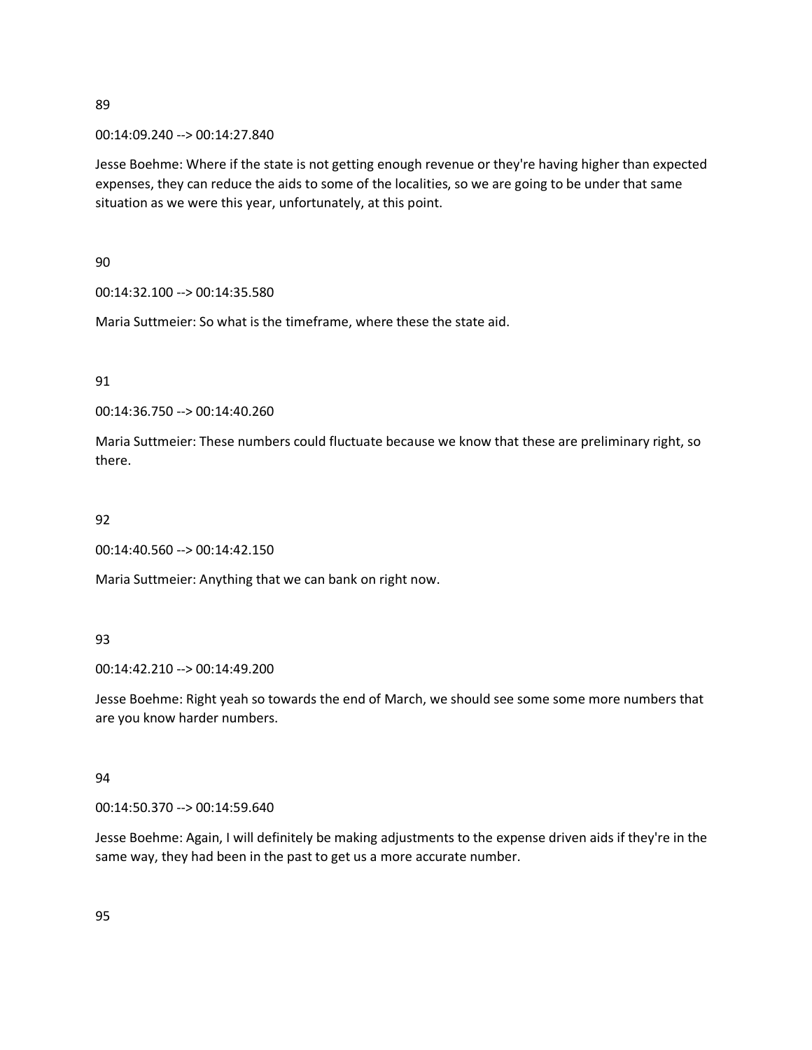00:14:09.240 --> 00:14:27.840

Jesse Boehme: Where if the state is not getting enough revenue or they're having higher than expected expenses, they can reduce the aids to some of the localities, so we are going to be under that same situation as we were this year, unfortunately, at this point.

90

00:14:32.100 --> 00:14:35.580

Maria Suttmeier: So what is the timeframe, where these the state aid.

91

00:14:36.750 --> 00:14:40.260

Maria Suttmeier: These numbers could fluctuate because we know that these are preliminary right, so there.

## 92

00:14:40.560 --> 00:14:42.150

Maria Suttmeier: Anything that we can bank on right now.

## 93

00:14:42.210 --> 00:14:49.200

Jesse Boehme: Right yeah so towards the end of March, we should see some some more numbers that are you know harder numbers.

## 94

00:14:50.370 --> 00:14:59.640

Jesse Boehme: Again, I will definitely be making adjustments to the expense driven aids if they're in the same way, they had been in the past to get us a more accurate number.

95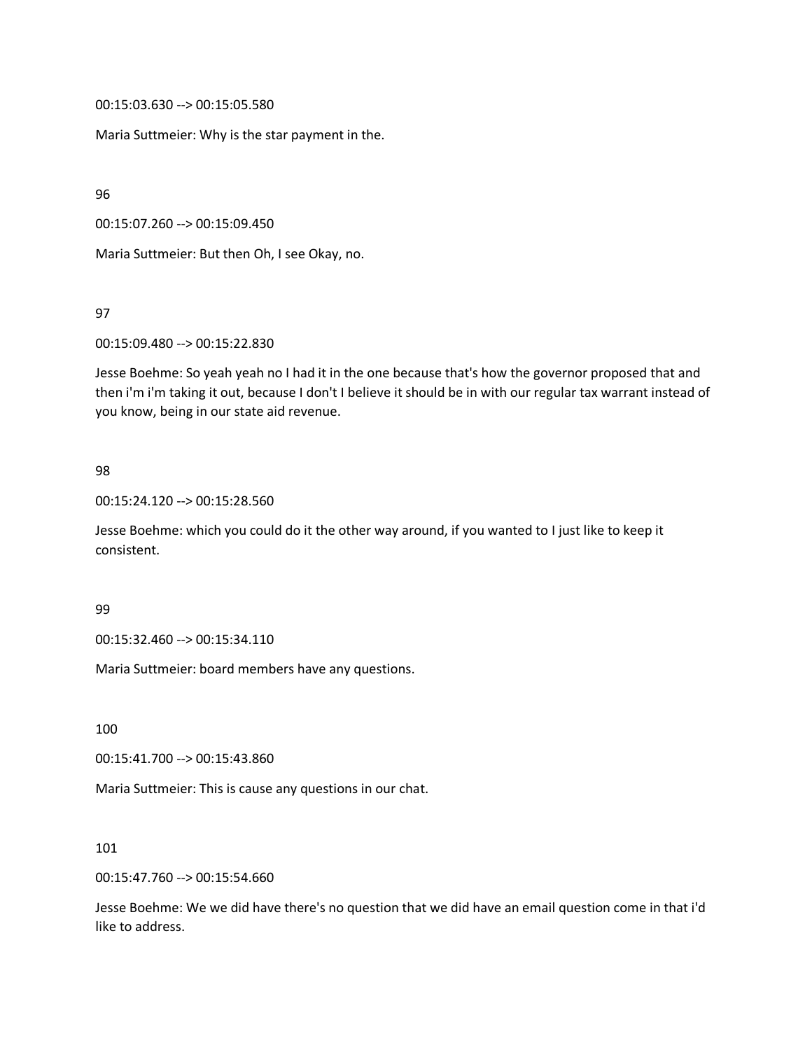00:15:03.630 --> 00:15:05.580

Maria Suttmeier: Why is the star payment in the.

96

00:15:07.260 --> 00:15:09.450

Maria Suttmeier: But then Oh, I see Okay, no.

97

00:15:09.480 --> 00:15:22.830

Jesse Boehme: So yeah yeah no I had it in the one because that's how the governor proposed that and then i'm i'm taking it out, because I don't I believe it should be in with our regular tax warrant instead of you know, being in our state aid revenue.

#### 98

00:15:24.120 --> 00:15:28.560

Jesse Boehme: which you could do it the other way around, if you wanted to I just like to keep it consistent.

#### 99

00:15:32.460 --> 00:15:34.110

Maria Suttmeier: board members have any questions.

100

00:15:41.700 --> 00:15:43.860

Maria Suttmeier: This is cause any questions in our chat.

101

00:15:47.760 --> 00:15:54.660

Jesse Boehme: We we did have there's no question that we did have an email question come in that i'd like to address.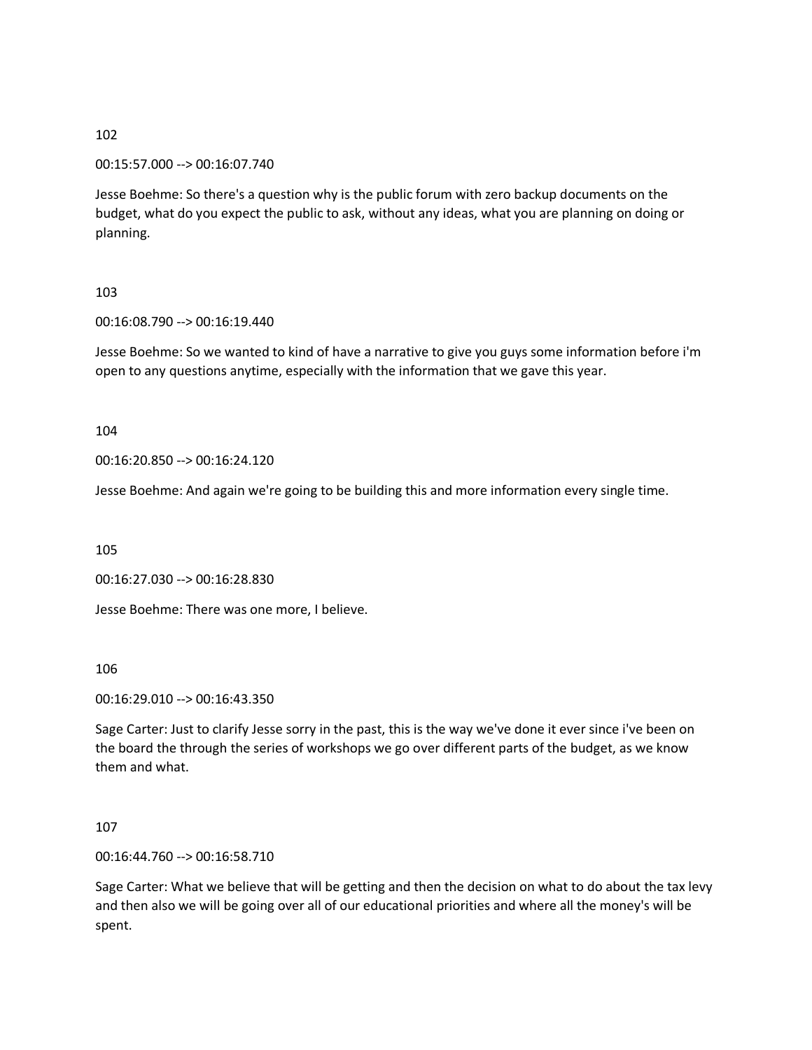00:15:57.000 --> 00:16:07.740

Jesse Boehme: So there's a question why is the public forum with zero backup documents on the budget, what do you expect the public to ask, without any ideas, what you are planning on doing or planning.

# 103

00:16:08.790 --> 00:16:19.440

Jesse Boehme: So we wanted to kind of have a narrative to give you guys some information before i'm open to any questions anytime, especially with the information that we gave this year.

104

00:16:20.850 --> 00:16:24.120

Jesse Boehme: And again we're going to be building this and more information every single time.

105

00:16:27.030 --> 00:16:28.830

Jesse Boehme: There was one more, I believe.

106

00:16:29.010 --> 00:16:43.350

Sage Carter: Just to clarify Jesse sorry in the past, this is the way we've done it ever since i've been on the board the through the series of workshops we go over different parts of the budget, as we know them and what.

107

00:16:44.760 --> 00:16:58.710

Sage Carter: What we believe that will be getting and then the decision on what to do about the tax levy and then also we will be going over all of our educational priorities and where all the money's will be spent.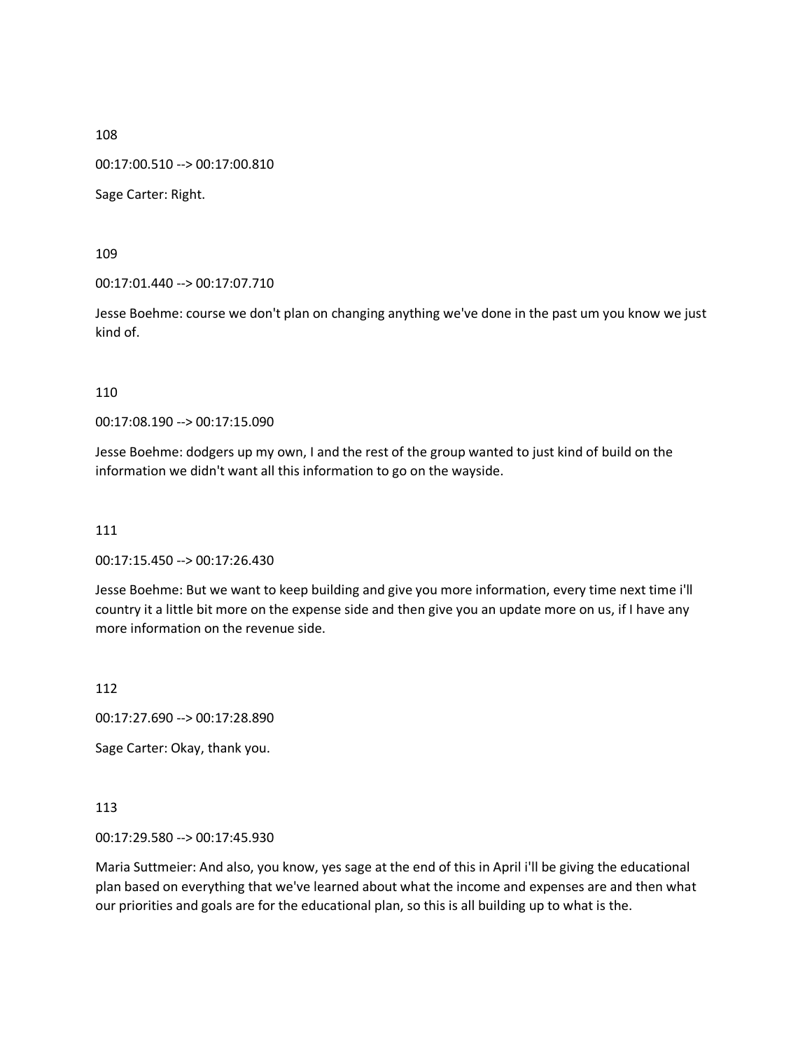00:17:00.510 --> 00:17:00.810

Sage Carter: Right.

109

00:17:01.440 --> 00:17:07.710

Jesse Boehme: course we don't plan on changing anything we've done in the past um you know we just kind of.

110

00:17:08.190 --> 00:17:15.090

Jesse Boehme: dodgers up my own, I and the rest of the group wanted to just kind of build on the information we didn't want all this information to go on the wayside.

111

00:17:15.450 --> 00:17:26.430

Jesse Boehme: But we want to keep building and give you more information, every time next time i'll country it a little bit more on the expense side and then give you an update more on us, if I have any more information on the revenue side.

112

00:17:27.690 --> 00:17:28.890

Sage Carter: Okay, thank you.

113

00:17:29.580 --> 00:17:45.930

Maria Suttmeier: And also, you know, yes sage at the end of this in April i'll be giving the educational plan based on everything that we've learned about what the income and expenses are and then what our priorities and goals are for the educational plan, so this is all building up to what is the.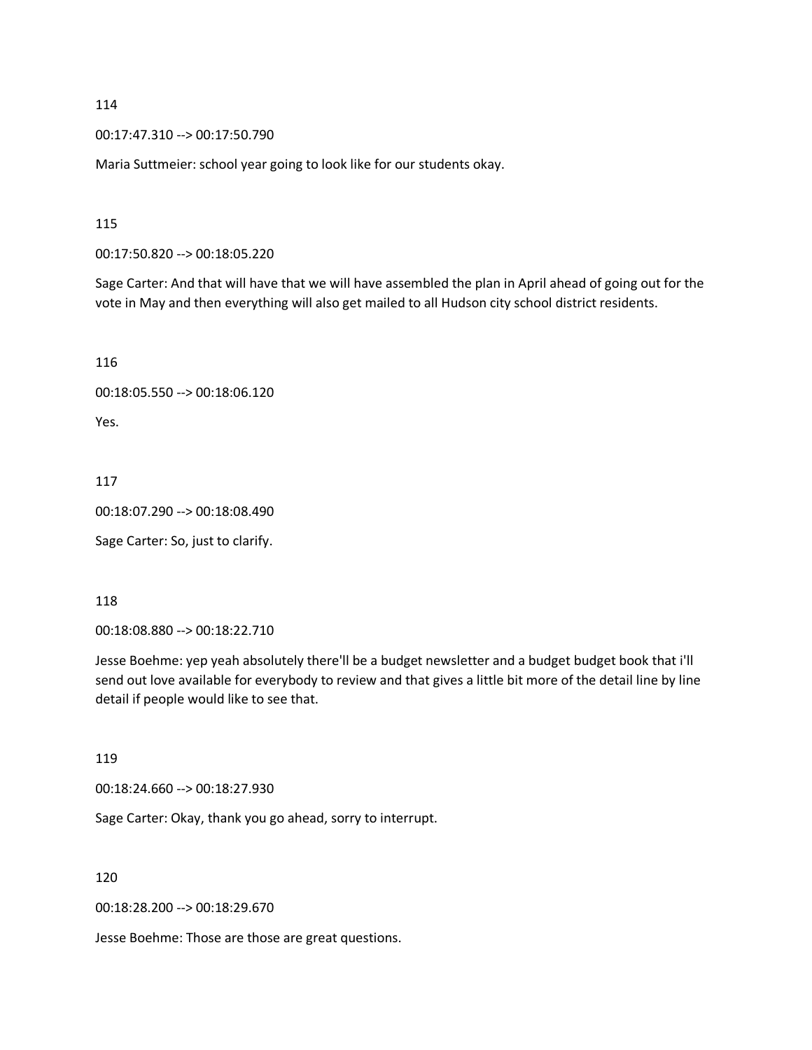00:17:47.310 --> 00:17:50.790

Maria Suttmeier: school year going to look like for our students okay.

115

00:17:50.820 --> 00:18:05.220

Sage Carter: And that will have that we will have assembled the plan in April ahead of going out for the vote in May and then everything will also get mailed to all Hudson city school district residents.

116

```
00:18:05.550 --> 00:18:06.120
```
Yes.

117

00:18:07.290 --> 00:18:08.490

Sage Carter: So, just to clarify.

118

00:18:08.880 --> 00:18:22.710

Jesse Boehme: yep yeah absolutely there'll be a budget newsletter and a budget budget book that i'll send out love available for everybody to review and that gives a little bit more of the detail line by line detail if people would like to see that.

119

00:18:24.660 --> 00:18:27.930

Sage Carter: Okay, thank you go ahead, sorry to interrupt.

120

00:18:28.200 --> 00:18:29.670

Jesse Boehme: Those are those are great questions.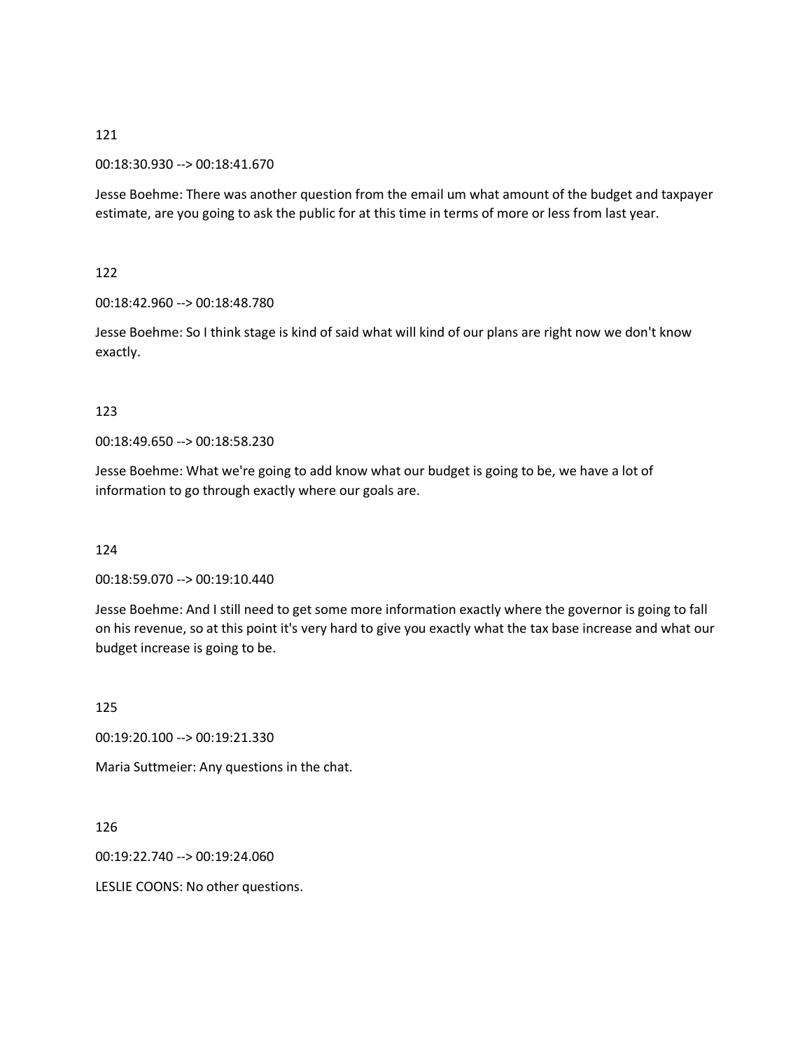#### 00:18:30.930 --> 00:18:41.670

Jesse Boehme: There was another question from the email um what amount of the budget and taxpayer estimate, are you going to ask the public for at this time in terms of more or less from last year.

122

00:18:42.960 --> 00:18:48.780

Jesse Boehme: So I think stage is kind of said what will kind of our plans are right now we don't know exactly.

#### 123

00:18:49.650 --> 00:18:58.230

Jesse Boehme: What we're going to add know what our budget is going to be, we have a lot of information to go through exactly where our goals are.

124

00:18:59.070 --> 00:19:10.440

Jesse Boehme: And I still need to get some more information exactly where the governor is going to fall on his revenue, so at this point it's very hard to give you exactly what the tax base increase and what our budget increase is going to be.

125

00:19:20.100 --> 00:19:21.330

Maria Suttmeier: Any questions in the chat.

126

00:19:22.740 --> 00:19:24.060

LESLIE COONS: No other questions.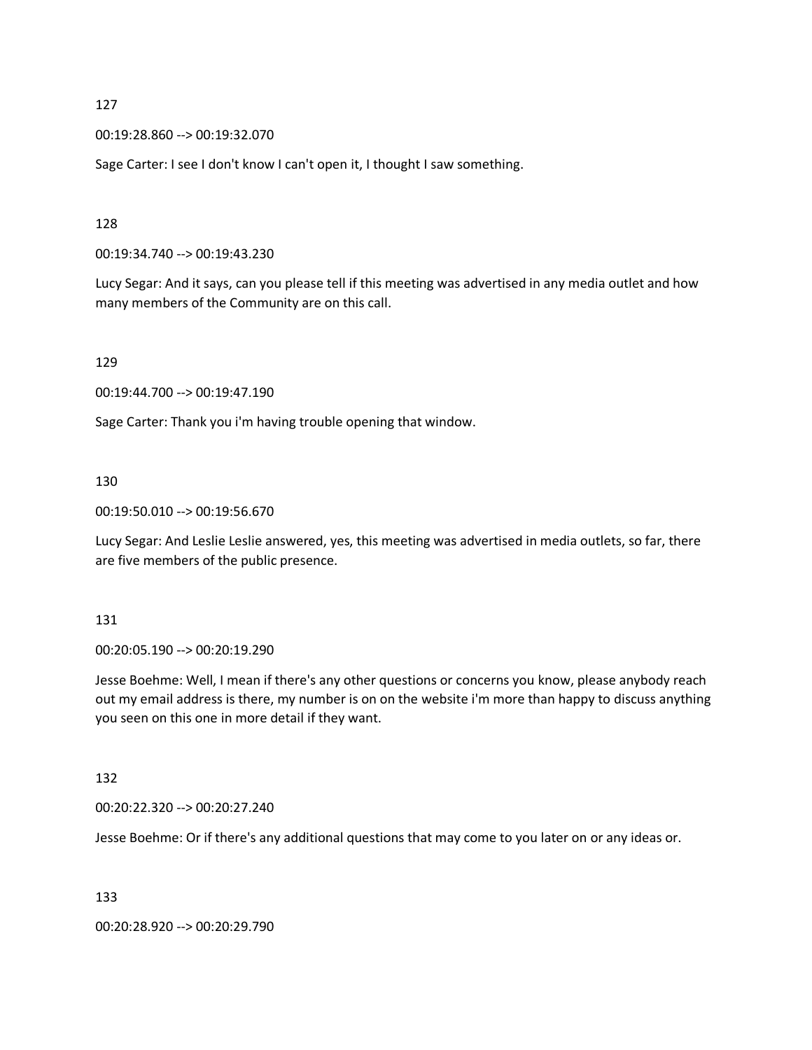00:19:28.860 --> 00:19:32.070

Sage Carter: I see I don't know I can't open it, I thought I saw something.

128

00:19:34.740 --> 00:19:43.230

Lucy Segar: And it says, can you please tell if this meeting was advertised in any media outlet and how many members of the Community are on this call.

129

00:19:44.700 --> 00:19:47.190

Sage Carter: Thank you i'm having trouble opening that window.

#### 130

00:19:50.010 --> 00:19:56.670

Lucy Segar: And Leslie Leslie answered, yes, this meeting was advertised in media outlets, so far, there are five members of the public presence.

131

00:20:05.190 --> 00:20:19.290

Jesse Boehme: Well, I mean if there's any other questions or concerns you know, please anybody reach out my email address is there, my number is on on the website i'm more than happy to discuss anything you seen on this one in more detail if they want.

132

00:20:22.320 --> 00:20:27.240

Jesse Boehme: Or if there's any additional questions that may come to you later on or any ideas or.

133

00:20:28.920 --> 00:20:29.790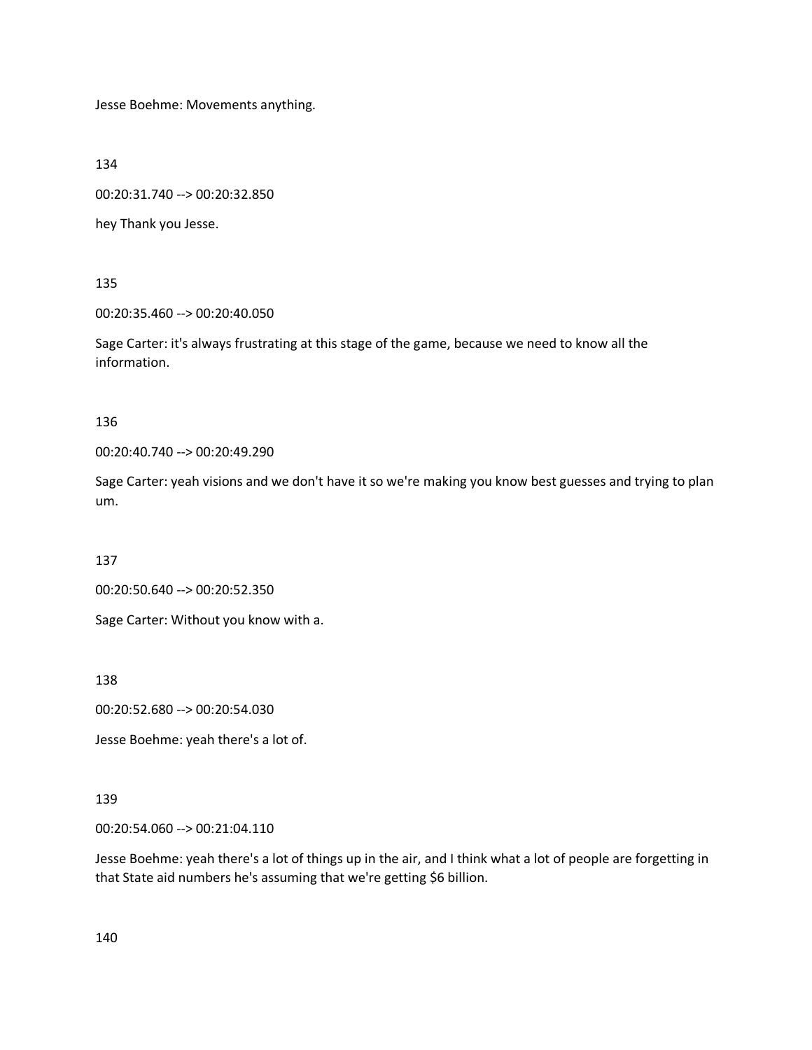Jesse Boehme: Movements anything.

134

00:20:31.740 --> 00:20:32.850

hey Thank you Jesse.

135

00:20:35.460 --> 00:20:40.050

Sage Carter: it's always frustrating at this stage of the game, because we need to know all the information.

136

00:20:40.740 --> 00:20:49.290

Sage Carter: yeah visions and we don't have it so we're making you know best guesses and trying to plan um.

137

00:20:50.640 --> 00:20:52.350

Sage Carter: Without you know with a.

138

00:20:52.680 --> 00:20:54.030

Jesse Boehme: yeah there's a lot of.

#### 139

00:20:54.060 --> 00:21:04.110

Jesse Boehme: yeah there's a lot of things up in the air, and I think what a lot of people are forgetting in that State aid numbers he's assuming that we're getting \$6 billion.

140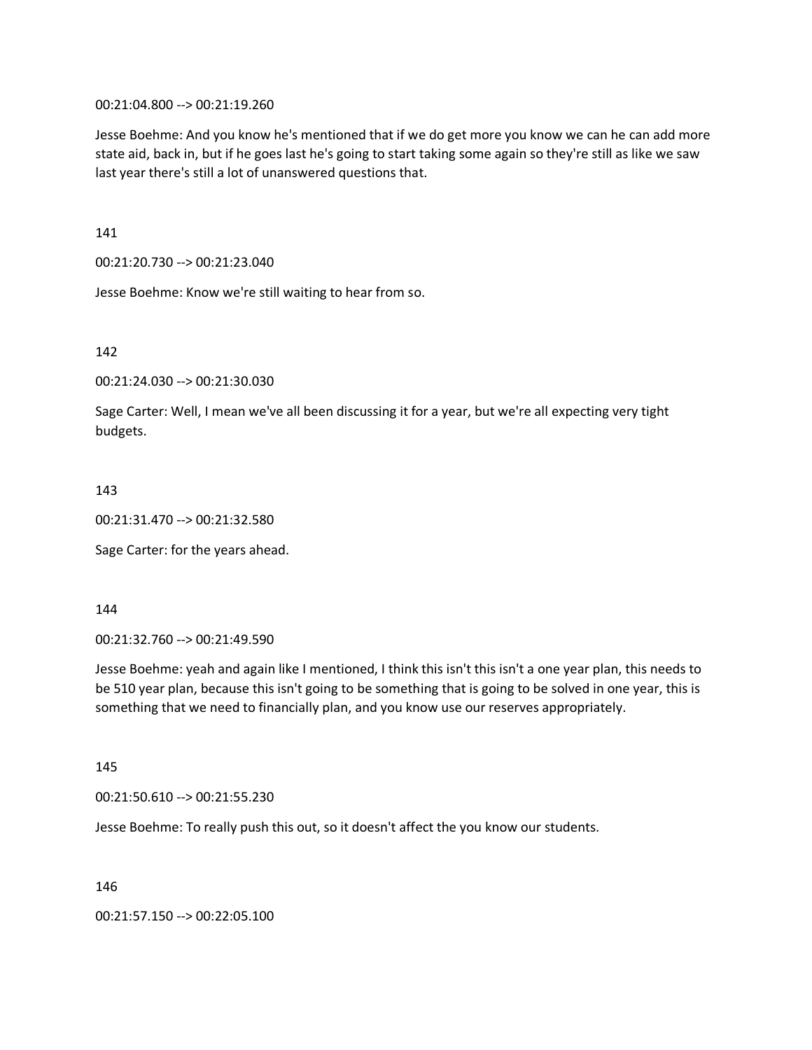00:21:04.800 --> 00:21:19.260

Jesse Boehme: And you know he's mentioned that if we do get more you know we can he can add more state aid, back in, but if he goes last he's going to start taking some again so they're still as like we saw last year there's still a lot of unanswered questions that.

141

00:21:20.730 --> 00:21:23.040

Jesse Boehme: Know we're still waiting to hear from so.

142

00:21:24.030 --> 00:21:30.030

Sage Carter: Well, I mean we've all been discussing it for a year, but we're all expecting very tight budgets.

143

00:21:31.470 --> 00:21:32.580

Sage Carter: for the years ahead.

144

00:21:32.760 --> 00:21:49.590

Jesse Boehme: yeah and again like I mentioned, I think this isn't this isn't a one year plan, this needs to be 510 year plan, because this isn't going to be something that is going to be solved in one year, this is something that we need to financially plan, and you know use our reserves appropriately.

145

00:21:50.610 --> 00:21:55.230

Jesse Boehme: To really push this out, so it doesn't affect the you know our students.

146

00:21:57.150 --> 00:22:05.100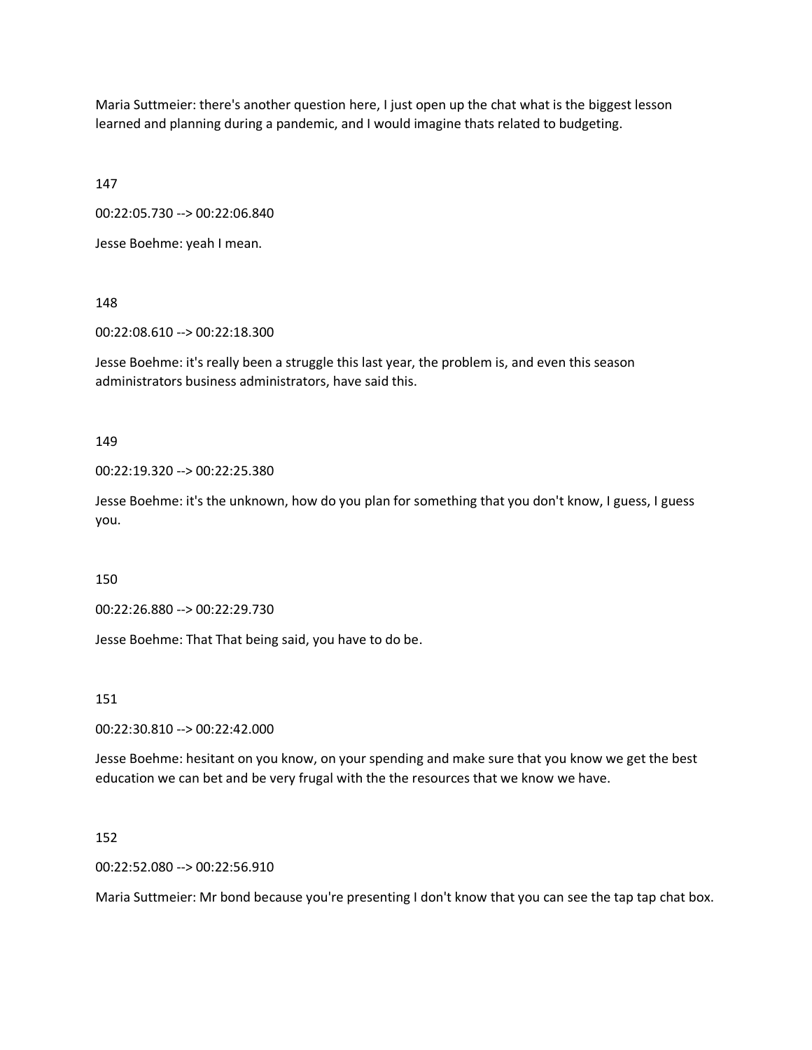Maria Suttmeier: there's another question here, I just open up the chat what is the biggest lesson learned and planning during a pandemic, and I would imagine thats related to budgeting.

147

00:22:05.730 --> 00:22:06.840

Jesse Boehme: yeah I mean.

148

00:22:08.610 --> 00:22:18.300

Jesse Boehme: it's really been a struggle this last year, the problem is, and even this season administrators business administrators, have said this.

149

00:22:19.320 --> 00:22:25.380

Jesse Boehme: it's the unknown, how do you plan for something that you don't know, I guess, I guess you.

150

00:22:26.880 --> 00:22:29.730

Jesse Boehme: That That being said, you have to do be.

151

00:22:30.810 --> 00:22:42.000

Jesse Boehme: hesitant on you know, on your spending and make sure that you know we get the best education we can bet and be very frugal with the the resources that we know we have.

152

00:22:52.080 --> 00:22:56.910

Maria Suttmeier: Mr bond because you're presenting I don't know that you can see the tap tap chat box.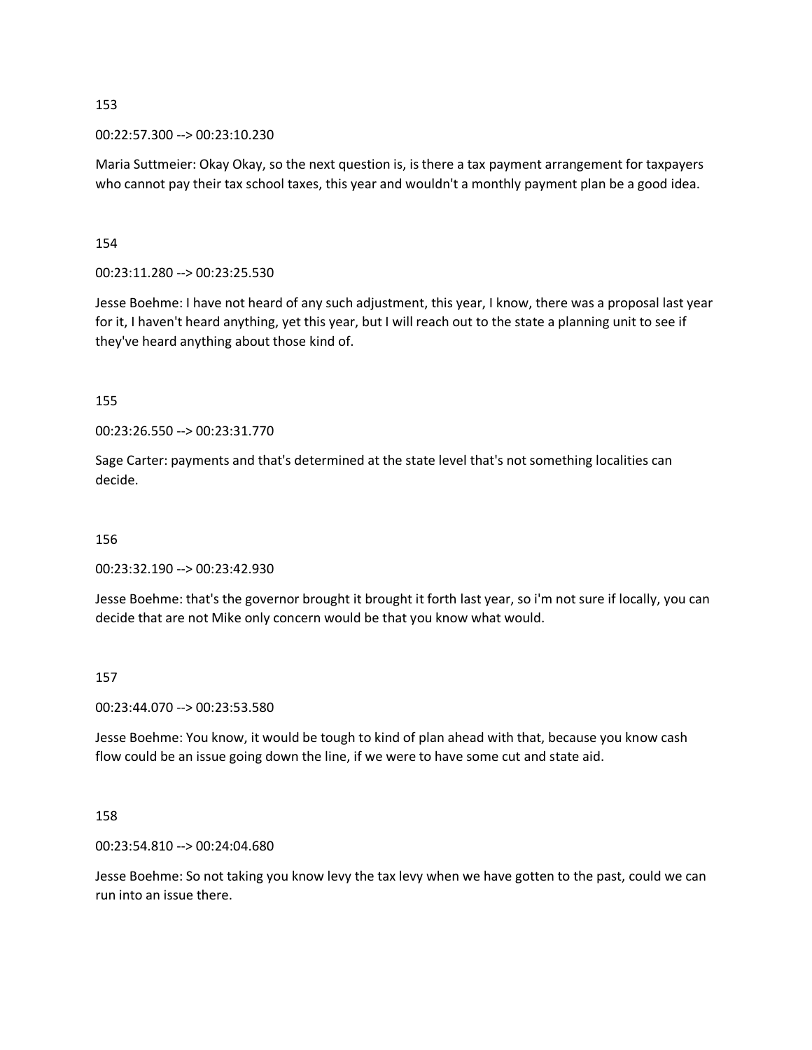00:22:57.300 --> 00:23:10.230

Maria Suttmeier: Okay Okay, so the next question is, is there a tax payment arrangement for taxpayers who cannot pay their tax school taxes, this year and wouldn't a monthly payment plan be a good idea.

154

00:23:11.280 --> 00:23:25.530

Jesse Boehme: I have not heard of any such adjustment, this year, I know, there was a proposal last year for it, I haven't heard anything, yet this year, but I will reach out to the state a planning unit to see if they've heard anything about those kind of.

155

00:23:26.550 --> 00:23:31.770

Sage Carter: payments and that's determined at the state level that's not something localities can decide.

156

00:23:32.190 --> 00:23:42.930

Jesse Boehme: that's the governor brought it brought it forth last year, so i'm not sure if locally, you can decide that are not Mike only concern would be that you know what would.

#### 157

00:23:44.070 --> 00:23:53.580

Jesse Boehme: You know, it would be tough to kind of plan ahead with that, because you know cash flow could be an issue going down the line, if we were to have some cut and state aid.

#### 158

00:23:54.810 --> 00:24:04.680

Jesse Boehme: So not taking you know levy the tax levy when we have gotten to the past, could we can run into an issue there.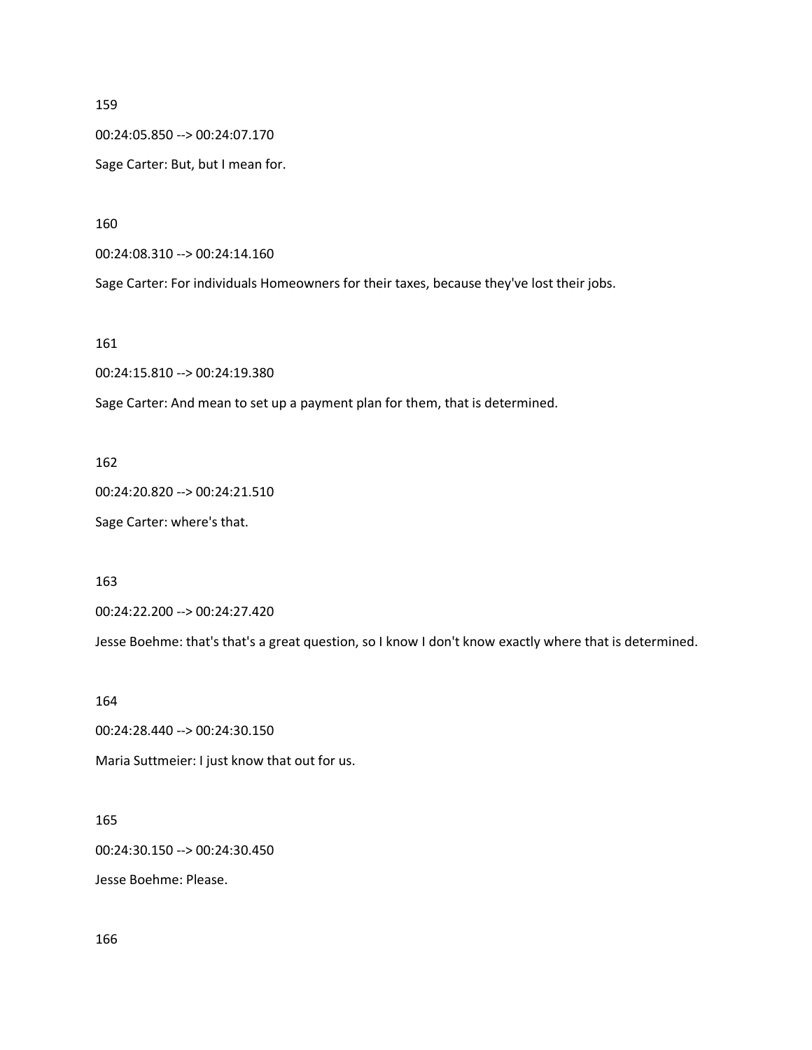00:24:05.850 --> 00:24:07.170

Sage Carter: But, but I mean for.

160

00:24:08.310 --> 00:24:14.160

Sage Carter: For individuals Homeowners for their taxes, because they've lost their jobs.

161

00:24:15.810 --> 00:24:19.380

Sage Carter: And mean to set up a payment plan for them, that is determined.

162

00:24:20.820 --> 00:24:21.510

Sage Carter: where's that.

163

00:24:22.200 --> 00:24:27.420

Jesse Boehme: that's that's a great question, so I know I don't know exactly where that is determined.

164

00:24:28.440 --> 00:24:30.150

Maria Suttmeier: I just know that out for us.

# 165

00:24:30.150 --> 00:24:30.450

Jesse Boehme: Please.

166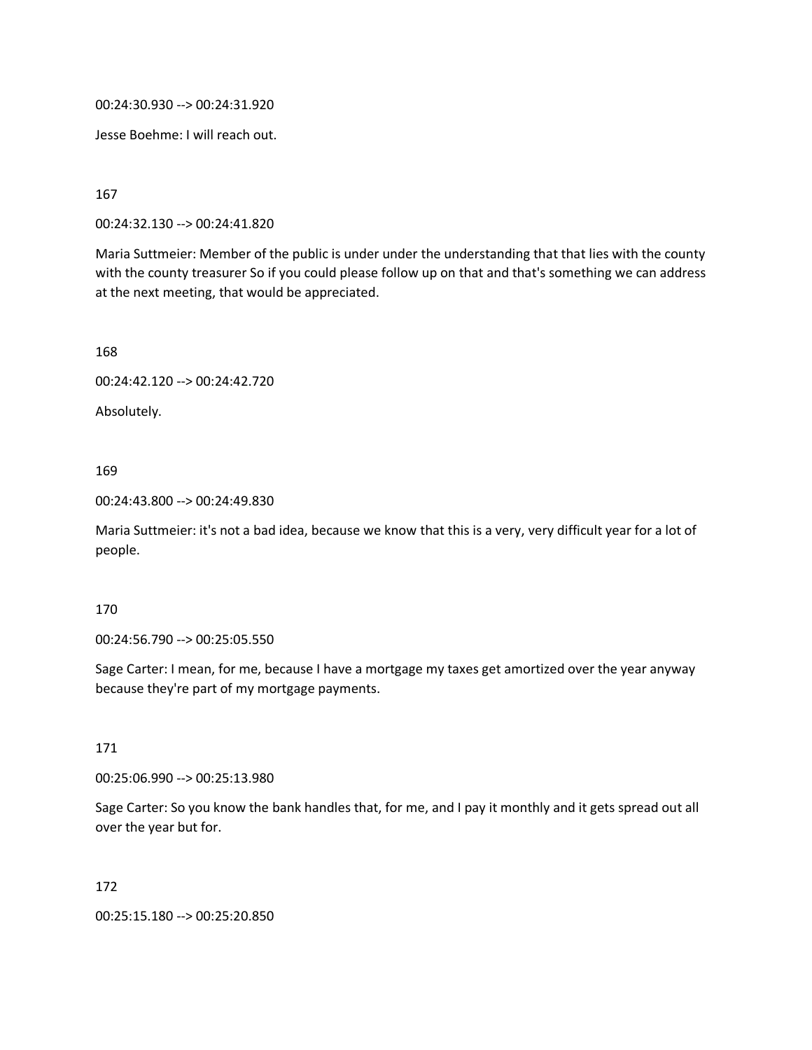00:24:30.930 --> 00:24:31.920

Jesse Boehme: I will reach out.

167

00:24:32.130 --> 00:24:41.820

Maria Suttmeier: Member of the public is under under the understanding that that lies with the county with the county treasurer So if you could please follow up on that and that's something we can address at the next meeting, that would be appreciated.

168

00:24:42.120 --> 00:24:42.720

Absolutely.

169

00:24:43.800 --> 00:24:49.830

Maria Suttmeier: it's not a bad idea, because we know that this is a very, very difficult year for a lot of people.

170

00:24:56.790 --> 00:25:05.550

Sage Carter: I mean, for me, because I have a mortgage my taxes get amortized over the year anyway because they're part of my mortgage payments.

171

00:25:06.990 --> 00:25:13.980

Sage Carter: So you know the bank handles that, for me, and I pay it monthly and it gets spread out all over the year but for.

172

00:25:15.180 --> 00:25:20.850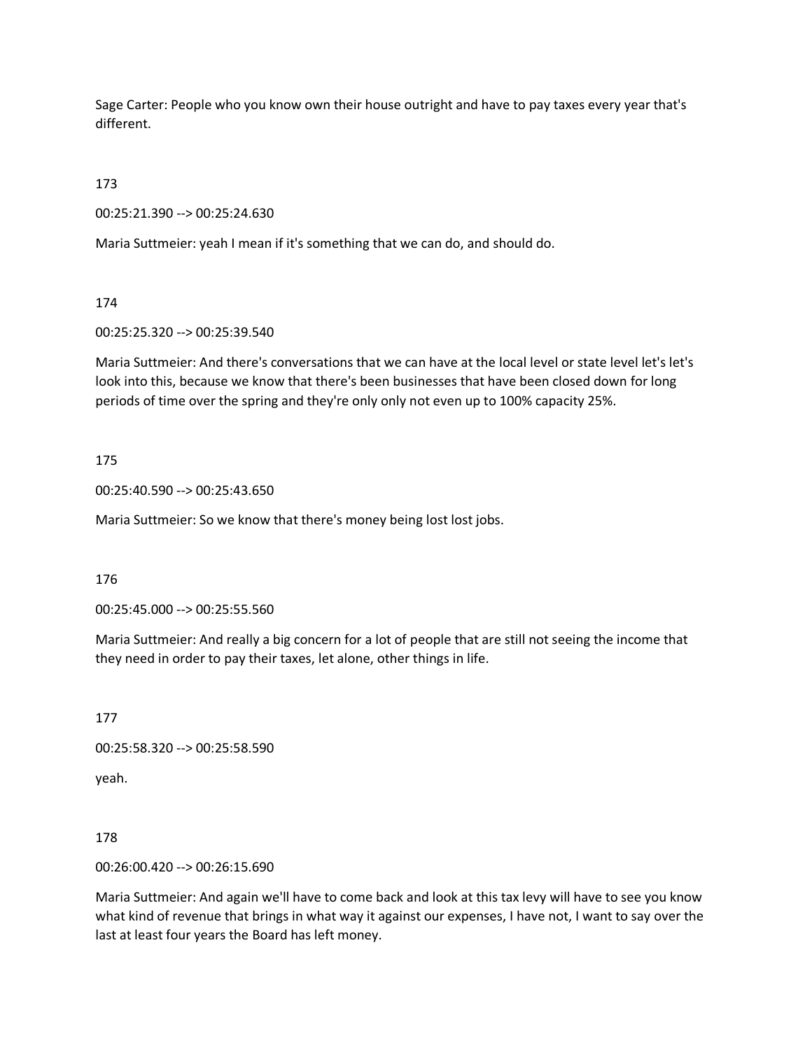Sage Carter: People who you know own their house outright and have to pay taxes every year that's different.

173

00:25:21.390 --> 00:25:24.630

Maria Suttmeier: yeah I mean if it's something that we can do, and should do.

174

00:25:25.320 --> 00:25:39.540

Maria Suttmeier: And there's conversations that we can have at the local level or state level let's let's look into this, because we know that there's been businesses that have been closed down for long periods of time over the spring and they're only only not even up to 100% capacity 25%.

#### 175

00:25:40.590 --> 00:25:43.650

Maria Suttmeier: So we know that there's money being lost lost jobs.

176

00:25:45.000 --> 00:25:55.560

Maria Suttmeier: And really a big concern for a lot of people that are still not seeing the income that they need in order to pay their taxes, let alone, other things in life.

177

00:25:58.320 --> 00:25:58.590

yeah.

178

00:26:00.420 --> 00:26:15.690

Maria Suttmeier: And again we'll have to come back and look at this tax levy will have to see you know what kind of revenue that brings in what way it against our expenses, I have not, I want to say over the last at least four years the Board has left money.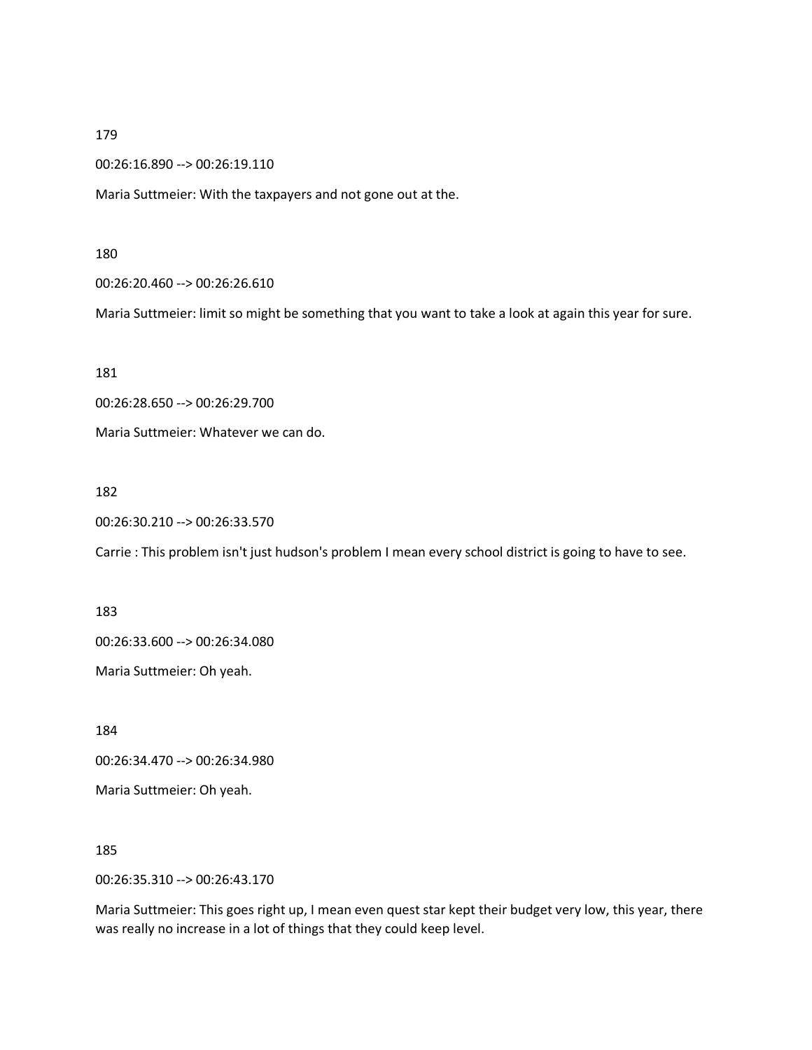00:26:16.890 --> 00:26:19.110

Maria Suttmeier: With the taxpayers and not gone out at the.

#### 180

00:26:20.460 --> 00:26:26.610

Maria Suttmeier: limit so might be something that you want to take a look at again this year for sure.

181

00:26:28.650 --> 00:26:29.700

Maria Suttmeier: Whatever we can do.

#### 182

00:26:30.210 --> 00:26:33.570

Carrie : This problem isn't just hudson's problem I mean every school district is going to have to see.

183

00:26:33.600 --> 00:26:34.080

Maria Suttmeier: Oh yeah.

184

00:26:34.470 --> 00:26:34.980

Maria Suttmeier: Oh yeah.

185

00:26:35.310 --> 00:26:43.170

Maria Suttmeier: This goes right up, I mean even quest star kept their budget very low, this year, there was really no increase in a lot of things that they could keep level.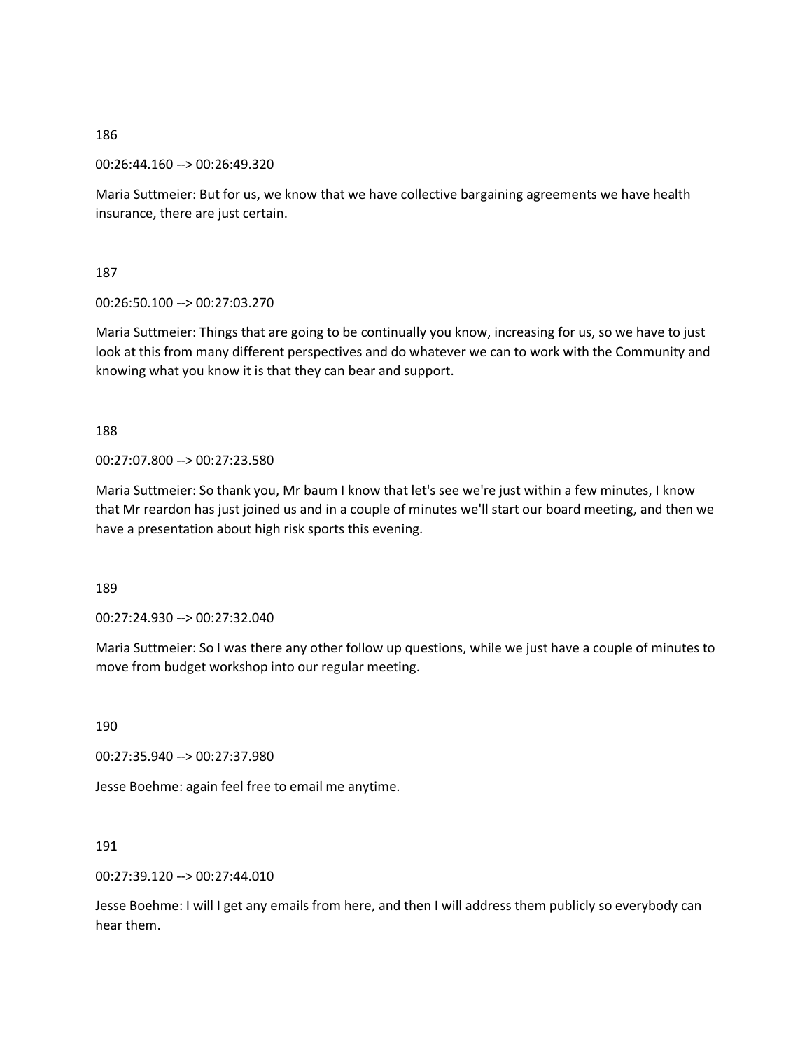00:26:44.160 --> 00:26:49.320

Maria Suttmeier: But for us, we know that we have collective bargaining agreements we have health insurance, there are just certain.

187

00:26:50.100 --> 00:27:03.270

Maria Suttmeier: Things that are going to be continually you know, increasing for us, so we have to just look at this from many different perspectives and do whatever we can to work with the Community and knowing what you know it is that they can bear and support.

188

00:27:07.800 --> 00:27:23.580

Maria Suttmeier: So thank you, Mr baum I know that let's see we're just within a few minutes, I know that Mr reardon has just joined us and in a couple of minutes we'll start our board meeting, and then we have a presentation about high risk sports this evening.

189

00:27:24.930 --> 00:27:32.040

Maria Suttmeier: So I was there any other follow up questions, while we just have a couple of minutes to move from budget workshop into our regular meeting.

190

00:27:35.940 --> 00:27:37.980

Jesse Boehme: again feel free to email me anytime.

191

00:27:39.120 --> 00:27:44.010

Jesse Boehme: I will I get any emails from here, and then I will address them publicly so everybody can hear them.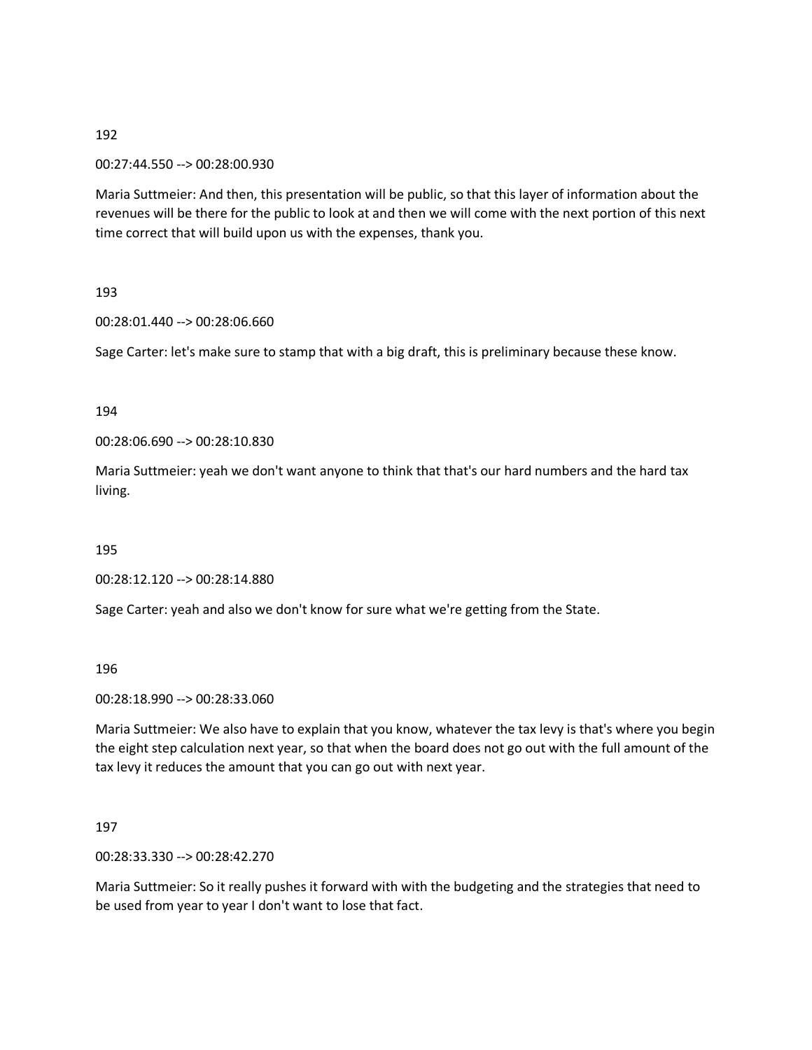00:27:44.550 --> 00:28:00.930

Maria Suttmeier: And then, this presentation will be public, so that this layer of information about the revenues will be there for the public to look at and then we will come with the next portion of this next time correct that will build upon us with the expenses, thank you.

193

00:28:01.440 --> 00:28:06.660

Sage Carter: let's make sure to stamp that with a big draft, this is preliminary because these know.

194

00:28:06.690 --> 00:28:10.830

Maria Suttmeier: yeah we don't want anyone to think that that's our hard numbers and the hard tax living.

195

00:28:12.120 --> 00:28:14.880

Sage Carter: yeah and also we don't know for sure what we're getting from the State.

196

00:28:18.990 --> 00:28:33.060

Maria Suttmeier: We also have to explain that you know, whatever the tax levy is that's where you begin the eight step calculation next year, so that when the board does not go out with the full amount of the tax levy it reduces the amount that you can go out with next year.

197

00:28:33.330 --> 00:28:42.270

Maria Suttmeier: So it really pushes it forward with with the budgeting and the strategies that need to be used from year to year I don't want to lose that fact.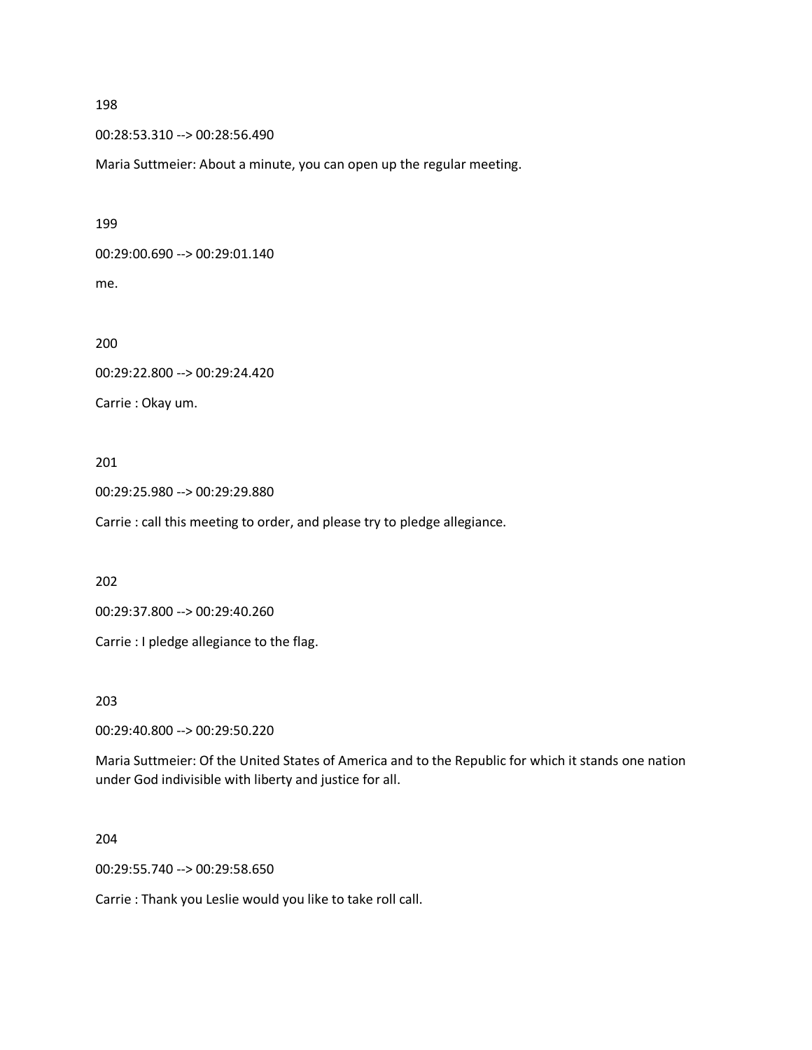00:28:53.310 --> 00:28:56.490

Maria Suttmeier: About a minute, you can open up the regular meeting.

199

00:29:00.690 --> 00:29:01.140

me.

200

00:29:22.800 --> 00:29:24.420

Carrie : Okay um.

#### 201

00:29:25.980 --> 00:29:29.880

Carrie : call this meeting to order, and please try to pledge allegiance.

202

00:29:37.800 --> 00:29:40.260

Carrie : I pledge allegiance to the flag.

203

00:29:40.800 --> 00:29:50.220

Maria Suttmeier: Of the United States of America and to the Republic for which it stands one nation under God indivisible with liberty and justice for all.

204

00:29:55.740 --> 00:29:58.650

Carrie : Thank you Leslie would you like to take roll call.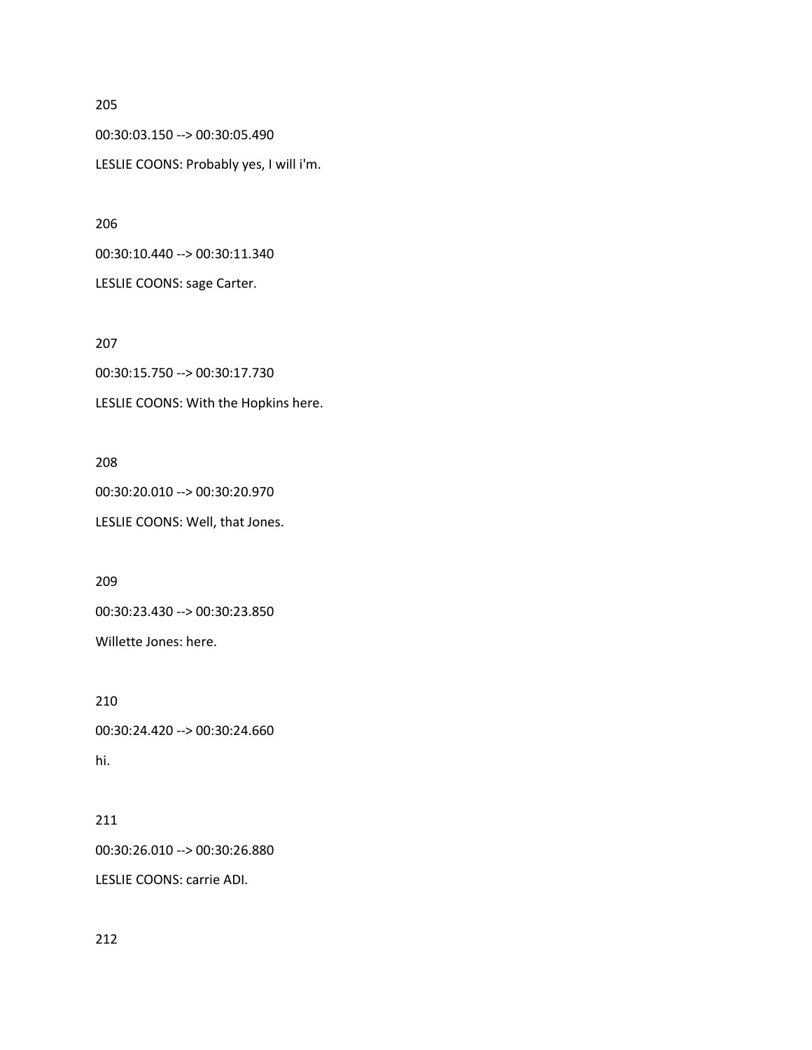00:30:03.150 --> 00:30:05.490 LESLIE COONS: Probably yes, I will i'm.

206

00:30:10.440 --> 00:30:11.340

LESLIE COONS: sage Carter.

207

00:30:15.750 --> 00:30:17.730 LESLIE COONS: With the Hopkins here.

# 208

00:30:20.010 --> 00:30:20.970 LESLIE COONS: Well, that Jones.

209

00:30:23.430 --> 00:30:23.850

Willette Jones: here.

210

00:30:24.420 --> 00:30:24.660 hi.

# 211

00:30:26.010 --> 00:30:26.880

LESLIE COONS: carrie ADI.

212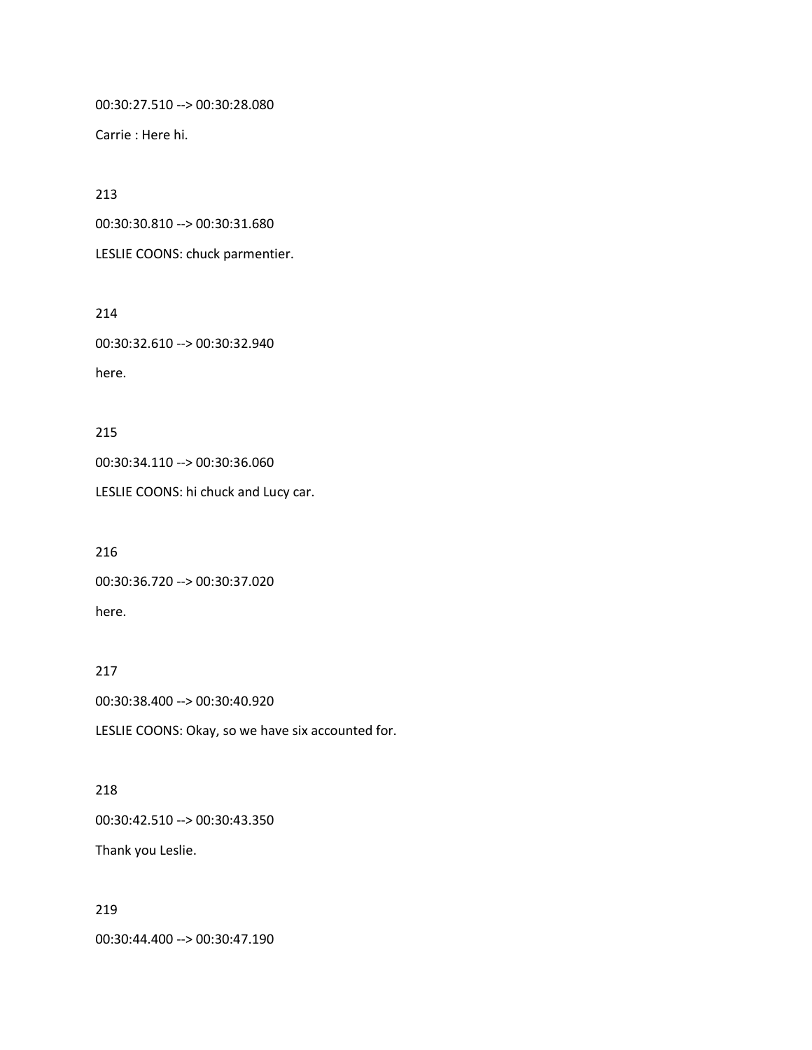00:30:27.510 --> 00:30:28.080

Carrie : Here hi.

213

00:30:30.810 --> 00:30:31.680

LESLIE COONS: chuck parmentier.

214

00:30:32.610 --> 00:30:32.940 here.

215

00:30:34.110 --> 00:30:36.060

LESLIE COONS: hi chuck and Lucy car.

216 00:30:36.720 --> 00:30:37.020 here.

217

00:30:38.400 --> 00:30:40.920

LESLIE COONS: Okay, so we have six accounted for.

218

00:30:42.510 --> 00:30:43.350

Thank you Leslie.

219

00:30:44.400 --> 00:30:47.190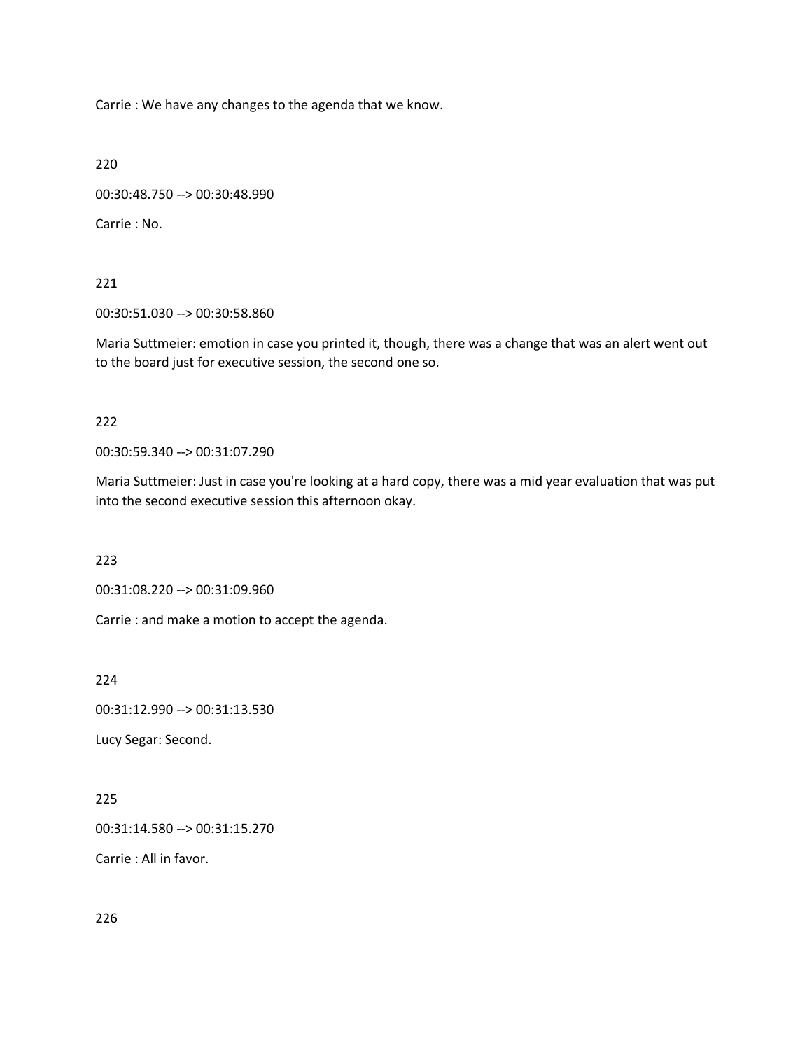Carrie : We have any changes to the agenda that we know.

220

```
00:30:48.750 --> 00:30:48.990
```
Carrie : No.

221

00:30:51.030 --> 00:30:58.860

Maria Suttmeier: emotion in case you printed it, though, there was a change that was an alert went out to the board just for executive session, the second one so.

## 222

00:30:59.340 --> 00:31:07.290

Maria Suttmeier: Just in case you're looking at a hard copy, there was a mid year evaluation that was put into the second executive session this afternoon okay.

223

00:31:08.220 --> 00:31:09.960

Carrie : and make a motion to accept the agenda.

224

00:31:12.990 --> 00:31:13.530

Lucy Segar: Second.

# 225

00:31:14.580 --> 00:31:15.270

Carrie : All in favor.

226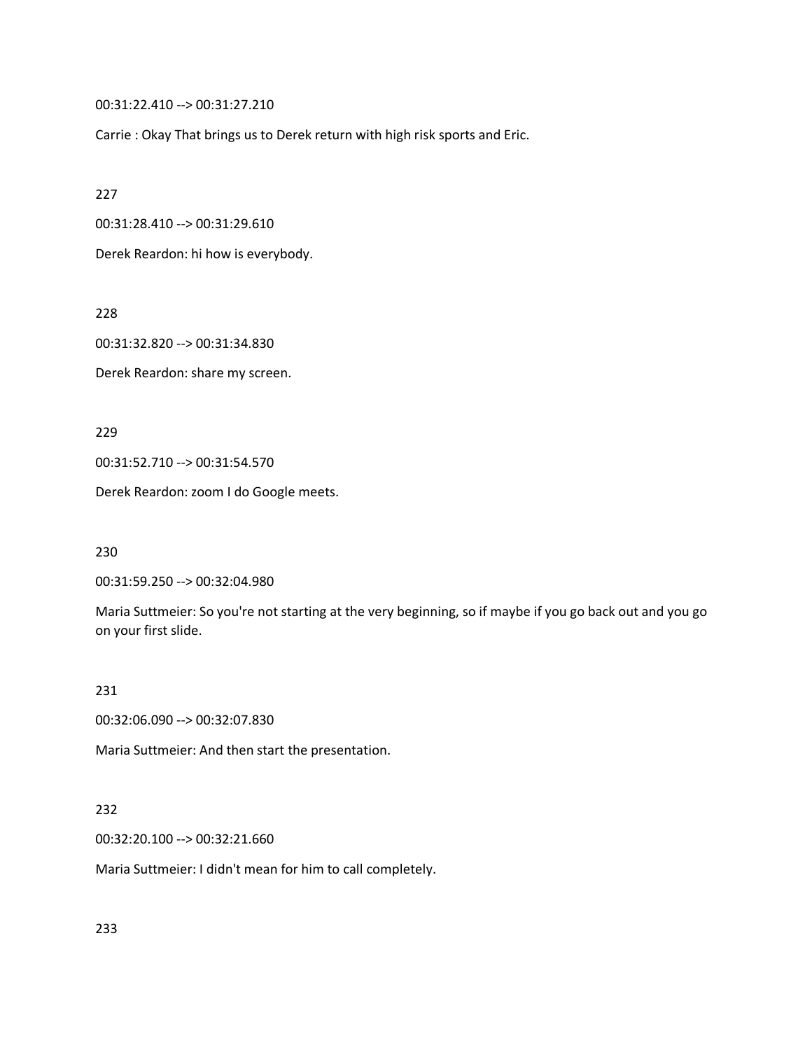00:31:22.410 --> 00:31:27.210

Carrie : Okay That brings us to Derek return with high risk sports and Eric.

227

00:31:28.410 --> 00:31:29.610

Derek Reardon: hi how is everybody.

228

00:31:32.820 --> 00:31:34.830

Derek Reardon: share my screen.

229

00:31:52.710 --> 00:31:54.570

Derek Reardon: zoom I do Google meets.

230

00:31:59.250 --> 00:32:04.980

Maria Suttmeier: So you're not starting at the very beginning, so if maybe if you go back out and you go on your first slide.

231

00:32:06.090 --> 00:32:07.830

Maria Suttmeier: And then start the presentation.

## 232

00:32:20.100 --> 00:32:21.660

Maria Suttmeier: I didn't mean for him to call completely.

233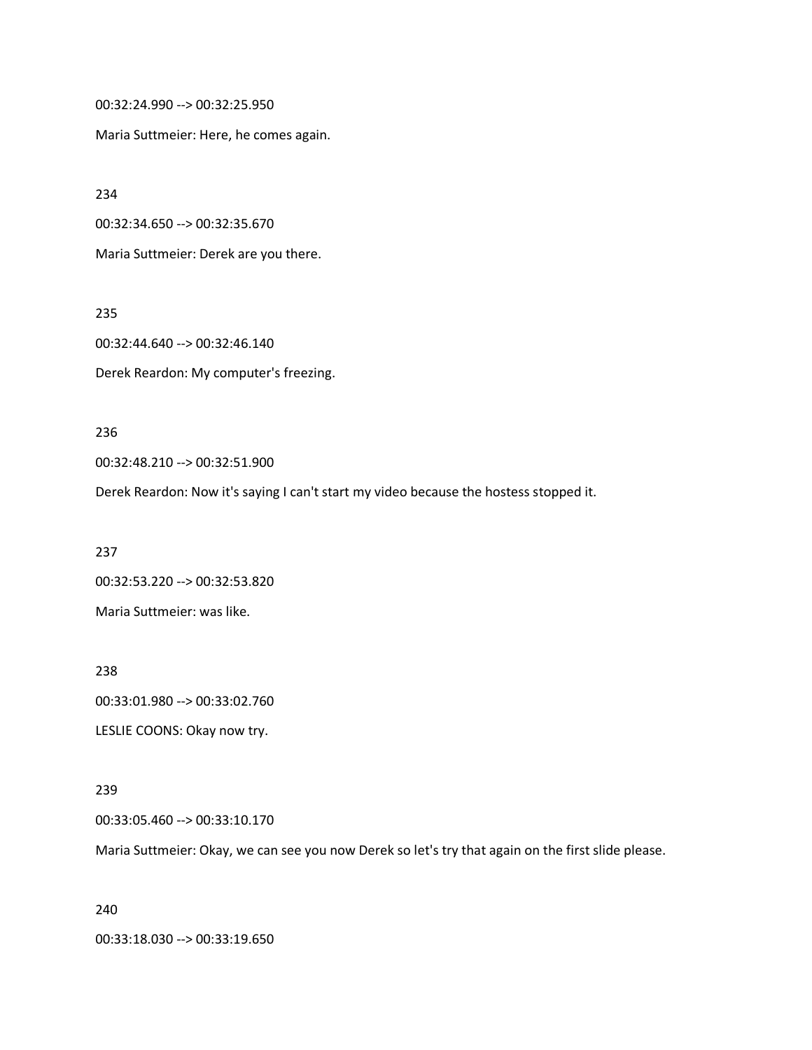00:32:24.990 --> 00:32:25.950

Maria Suttmeier: Here, he comes again.

234

00:32:34.650 --> 00:32:35.670

Maria Suttmeier: Derek are you there.

235

00:32:44.640 --> 00:32:46.140

Derek Reardon: My computer's freezing.

236

00:32:48.210 --> 00:32:51.900

Derek Reardon: Now it's saying I can't start my video because the hostess stopped it.

237

00:32:53.220 --> 00:32:53.820 Maria Suttmeier: was like.

238 00:33:01.980 --> 00:33:02.760 LESLIE COONS: Okay now try.

239

00:33:05.460 --> 00:33:10.170

Maria Suttmeier: Okay, we can see you now Derek so let's try that again on the first slide please.

240

00:33:18.030 --> 00:33:19.650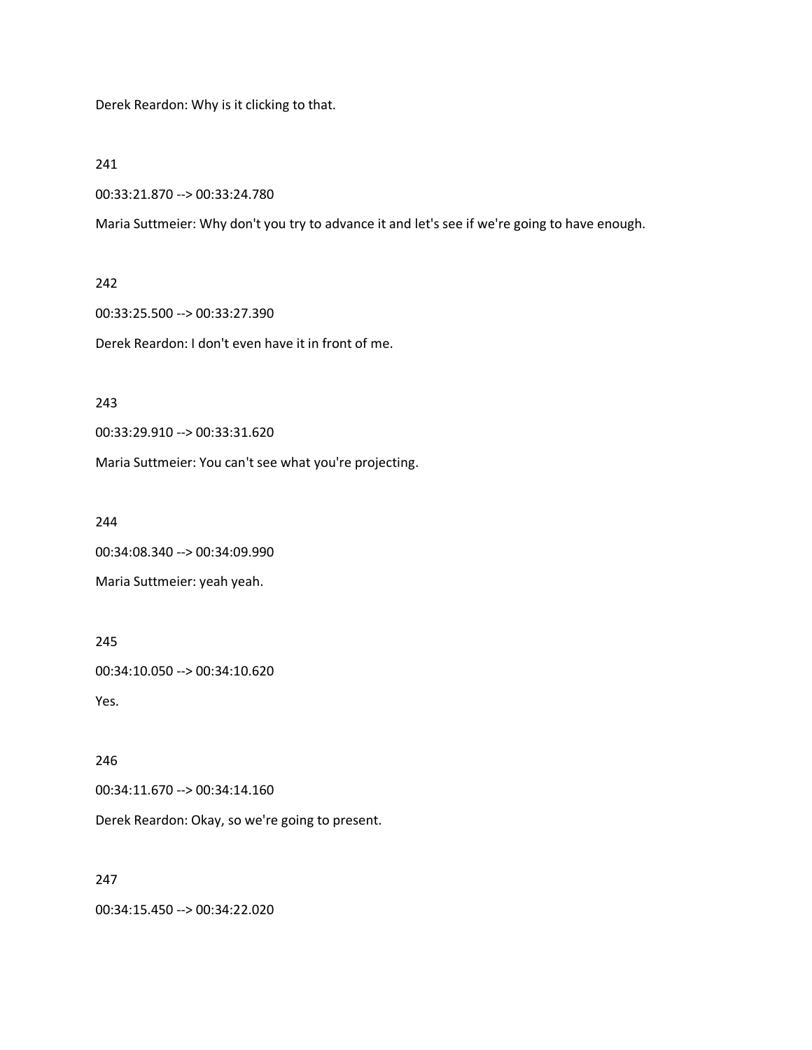Derek Reardon: Why is it clicking to that.

241

00:33:21.870 --> 00:33:24.780

Maria Suttmeier: Why don't you try to advance it and let's see if we're going to have enough.

## 242

00:33:25.500 --> 00:33:27.390

Derek Reardon: I don't even have it in front of me.

243

00:33:29.910 --> 00:33:31.620

Maria Suttmeier: You can't see what you're projecting.

244

00:34:08.340 --> 00:34:09.990

Maria Suttmeier: yeah yeah.

245

00:34:10.050 --> 00:34:10.620

Yes.

246

00:34:11.670 --> 00:34:14.160

Derek Reardon: Okay, so we're going to present.

247

00:34:15.450 --> 00:34:22.020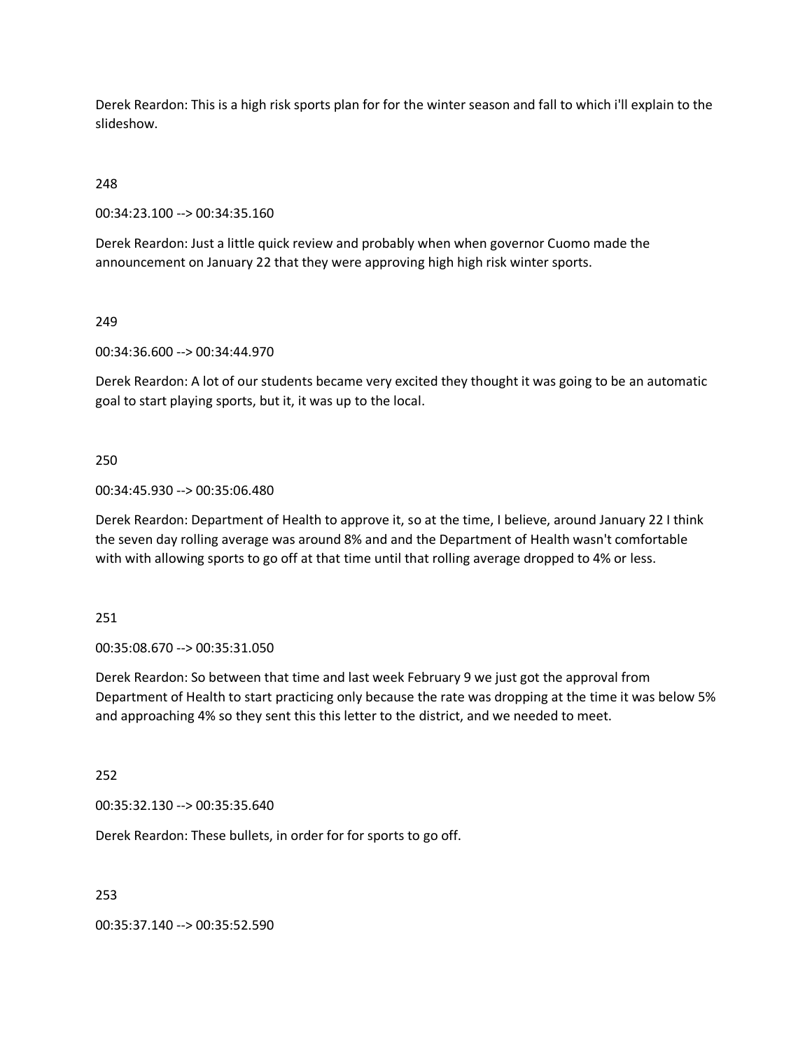Derek Reardon: This is a high risk sports plan for for the winter season and fall to which i'll explain to the slideshow.

248

00:34:23.100 --> 00:34:35.160

Derek Reardon: Just a little quick review and probably when when governor Cuomo made the announcement on January 22 that they were approving high high risk winter sports.

249

00:34:36.600 --> 00:34:44.970

Derek Reardon: A lot of our students became very excited they thought it was going to be an automatic goal to start playing sports, but it, it was up to the local.

250

00:34:45.930 --> 00:35:06.480

Derek Reardon: Department of Health to approve it, so at the time, I believe, around January 22 I think the seven day rolling average was around 8% and and the Department of Health wasn't comfortable with with allowing sports to go off at that time until that rolling average dropped to 4% or less.

251

00:35:08.670 --> 00:35:31.050

Derek Reardon: So between that time and last week February 9 we just got the approval from Department of Health to start practicing only because the rate was dropping at the time it was below 5% and approaching 4% so they sent this this letter to the district, and we needed to meet.

252

00:35:32.130 --> 00:35:35.640

Derek Reardon: These bullets, in order for for sports to go off.

253

00:35:37.140 --> 00:35:52.590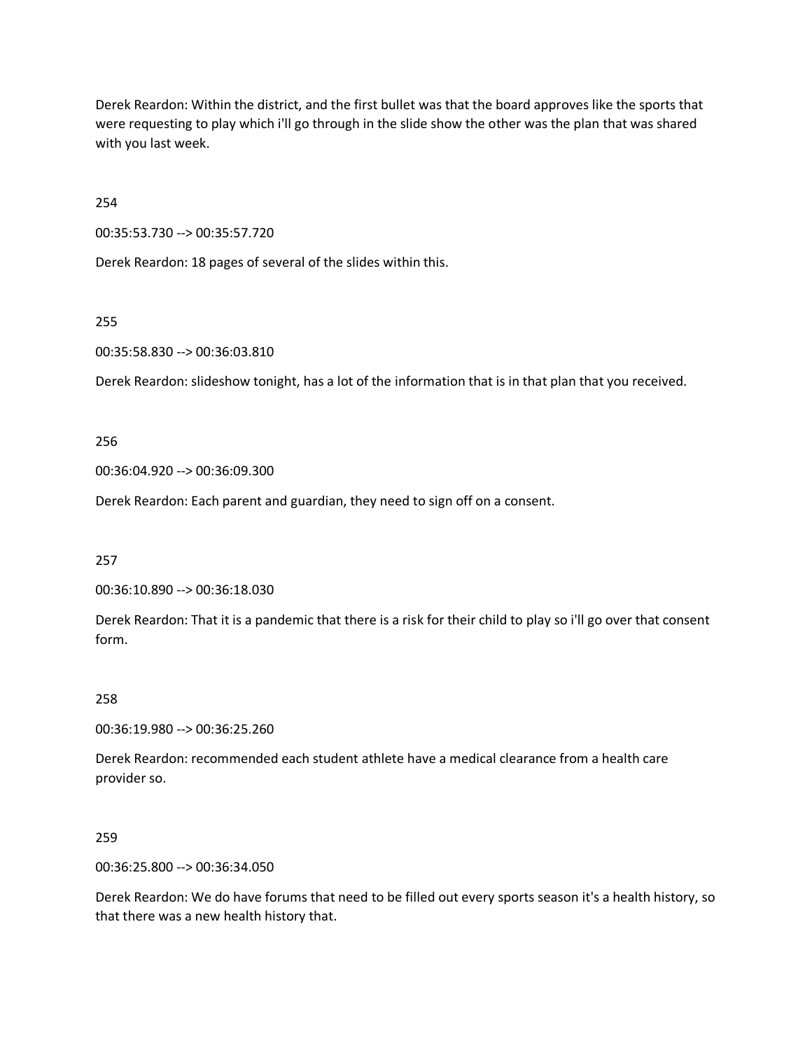Derek Reardon: Within the district, and the first bullet was that the board approves like the sports that were requesting to play which i'll go through in the slide show the other was the plan that was shared with you last week.

254

00:35:53.730 --> 00:35:57.720

Derek Reardon: 18 pages of several of the slides within this.

255

00:35:58.830 --> 00:36:03.810

Derek Reardon: slideshow tonight, has a lot of the information that is in that plan that you received.

256

00:36:04.920 --> 00:36:09.300

Derek Reardon: Each parent and guardian, they need to sign off on a consent.

257

00:36:10.890 --> 00:36:18.030

Derek Reardon: That it is a pandemic that there is a risk for their child to play so i'll go over that consent form.

258

00:36:19.980 --> 00:36:25.260

Derek Reardon: recommended each student athlete have a medical clearance from a health care provider so.

259

00:36:25.800 --> 00:36:34.050

Derek Reardon: We do have forums that need to be filled out every sports season it's a health history, so that there was a new health history that.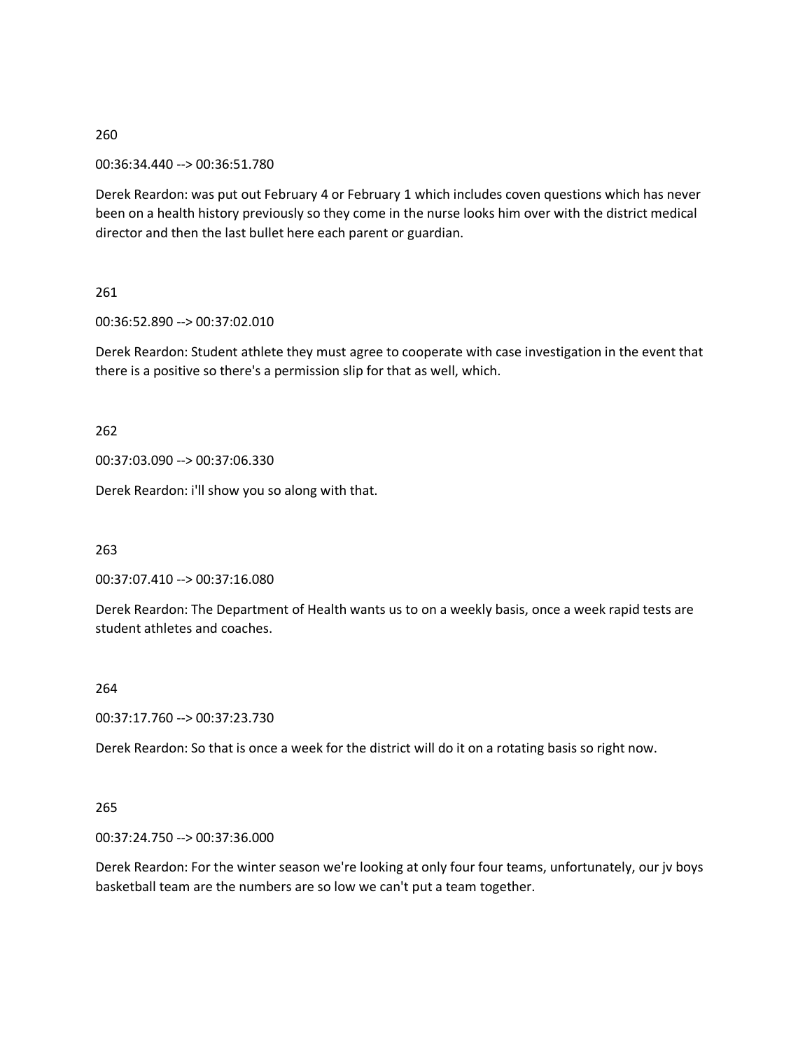00:36:34.440 --> 00:36:51.780

Derek Reardon: was put out February 4 or February 1 which includes coven questions which has never been on a health history previously so they come in the nurse looks him over with the district medical director and then the last bullet here each parent or guardian.

261

00:36:52.890 --> 00:37:02.010

Derek Reardon: Student athlete they must agree to cooperate with case investigation in the event that there is a positive so there's a permission slip for that as well, which.

262

00:37:03.090 --> 00:37:06.330

Derek Reardon: i'll show you so along with that.

263

00:37:07.410 --> 00:37:16.080

Derek Reardon: The Department of Health wants us to on a weekly basis, once a week rapid tests are student athletes and coaches.

264

00:37:17.760 --> 00:37:23.730

Derek Reardon: So that is once a week for the district will do it on a rotating basis so right now.

265

00:37:24.750 --> 00:37:36.000

Derek Reardon: For the winter season we're looking at only four four teams, unfortunately, our jv boys basketball team are the numbers are so low we can't put a team together.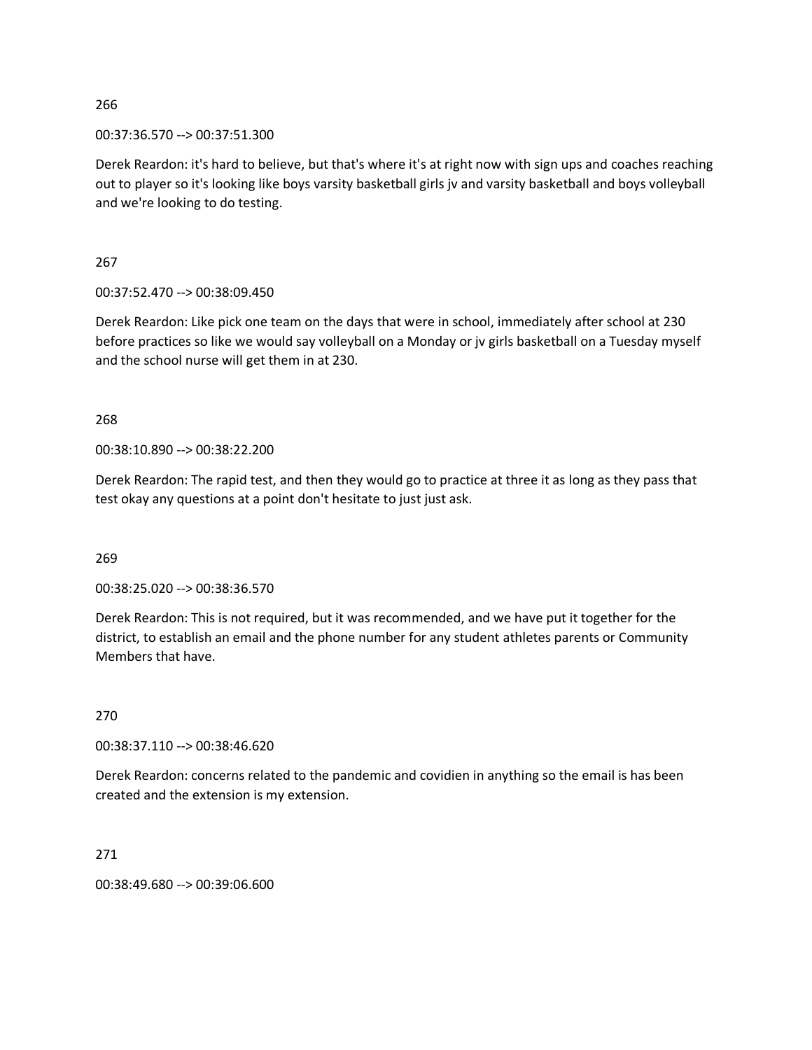00:37:36.570 --> 00:37:51.300

Derek Reardon: it's hard to believe, but that's where it's at right now with sign ups and coaches reaching out to player so it's looking like boys varsity basketball girls jv and varsity basketball and boys volleyball and we're looking to do testing.

267

00:37:52.470 --> 00:38:09.450

Derek Reardon: Like pick one team on the days that were in school, immediately after school at 230 before practices so like we would say volleyball on a Monday or jv girls basketball on a Tuesday myself and the school nurse will get them in at 230.

268

00:38:10.890 --> 00:38:22.200

Derek Reardon: The rapid test, and then they would go to practice at three it as long as they pass that test okay any questions at a point don't hesitate to just just ask.

269

00:38:25.020 --> 00:38:36.570

Derek Reardon: This is not required, but it was recommended, and we have put it together for the district, to establish an email and the phone number for any student athletes parents or Community Members that have.

270

00:38:37.110 --> 00:38:46.620

Derek Reardon: concerns related to the pandemic and covidien in anything so the email is has been created and the extension is my extension.

271

00:38:49.680 --> 00:39:06.600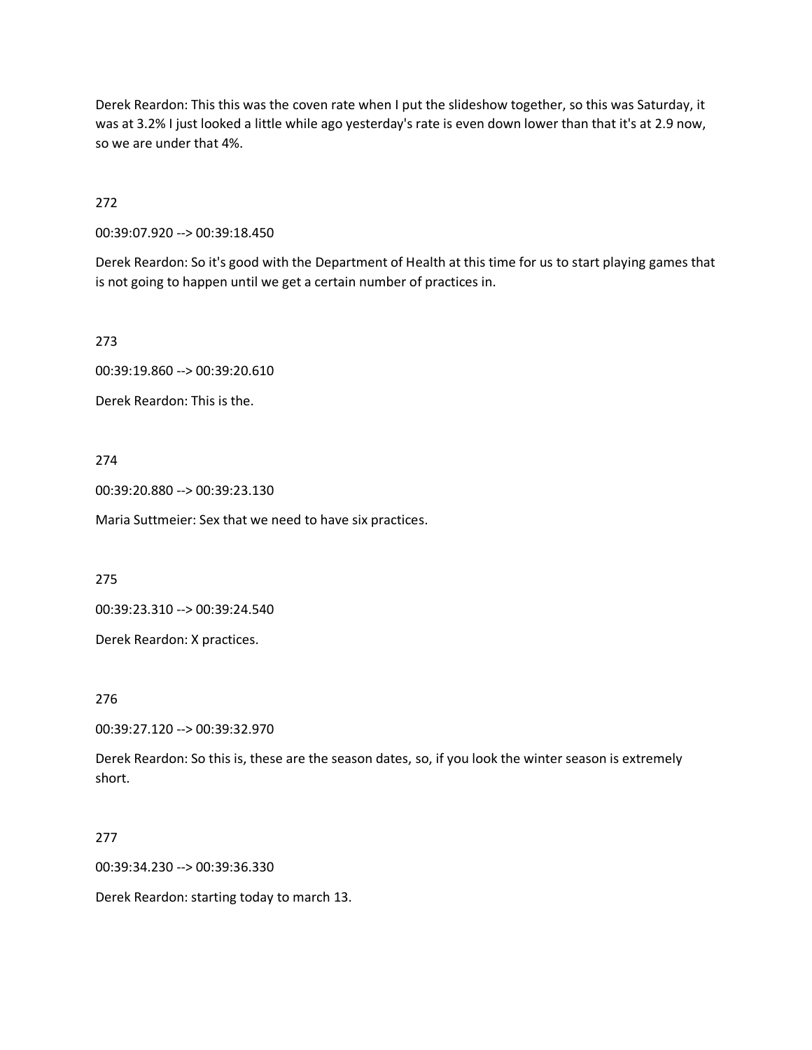Derek Reardon: This this was the coven rate when I put the slideshow together, so this was Saturday, it was at 3.2% I just looked a little while ago yesterday's rate is even down lower than that it's at 2.9 now, so we are under that 4%.

272

00:39:07.920 --> 00:39:18.450

Derek Reardon: So it's good with the Department of Health at this time for us to start playing games that is not going to happen until we get a certain number of practices in.

273

00:39:19.860 --> 00:39:20.610

Derek Reardon: This is the.

274

00:39:20.880 --> 00:39:23.130

Maria Suttmeier: Sex that we need to have six practices.

275

00:39:23.310 --> 00:39:24.540

Derek Reardon: X practices.

276

00:39:27.120 --> 00:39:32.970

Derek Reardon: So this is, these are the season dates, so, if you look the winter season is extremely short.

#### 277

00:39:34.230 --> 00:39:36.330

Derek Reardon: starting today to march 13.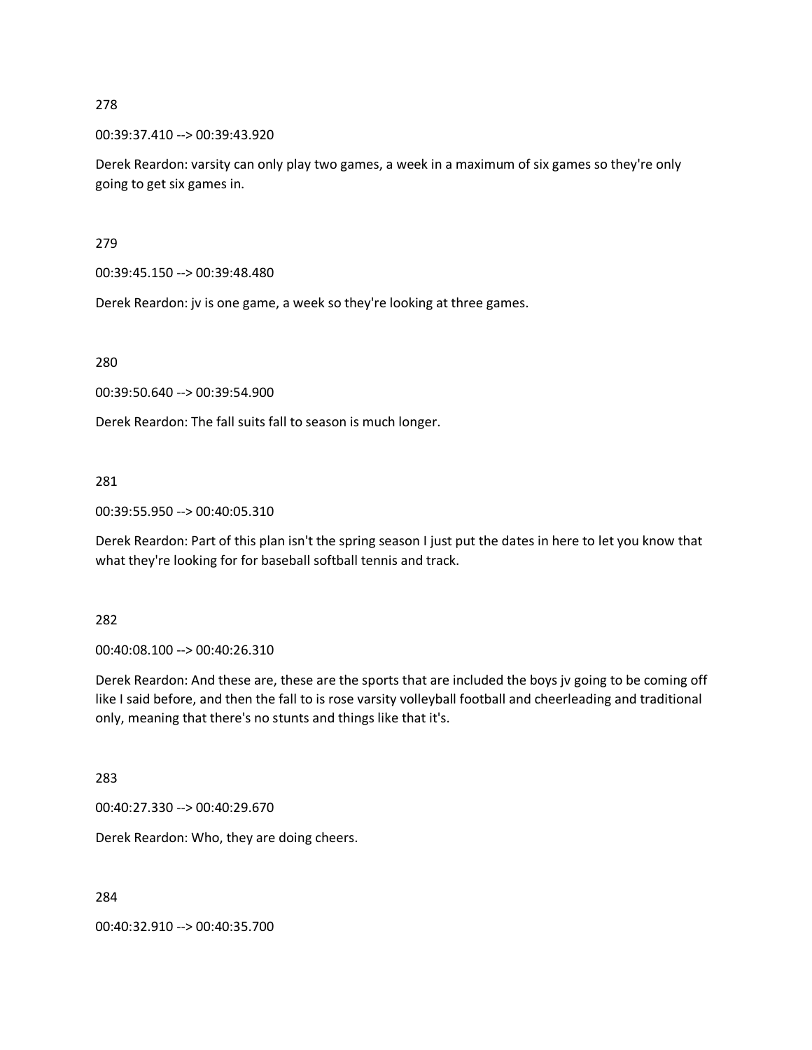00:39:37.410 --> 00:39:43.920

Derek Reardon: varsity can only play two games, a week in a maximum of six games so they're only going to get six games in.

279

00:39:45.150 --> 00:39:48.480

Derek Reardon: jv is one game, a week so they're looking at three games.

280

00:39:50.640 --> 00:39:54.900

Derek Reardon: The fall suits fall to season is much longer.

281

00:39:55.950 --> 00:40:05.310

Derek Reardon: Part of this plan isn't the spring season I just put the dates in here to let you know that what they're looking for for baseball softball tennis and track.

282

00:40:08.100 --> 00:40:26.310

Derek Reardon: And these are, these are the sports that are included the boys jv going to be coming off like I said before, and then the fall to is rose varsity volleyball football and cheerleading and traditional only, meaning that there's no stunts and things like that it's.

283

00:40:27.330 --> 00:40:29.670

Derek Reardon: Who, they are doing cheers.

284

00:40:32.910 --> 00:40:35.700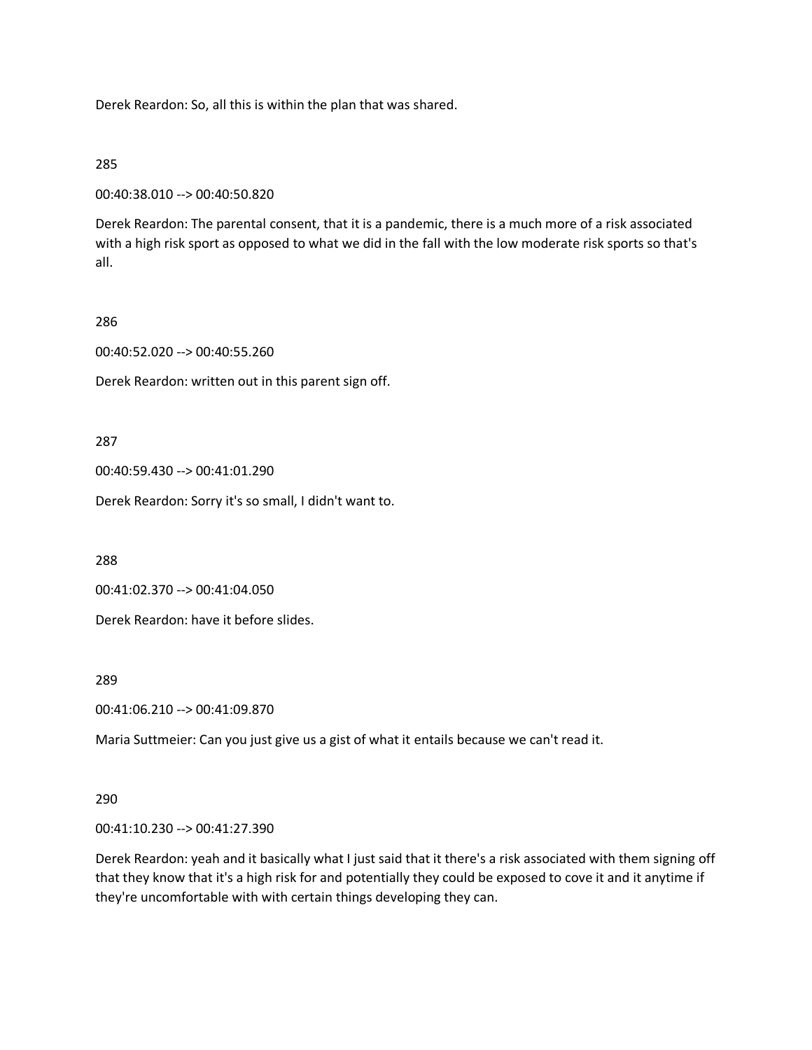Derek Reardon: So, all this is within the plan that was shared.

# 285

```
00:40:38.010 --> 00:40:50.820
```
Derek Reardon: The parental consent, that it is a pandemic, there is a much more of a risk associated with a high risk sport as opposed to what we did in the fall with the low moderate risk sports so that's all.

# 286

00:40:52.020 --> 00:40:55.260

Derek Reardon: written out in this parent sign off.

287

00:40:59.430 --> 00:41:01.290

Derek Reardon: Sorry it's so small, I didn't want to.

288

00:41:02.370 --> 00:41:04.050

Derek Reardon: have it before slides.

289

00:41:06.210 --> 00:41:09.870

Maria Suttmeier: Can you just give us a gist of what it entails because we can't read it.

# 290

00:41:10.230 --> 00:41:27.390

Derek Reardon: yeah and it basically what I just said that it there's a risk associated with them signing off that they know that it's a high risk for and potentially they could be exposed to cove it and it anytime if they're uncomfortable with with certain things developing they can.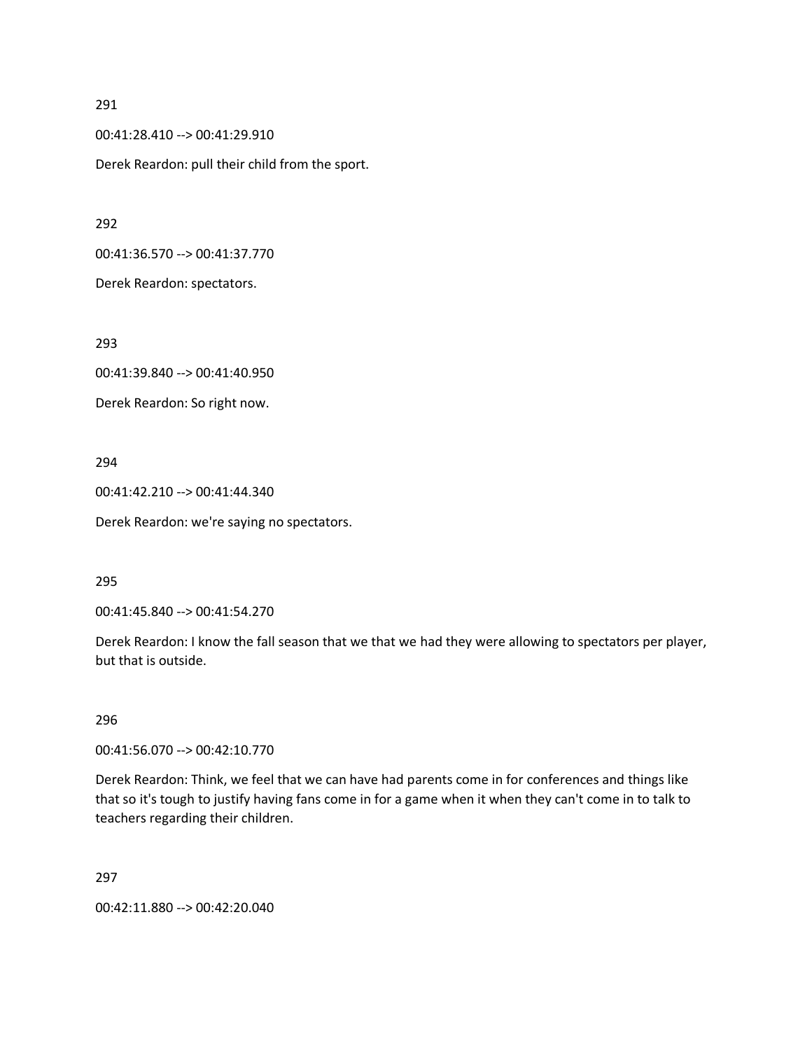00:41:28.410 --> 00:41:29.910

Derek Reardon: pull their child from the sport.

292

00:41:36.570 --> 00:41:37.770

Derek Reardon: spectators.

293

00:41:39.840 --> 00:41:40.950

Derek Reardon: So right now.

## 294

00:41:42.210 --> 00:41:44.340

Derek Reardon: we're saying no spectators.

295

00:41:45.840 --> 00:41:54.270

Derek Reardon: I know the fall season that we that we had they were allowing to spectators per player, but that is outside.

296

00:41:56.070 --> 00:42:10.770

Derek Reardon: Think, we feel that we can have had parents come in for conferences and things like that so it's tough to justify having fans come in for a game when it when they can't come in to talk to teachers regarding their children.

297

00:42:11.880 --> 00:42:20.040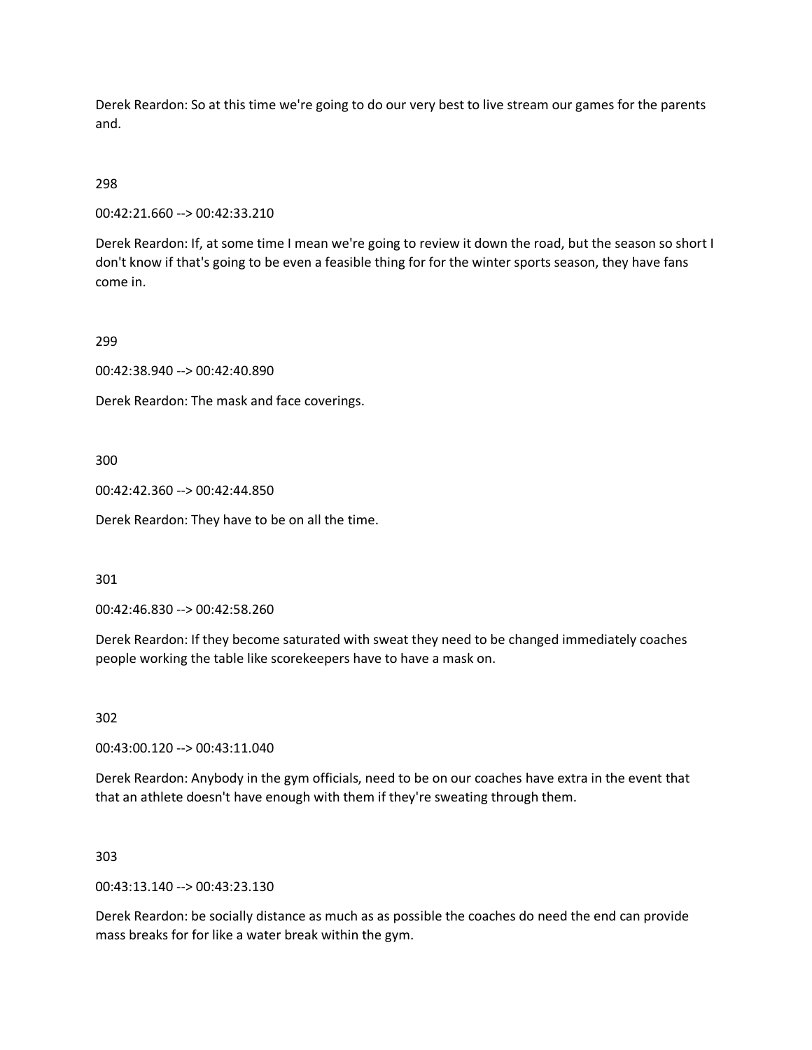Derek Reardon: So at this time we're going to do our very best to live stream our games for the parents and.

# 298

00:42:21.660 --> 00:42:33.210

Derek Reardon: If, at some time I mean we're going to review it down the road, but the season so short I don't know if that's going to be even a feasible thing for for the winter sports season, they have fans come in.

## 299

00:42:38.940 --> 00:42:40.890

Derek Reardon: The mask and face coverings.

## 300

00:42:42.360 --> 00:42:44.850

Derek Reardon: They have to be on all the time.

#### 301

00:42:46.830 --> 00:42:58.260

Derek Reardon: If they become saturated with sweat they need to be changed immediately coaches people working the table like scorekeepers have to have a mask on.

302

00:43:00.120 --> 00:43:11.040

Derek Reardon: Anybody in the gym officials, need to be on our coaches have extra in the event that that an athlete doesn't have enough with them if they're sweating through them.

#### 303

00:43:13.140 --> 00:43:23.130

Derek Reardon: be socially distance as much as as possible the coaches do need the end can provide mass breaks for for like a water break within the gym.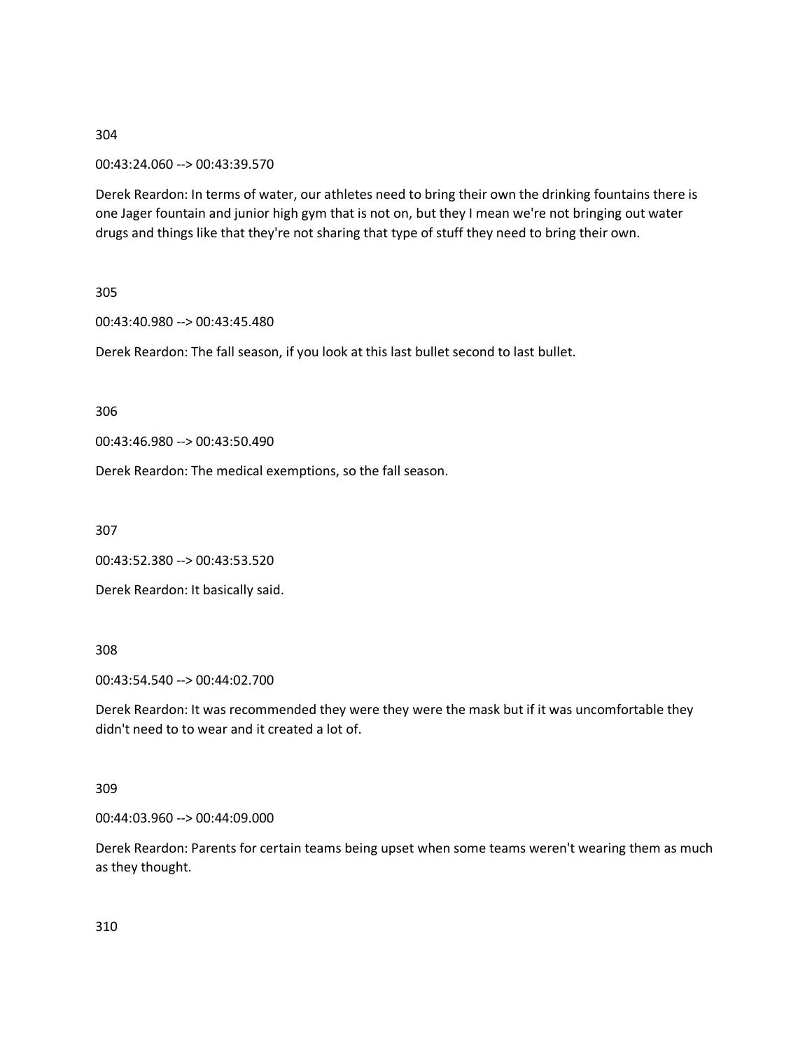# 00:43:24.060 --> 00:43:39.570

Derek Reardon: In terms of water, our athletes need to bring their own the drinking fountains there is one Jager fountain and junior high gym that is not on, but they I mean we're not bringing out water drugs and things like that they're not sharing that type of stuff they need to bring their own.

305

00:43:40.980 --> 00:43:45.480

Derek Reardon: The fall season, if you look at this last bullet second to last bullet.

306

00:43:46.980 --> 00:43:50.490

Derek Reardon: The medical exemptions, so the fall season.

307

00:43:52.380 --> 00:43:53.520

Derek Reardon: It basically said.

308

00:43:54.540 --> 00:44:02.700

Derek Reardon: It was recommended they were they were the mask but if it was uncomfortable they didn't need to to wear and it created a lot of.

### 309

00:44:03.960 --> 00:44:09.000

Derek Reardon: Parents for certain teams being upset when some teams weren't wearing them as much as they thought.

310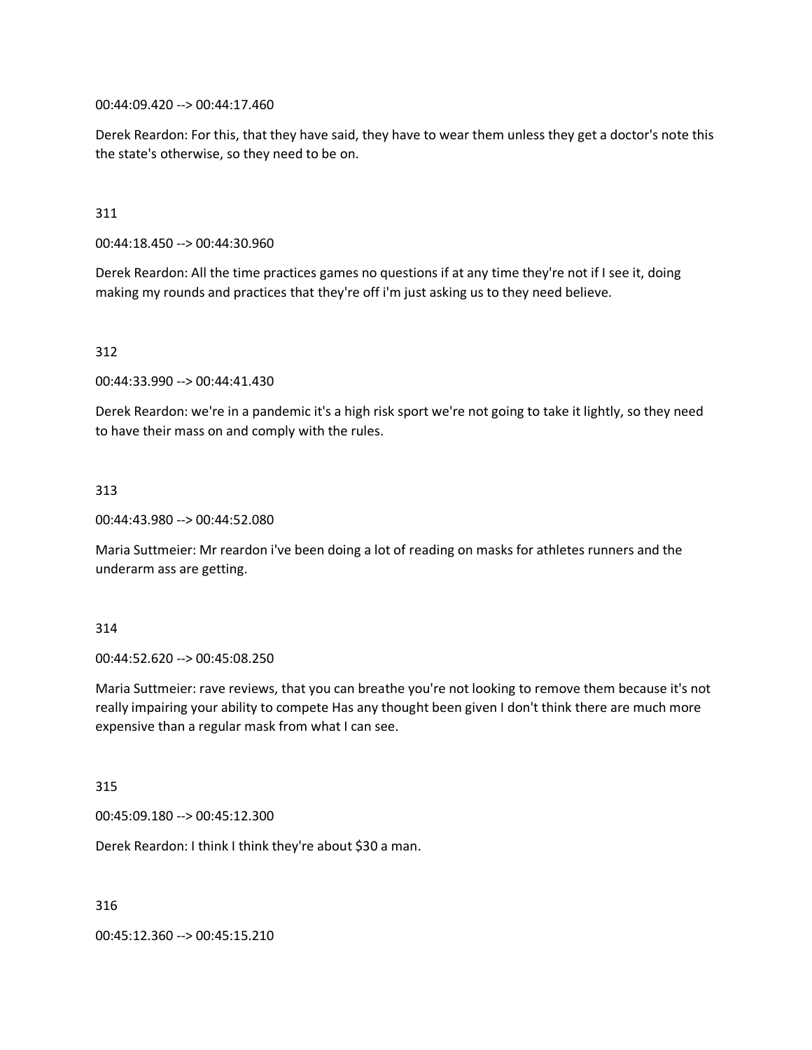00:44:09.420 --> 00:44:17.460

Derek Reardon: For this, that they have said, they have to wear them unless they get a doctor's note this the state's otherwise, so they need to be on.

# 311

00:44:18.450 --> 00:44:30.960

Derek Reardon: All the time practices games no questions if at any time they're not if I see it, doing making my rounds and practices that they're off i'm just asking us to they need believe.

## 312

00:44:33.990 --> 00:44:41.430

Derek Reardon: we're in a pandemic it's a high risk sport we're not going to take it lightly, so they need to have their mass on and comply with the rules.

## 313

00:44:43.980 --> 00:44:52.080

Maria Suttmeier: Mr reardon i've been doing a lot of reading on masks for athletes runners and the underarm ass are getting.

#### 314

00:44:52.620 --> 00:45:08.250

Maria Suttmeier: rave reviews, that you can breathe you're not looking to remove them because it's not really impairing your ability to compete Has any thought been given I don't think there are much more expensive than a regular mask from what I can see.

#### 315

00:45:09.180 --> 00:45:12.300

Derek Reardon: I think I think they're about \$30 a man.

316

00:45:12.360 --> 00:45:15.210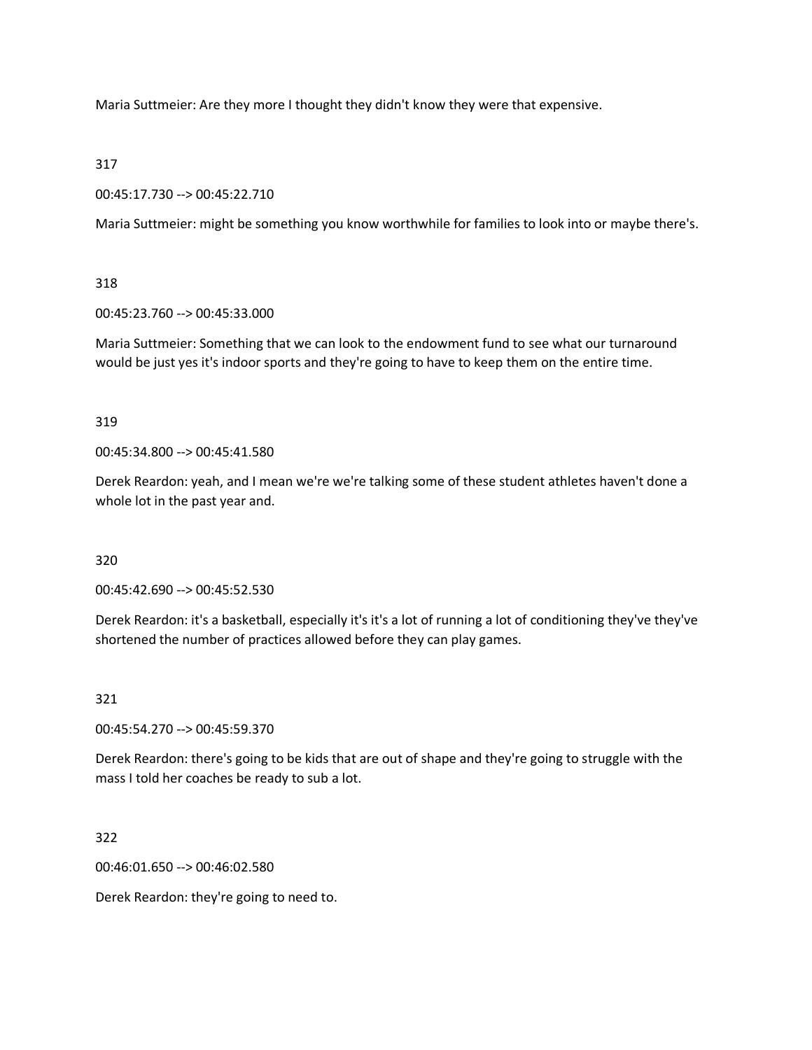Maria Suttmeier: Are they more I thought they didn't know they were that expensive.

# 317

00:45:17.730 --> 00:45:22.710

Maria Suttmeier: might be something you know worthwhile for families to look into or maybe there's.

# 318

00:45:23.760 --> 00:45:33.000

Maria Suttmeier: Something that we can look to the endowment fund to see what our turnaround would be just yes it's indoor sports and they're going to have to keep them on the entire time.

# 319

00:45:34.800 --> 00:45:41.580

Derek Reardon: yeah, and I mean we're we're talking some of these student athletes haven't done a whole lot in the past year and.

# 320

00:45:42.690 --> 00:45:52.530

Derek Reardon: it's a basketball, especially it's it's a lot of running a lot of conditioning they've they've shortened the number of practices allowed before they can play games.

# 321

00:45:54.270 --> 00:45:59.370

Derek Reardon: there's going to be kids that are out of shape and they're going to struggle with the mass I told her coaches be ready to sub a lot.

322

00:46:01.650 --> 00:46:02.580

Derek Reardon: they're going to need to.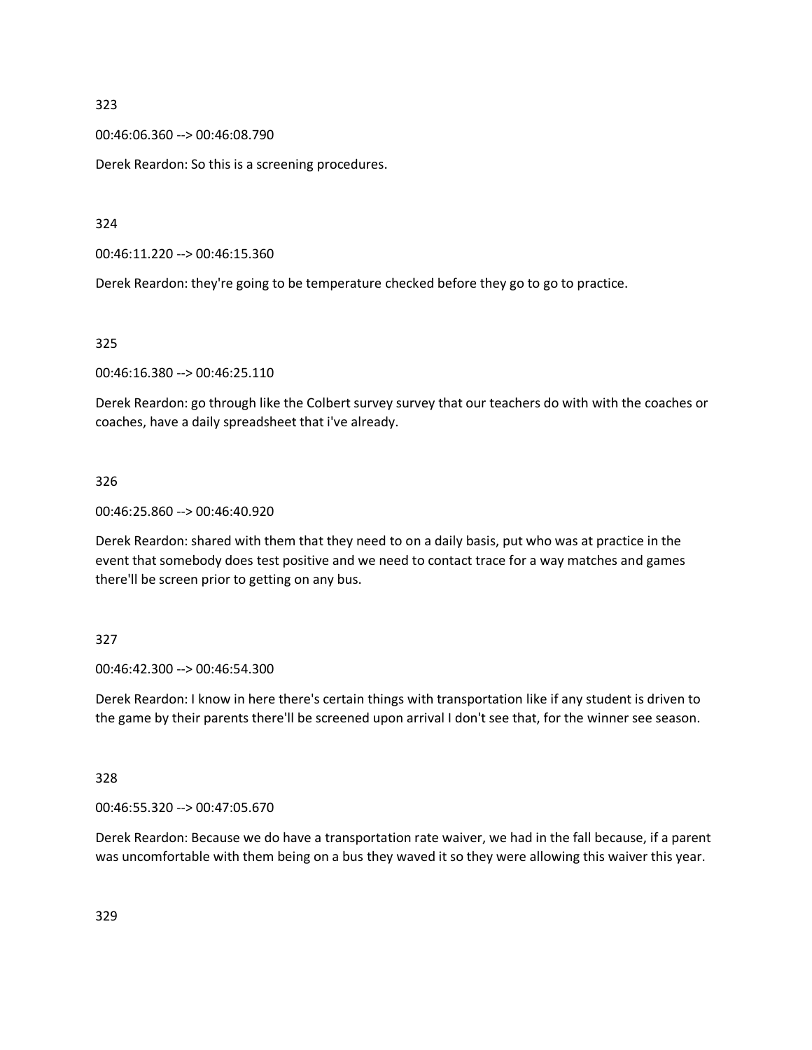00:46:06.360 --> 00:46:08.790

Derek Reardon: So this is a screening procedures.

324

00:46:11.220 --> 00:46:15.360

Derek Reardon: they're going to be temperature checked before they go to go to practice.

325

00:46:16.380 --> 00:46:25.110

Derek Reardon: go through like the Colbert survey survey that our teachers do with with the coaches or coaches, have a daily spreadsheet that i've already.

## 326

00:46:25.860 --> 00:46:40.920

Derek Reardon: shared with them that they need to on a daily basis, put who was at practice in the event that somebody does test positive and we need to contact trace for a way matches and games there'll be screen prior to getting on any bus.

# 327

00:46:42.300 --> 00:46:54.300

Derek Reardon: I know in here there's certain things with transportation like if any student is driven to the game by their parents there'll be screened upon arrival I don't see that, for the winner see season.

328

00:46:55.320 --> 00:47:05.670

Derek Reardon: Because we do have a transportation rate waiver, we had in the fall because, if a parent was uncomfortable with them being on a bus they waved it so they were allowing this waiver this year.

329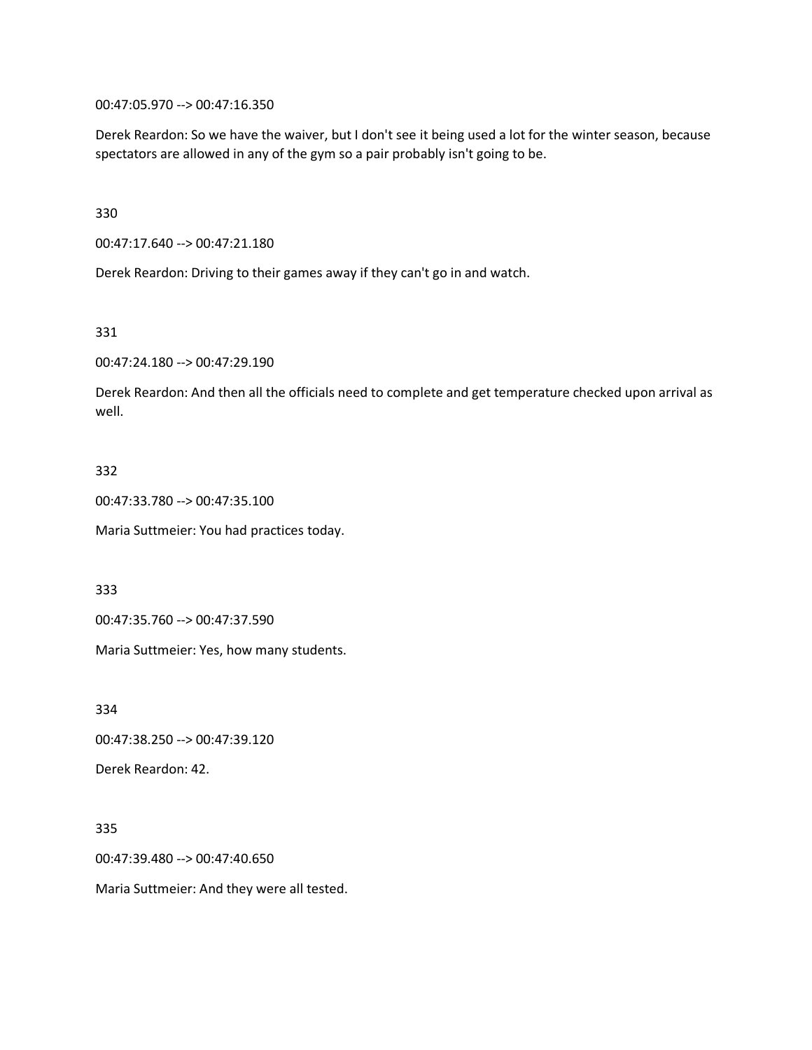00:47:05.970 --> 00:47:16.350

Derek Reardon: So we have the waiver, but I don't see it being used a lot for the winter season, because spectators are allowed in any of the gym so a pair probably isn't going to be.

330

00:47:17.640 --> 00:47:21.180

Derek Reardon: Driving to their games away if they can't go in and watch.

331

00:47:24.180 --> 00:47:29.190

Derek Reardon: And then all the officials need to complete and get temperature checked upon arrival as well.

## 332

00:47:33.780 --> 00:47:35.100

Maria Suttmeier: You had practices today.

333

00:47:35.760 --> 00:47:37.590

Maria Suttmeier: Yes, how many students.

334

00:47:38.250 --> 00:47:39.120

Derek Reardon: 42.

#### 335

00:47:39.480 --> 00:47:40.650

Maria Suttmeier: And they were all tested.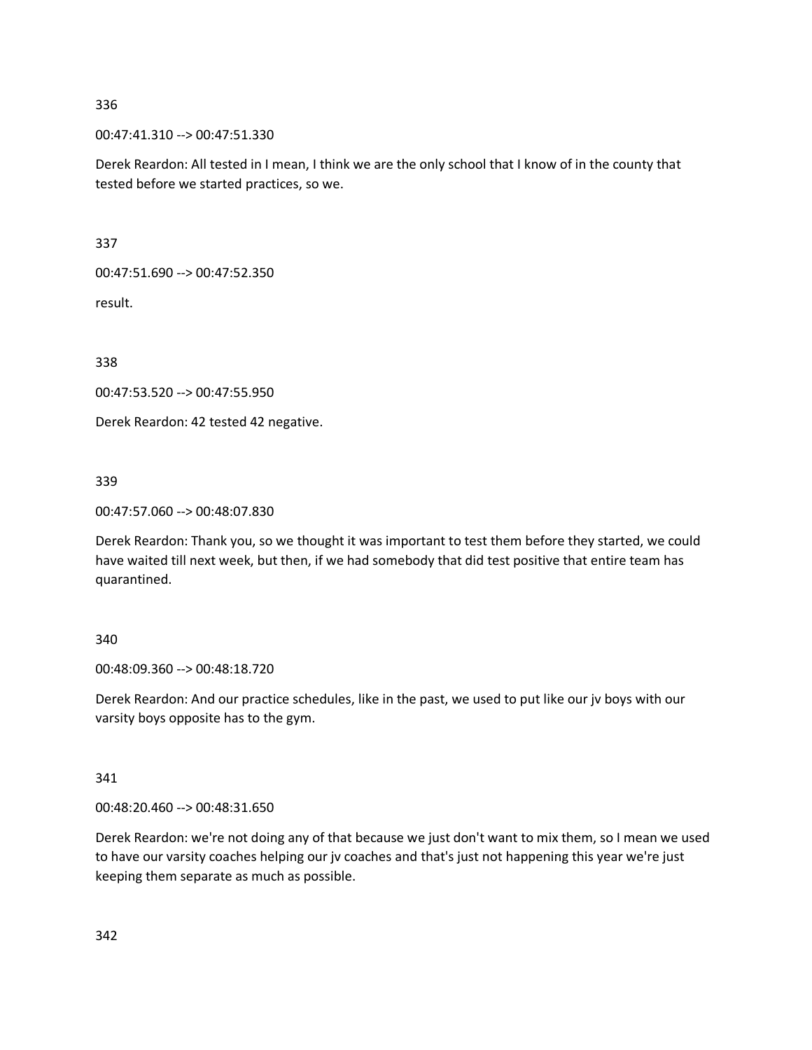00:47:41.310 --> 00:47:51.330

Derek Reardon: All tested in I mean, I think we are the only school that I know of in the county that tested before we started practices, so we.

337

00:47:51.690 --> 00:47:52.350

result.

338

00:47:53.520 --> 00:47:55.950

Derek Reardon: 42 tested 42 negative.

339

00:47:57.060 --> 00:48:07.830

Derek Reardon: Thank you, so we thought it was important to test them before they started, we could have waited till next week, but then, if we had somebody that did test positive that entire team has quarantined.

#### 340

00:48:09.360 --> 00:48:18.720

Derek Reardon: And our practice schedules, like in the past, we used to put like our jv boys with our varsity boys opposite has to the gym.

341

00:48:20.460 --> 00:48:31.650

Derek Reardon: we're not doing any of that because we just don't want to mix them, so I mean we used to have our varsity coaches helping our jv coaches and that's just not happening this year we're just keeping them separate as much as possible.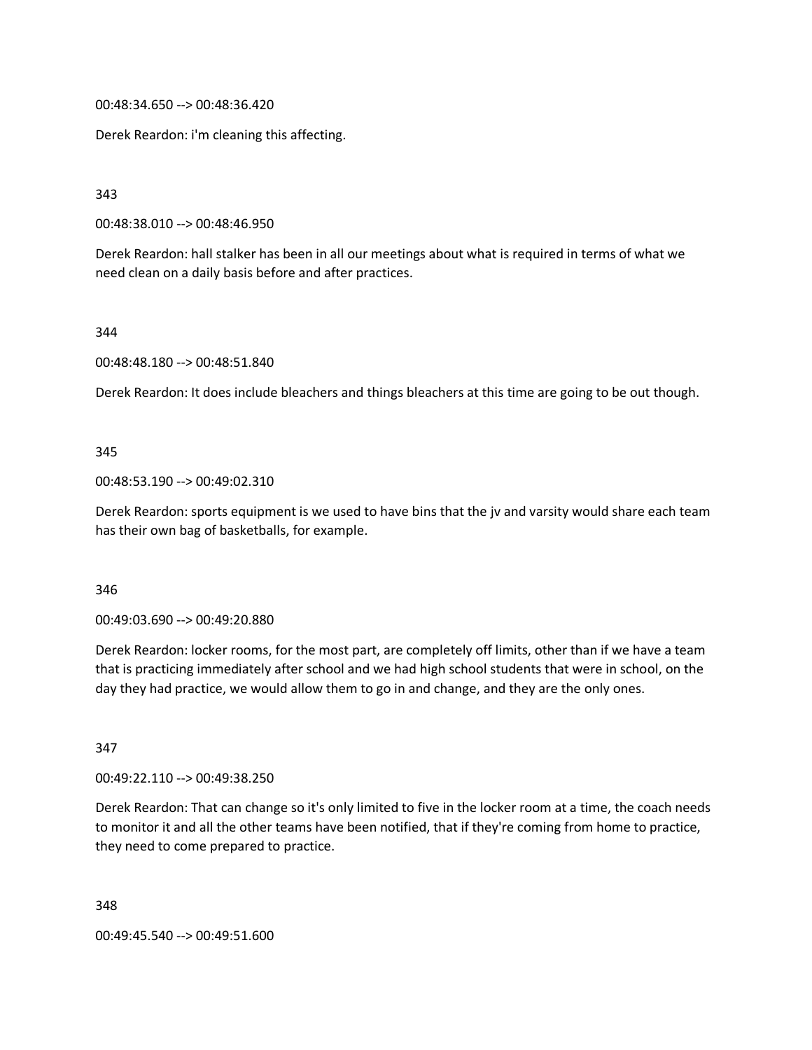00:48:34.650 --> 00:48:36.420

Derek Reardon: i'm cleaning this affecting.

343

00:48:38.010 --> 00:48:46.950

Derek Reardon: hall stalker has been in all our meetings about what is required in terms of what we need clean on a daily basis before and after practices.

344

00:48:48.180 --> 00:48:51.840

Derek Reardon: It does include bleachers and things bleachers at this time are going to be out though.

345

00:48:53.190 --> 00:49:02.310

Derek Reardon: sports equipment is we used to have bins that the jv and varsity would share each team has their own bag of basketballs, for example.

346

00:49:03.690 --> 00:49:20.880

Derek Reardon: locker rooms, for the most part, are completely off limits, other than if we have a team that is practicing immediately after school and we had high school students that were in school, on the day they had practice, we would allow them to go in and change, and they are the only ones.

347

00:49:22.110 --> 00:49:38.250

Derek Reardon: That can change so it's only limited to five in the locker room at a time, the coach needs to monitor it and all the other teams have been notified, that if they're coming from home to practice, they need to come prepared to practice.

348 00:49:45.540 --> 00:49:51.600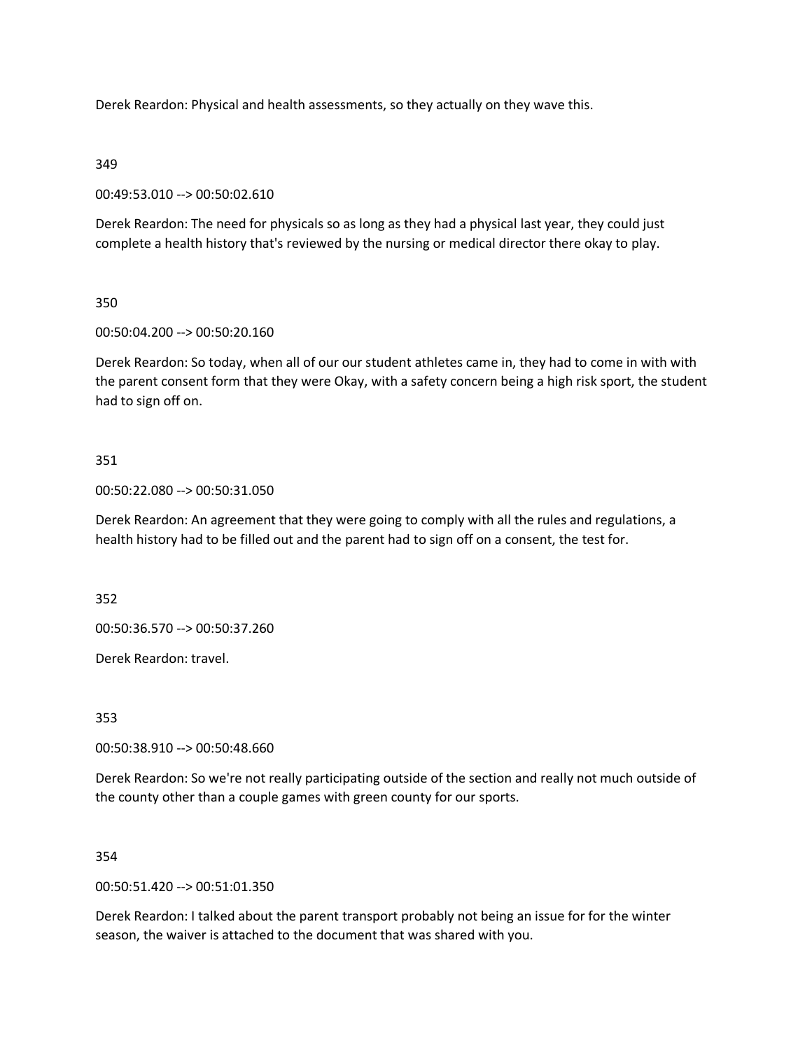Derek Reardon: Physical and health assessments, so they actually on they wave this.

# 349

00:49:53.010 --> 00:50:02.610

Derek Reardon: The need for physicals so as long as they had a physical last year, they could just complete a health history that's reviewed by the nursing or medical director there okay to play.

# 350

00:50:04.200 --> 00:50:20.160

Derek Reardon: So today, when all of our our student athletes came in, they had to come in with with the parent consent form that they were Okay, with a safety concern being a high risk sport, the student had to sign off on.

# 351

00:50:22.080 --> 00:50:31.050

Derek Reardon: An agreement that they were going to comply with all the rules and regulations, a health history had to be filled out and the parent had to sign off on a consent, the test for.

352

00:50:36.570 --> 00:50:37.260

Derek Reardon: travel.

353

00:50:38.910 --> 00:50:48.660

Derek Reardon: So we're not really participating outside of the section and really not much outside of the county other than a couple games with green county for our sports.

# 354

00:50:51.420 --> 00:51:01.350

Derek Reardon: I talked about the parent transport probably not being an issue for for the winter season, the waiver is attached to the document that was shared with you.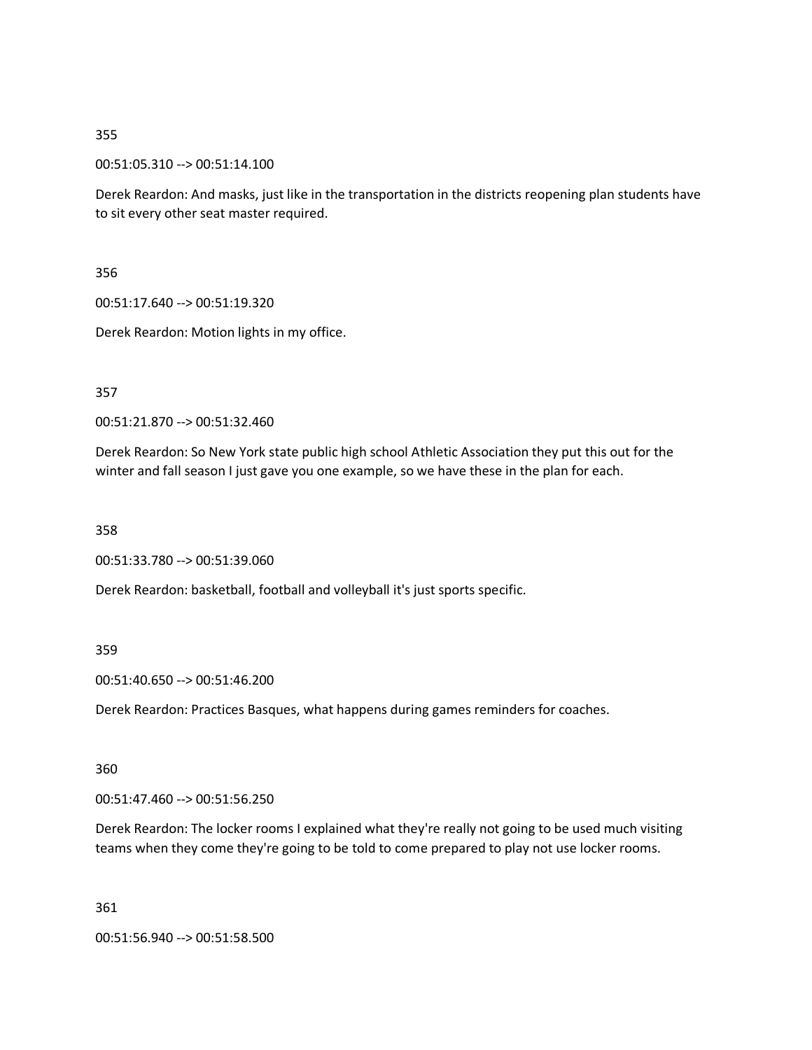00:51:05.310 --> 00:51:14.100

Derek Reardon: And masks, just like in the transportation in the districts reopening plan students have to sit every other seat master required.

356

00:51:17.640 --> 00:51:19.320

Derek Reardon: Motion lights in my office.

357

00:51:21.870 --> 00:51:32.460

Derek Reardon: So New York state public high school Athletic Association they put this out for the winter and fall season I just gave you one example, so we have these in the plan for each.

358

00:51:33.780 --> 00:51:39.060

Derek Reardon: basketball, football and volleyball it's just sports specific.

# 359

00:51:40.650 --> 00:51:46.200

Derek Reardon: Practices Basques, what happens during games reminders for coaches.

360

00:51:47.460 --> 00:51:56.250

Derek Reardon: The locker rooms I explained what they're really not going to be used much visiting teams when they come they're going to be told to come prepared to play not use locker rooms.

361

00:51:56.940 --> 00:51:58.500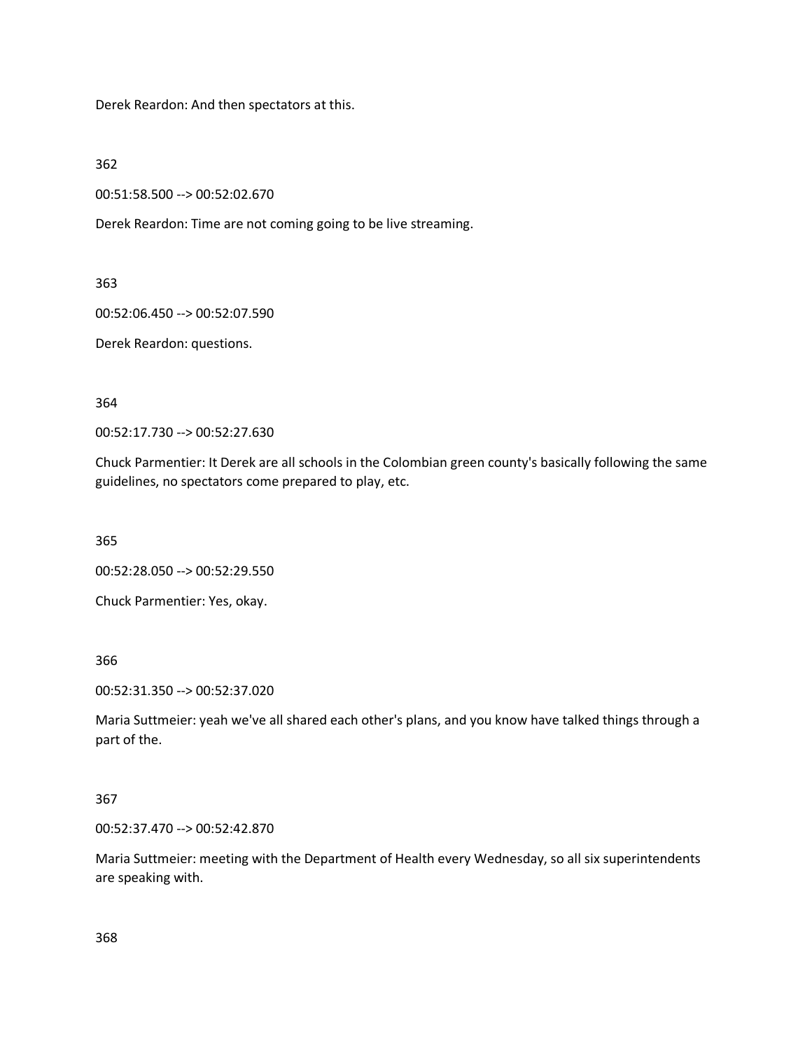Derek Reardon: And then spectators at this.

362

00:51:58.500 --> 00:52:02.670

Derek Reardon: Time are not coming going to be live streaming.

363

00:52:06.450 --> 00:52:07.590

Derek Reardon: questions.

364

00:52:17.730 --> 00:52:27.630

Chuck Parmentier: It Derek are all schools in the Colombian green county's basically following the same guidelines, no spectators come prepared to play, etc.

365

00:52:28.050 --> 00:52:29.550

Chuck Parmentier: Yes, okay.

366

00:52:31.350 --> 00:52:37.020

Maria Suttmeier: yeah we've all shared each other's plans, and you know have talked things through a part of the.

# 367

00:52:37.470 --> 00:52:42.870

Maria Suttmeier: meeting with the Department of Health every Wednesday, so all six superintendents are speaking with.

368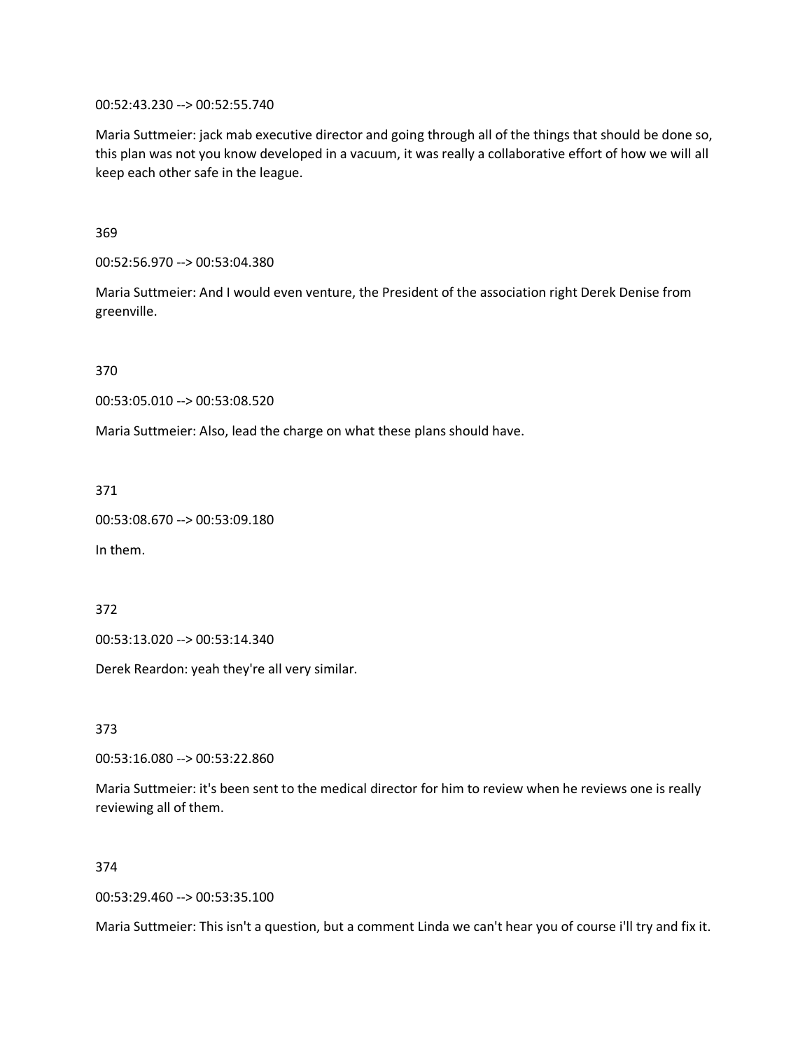00:52:43.230 --> 00:52:55.740

Maria Suttmeier: jack mab executive director and going through all of the things that should be done so, this plan was not you know developed in a vacuum, it was really a collaborative effort of how we will all keep each other safe in the league.

369

00:52:56.970 --> 00:53:04.380

Maria Suttmeier: And I would even venture, the President of the association right Derek Denise from greenville.

370

00:53:05.010 --> 00:53:08.520

Maria Suttmeier: Also, lead the charge on what these plans should have.

371

```
00:53:08.670 --> 00:53:09.180
```
In them.

372

00:53:13.020 --> 00:53:14.340

Derek Reardon: yeah they're all very similar.

373

00:53:16.080 --> 00:53:22.860

Maria Suttmeier: it's been sent to the medical director for him to review when he reviews one is really reviewing all of them.

374

00:53:29.460 --> 00:53:35.100

Maria Suttmeier: This isn't a question, but a comment Linda we can't hear you of course i'll try and fix it.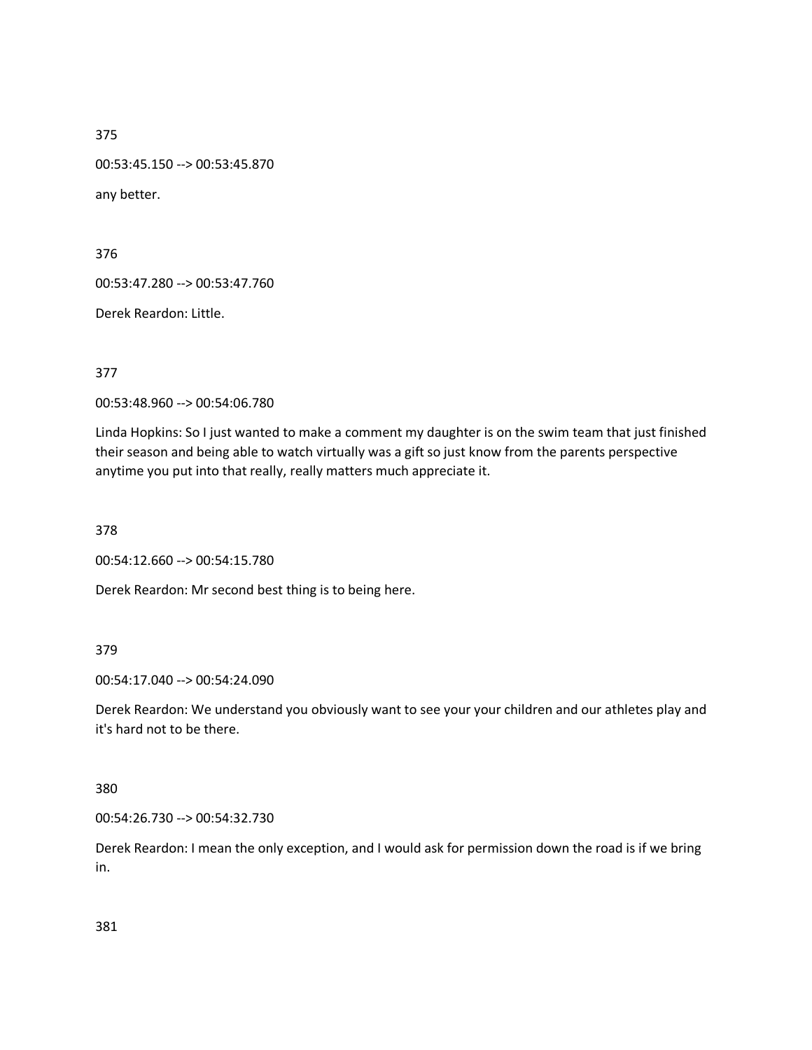00:53:45.150 --> 00:53:45.870 any better.

376

00:53:47.280 --> 00:53:47.760

Derek Reardon: Little.

377

00:53:48.960 --> 00:54:06.780

Linda Hopkins: So I just wanted to make a comment my daughter is on the swim team that just finished their season and being able to watch virtually was a gift so just know from the parents perspective anytime you put into that really, really matters much appreciate it.

378

00:54:12.660 --> 00:54:15.780

Derek Reardon: Mr second best thing is to being here.

# 379

00:54:17.040 --> 00:54:24.090

Derek Reardon: We understand you obviously want to see your your children and our athletes play and it's hard not to be there.

### 380

00:54:26.730 --> 00:54:32.730

Derek Reardon: I mean the only exception, and I would ask for permission down the road is if we bring in.

381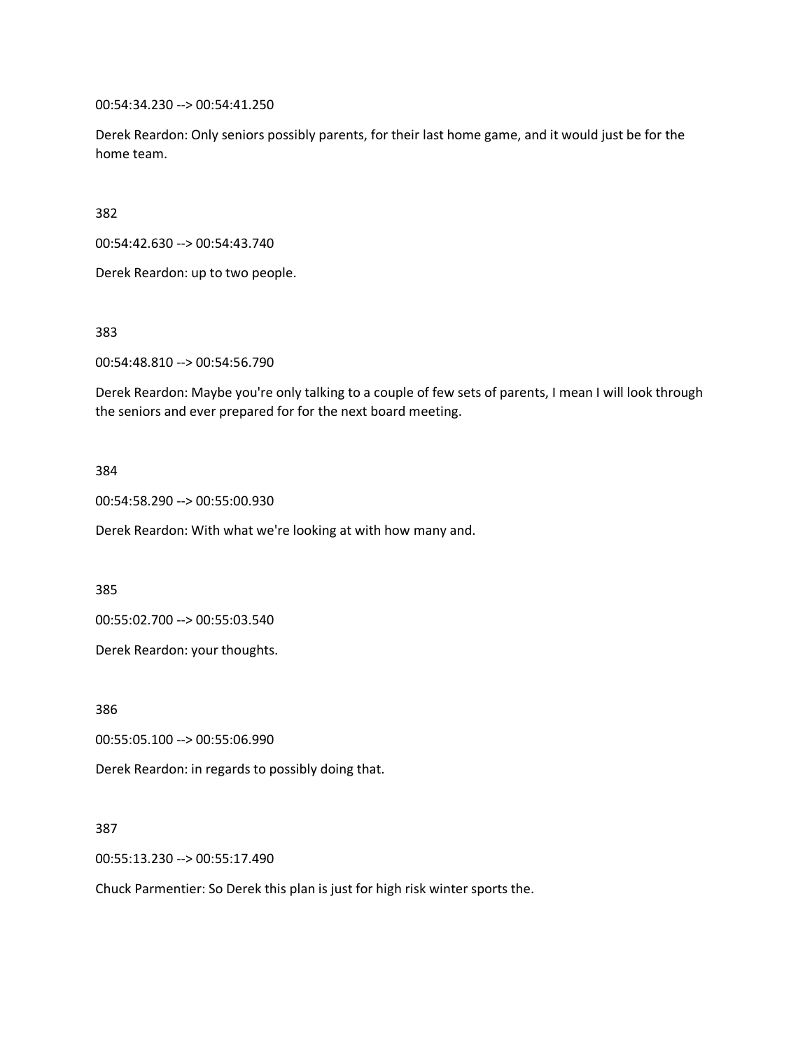00:54:34.230 --> 00:54:41.250

Derek Reardon: Only seniors possibly parents, for their last home game, and it would just be for the home team.

382

00:54:42.630 --> 00:54:43.740

Derek Reardon: up to two people.

383

00:54:48.810 --> 00:54:56.790

Derek Reardon: Maybe you're only talking to a couple of few sets of parents, I mean I will look through the seniors and ever prepared for for the next board meeting.

## 384

00:54:58.290 --> 00:55:00.930

Derek Reardon: With what we're looking at with how many and.

385

00:55:02.700 --> 00:55:03.540

Derek Reardon: your thoughts.

386

00:55:05.100 --> 00:55:06.990

Derek Reardon: in regards to possibly doing that.

#### 387

00:55:13.230 --> 00:55:17.490

Chuck Parmentier: So Derek this plan is just for high risk winter sports the.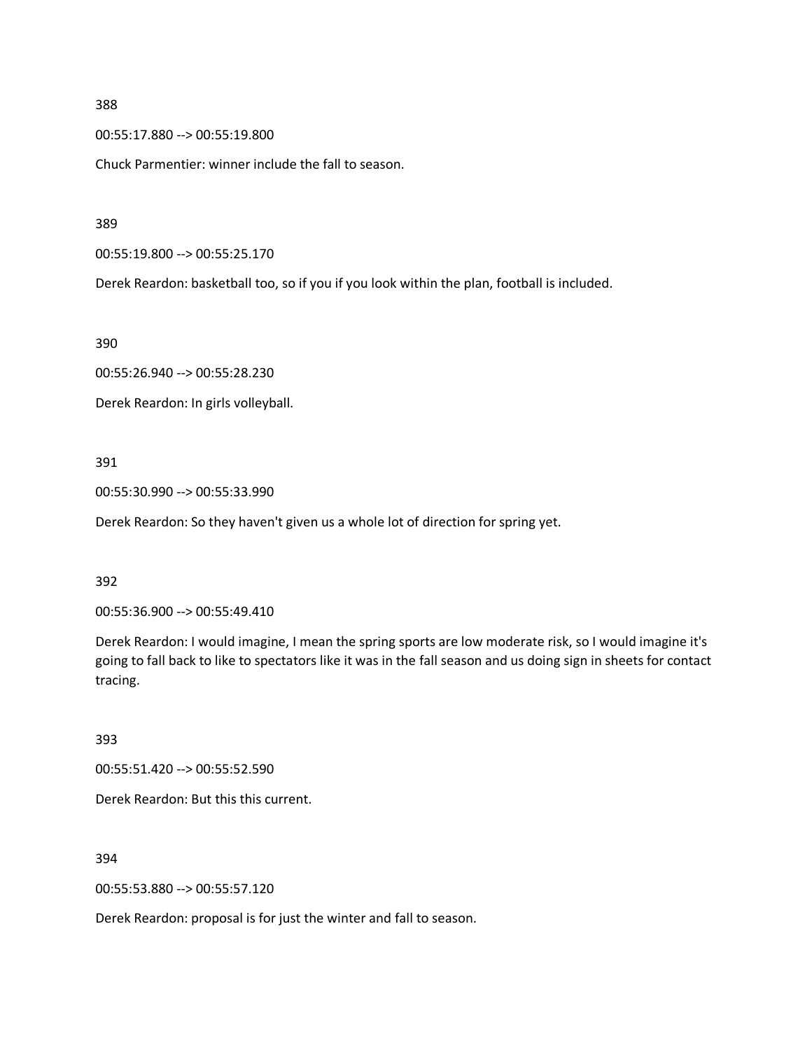00:55:17.880 --> 00:55:19.800

Chuck Parmentier: winner include the fall to season.

389

00:55:19.800 --> 00:55:25.170

Derek Reardon: basketball too, so if you if you look within the plan, football is included.

390

00:55:26.940 --> 00:55:28.230

Derek Reardon: In girls volleyball.

#### 391

00:55:30.990 --> 00:55:33.990

Derek Reardon: So they haven't given us a whole lot of direction for spring yet.

392

00:55:36.900 --> 00:55:49.410

Derek Reardon: I would imagine, I mean the spring sports are low moderate risk, so I would imagine it's going to fall back to like to spectators like it was in the fall season and us doing sign in sheets for contact tracing.

393

00:55:51.420 --> 00:55:52.590

Derek Reardon: But this this current.

394

00:55:53.880 --> 00:55:57.120

Derek Reardon: proposal is for just the winter and fall to season.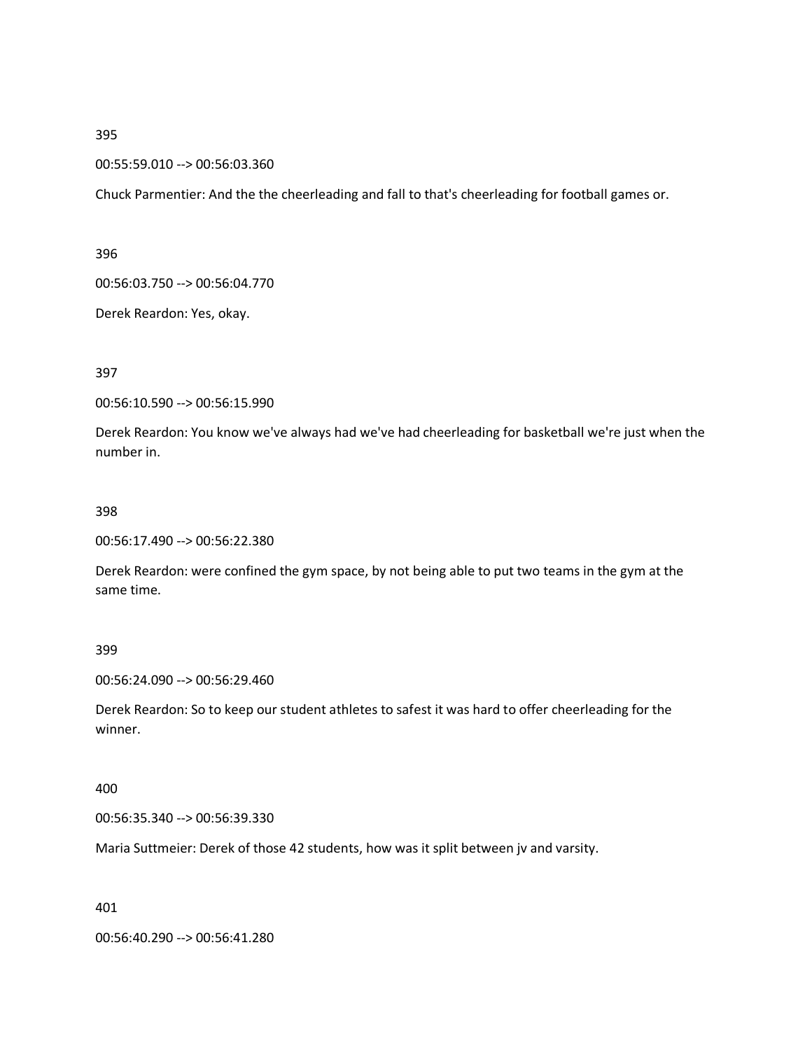### 00:55:59.010 --> 00:56:03.360

Chuck Parmentier: And the the cheerleading and fall to that's cheerleading for football games or.

396

00:56:03.750 --> 00:56:04.770

Derek Reardon: Yes, okay.

397

00:56:10.590 --> 00:56:15.990

Derek Reardon: You know we've always had we've had cheerleading for basketball we're just when the number in.

#### 398

00:56:17.490 --> 00:56:22.380

Derek Reardon: were confined the gym space, by not being able to put two teams in the gym at the same time.

399

00:56:24.090 --> 00:56:29.460

Derek Reardon: So to keep our student athletes to safest it was hard to offer cheerleading for the winner.

400

00:56:35.340 --> 00:56:39.330

Maria Suttmeier: Derek of those 42 students, how was it split between jv and varsity.

401

00:56:40.290 --> 00:56:41.280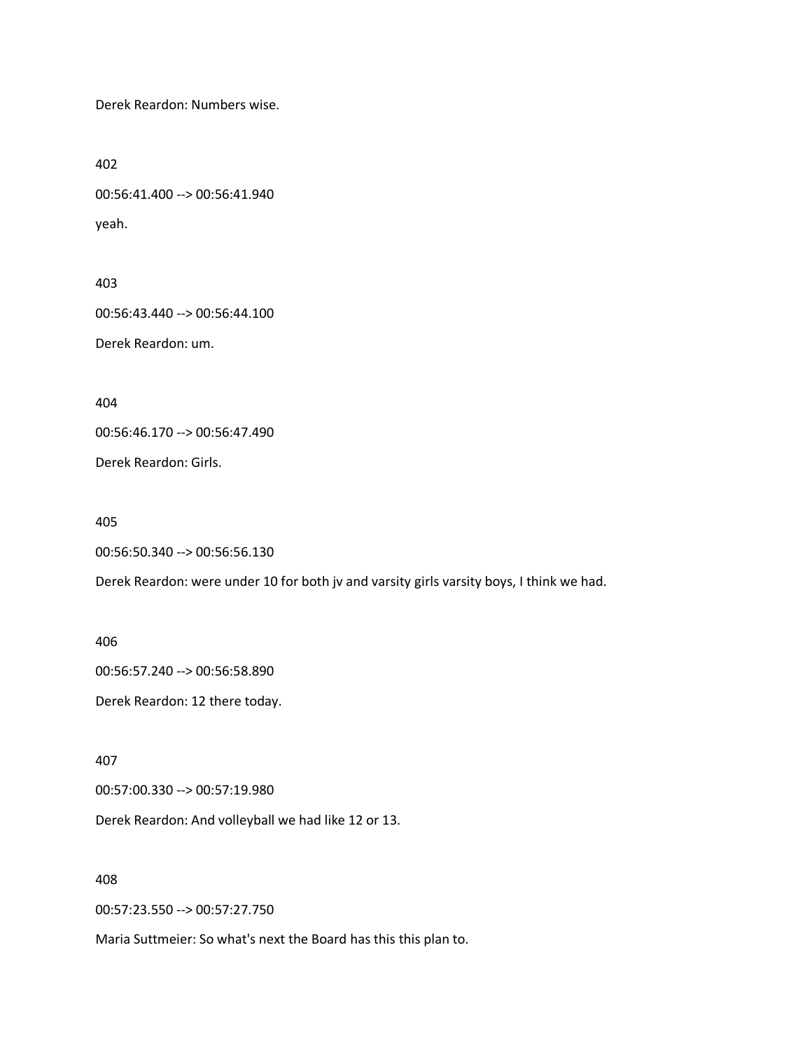Derek Reardon: Numbers wise.

402

00:56:41.400 --> 00:56:41.940 yeah.

403

00:56:43.440 --> 00:56:44.100

Derek Reardon: um.

404

00:56:46.170 --> 00:56:47.490

Derek Reardon: Girls.

405

```
00:56:50.340 --> 00:56:56.130
```
Derek Reardon: were under 10 for both jv and varsity girls varsity boys, I think we had.

406

00:56:57.240 --> 00:56:58.890

Derek Reardon: 12 there today.

407

00:57:00.330 --> 00:57:19.980

Derek Reardon: And volleyball we had like 12 or 13.

408

00:57:23.550 --> 00:57:27.750

Maria Suttmeier: So what's next the Board has this this plan to.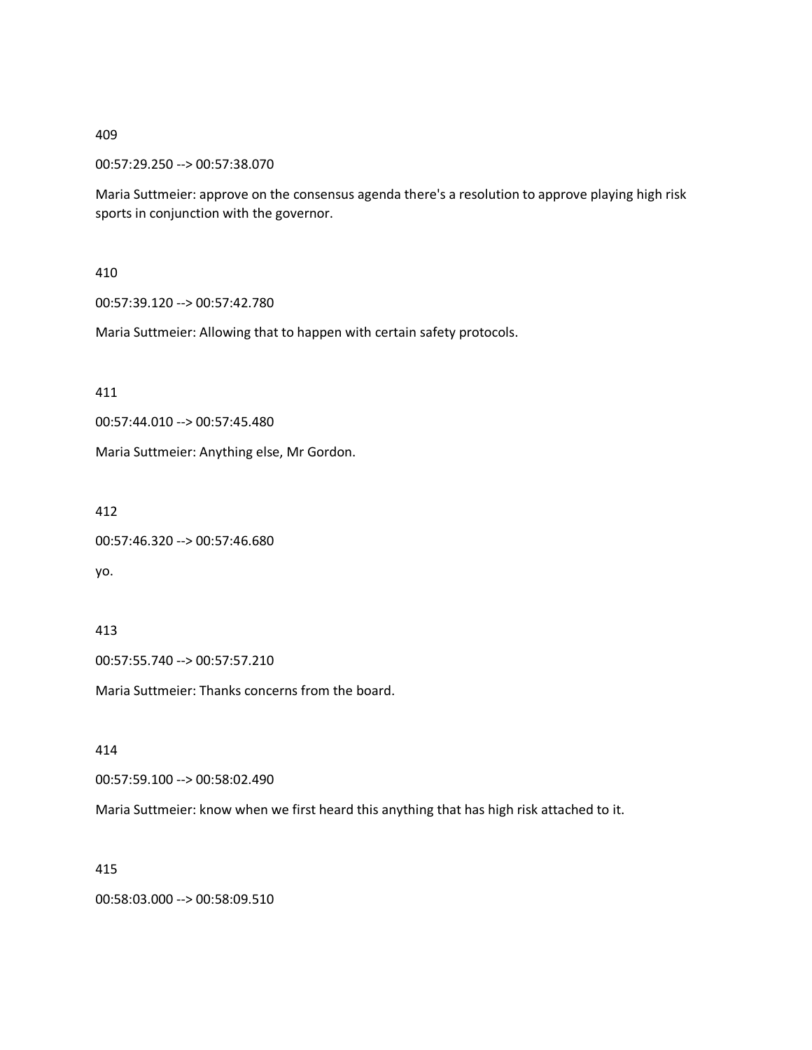00:57:29.250 --> 00:57:38.070

Maria Suttmeier: approve on the consensus agenda there's a resolution to approve playing high risk sports in conjunction with the governor.

# 410

00:57:39.120 --> 00:57:42.780

Maria Suttmeier: Allowing that to happen with certain safety protocols.

411

00:57:44.010 --> 00:57:45.480

Maria Suttmeier: Anything else, Mr Gordon.

412

```
00:57:46.320 --> 00:57:46.680
```
yo.

# 413

00:57:55.740 --> 00:57:57.210

Maria Suttmeier: Thanks concerns from the board.

414

00:57:59.100 --> 00:58:02.490

Maria Suttmeier: know when we first heard this anything that has high risk attached to it.

# 415

00:58:03.000 --> 00:58:09.510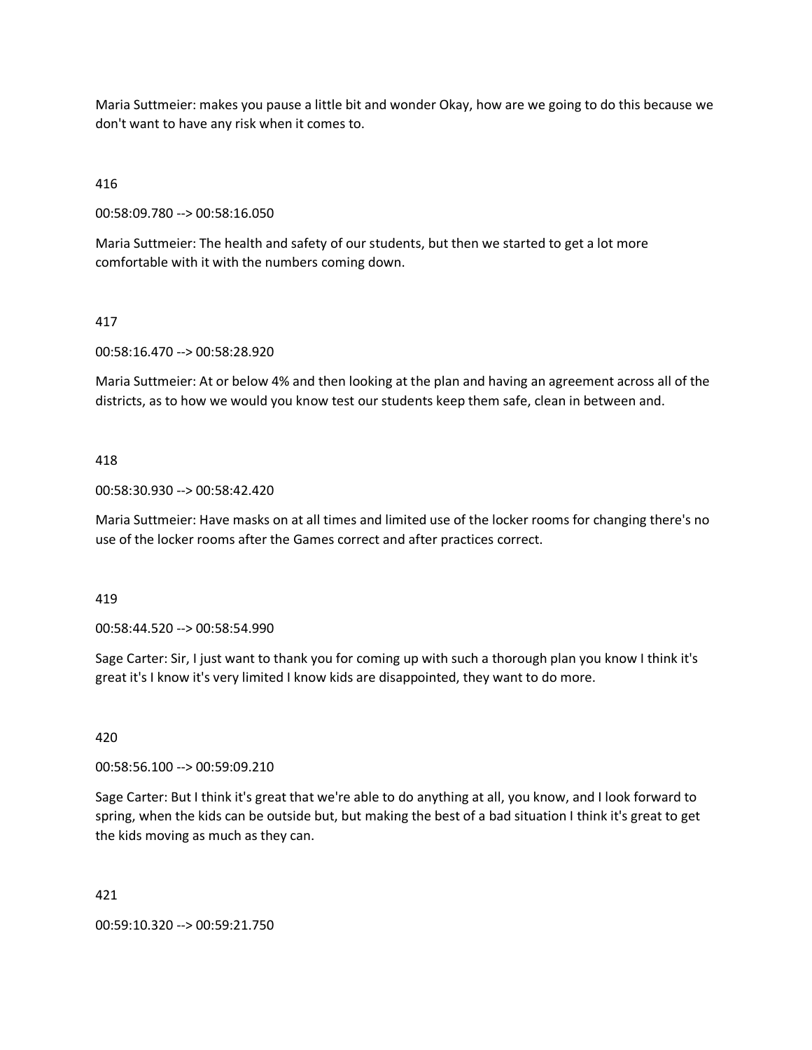Maria Suttmeier: makes you pause a little bit and wonder Okay, how are we going to do this because we don't want to have any risk when it comes to.

# 416

00:58:09.780 --> 00:58:16.050

Maria Suttmeier: The health and safety of our students, but then we started to get a lot more comfortable with it with the numbers coming down.

# 417

00:58:16.470 --> 00:58:28.920

Maria Suttmeier: At or below 4% and then looking at the plan and having an agreement across all of the districts, as to how we would you know test our students keep them safe, clean in between and.

# 418

00:58:30.930 --> 00:58:42.420

Maria Suttmeier: Have masks on at all times and limited use of the locker rooms for changing there's no use of the locker rooms after the Games correct and after practices correct.

#### 419

00:58:44.520 --> 00:58:54.990

Sage Carter: Sir, I just want to thank you for coming up with such a thorough plan you know I think it's great it's I know it's very limited I know kids are disappointed, they want to do more.

### 420

00:58:56.100 --> 00:59:09.210

Sage Carter: But I think it's great that we're able to do anything at all, you know, and I look forward to spring, when the kids can be outside but, but making the best of a bad situation I think it's great to get the kids moving as much as they can.

#### 421

00:59:10.320 --> 00:59:21.750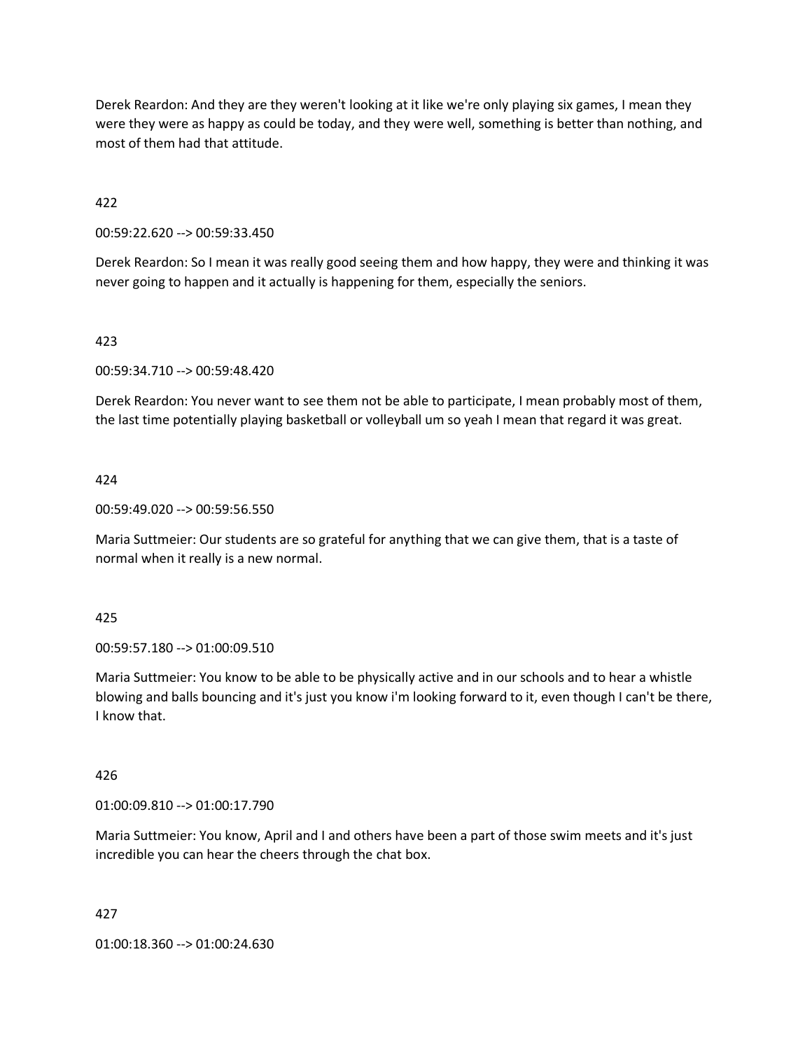Derek Reardon: And they are they weren't looking at it like we're only playing six games, I mean they were they were as happy as could be today, and they were well, something is better than nothing, and most of them had that attitude.

422

00:59:22.620 --> 00:59:33.450

Derek Reardon: So I mean it was really good seeing them and how happy, they were and thinking it was never going to happen and it actually is happening for them, especially the seniors.

## 423

00:59:34.710 --> 00:59:48.420

Derek Reardon: You never want to see them not be able to participate, I mean probably most of them, the last time potentially playing basketball or volleyball um so yeah I mean that regard it was great.

## 424

00:59:49.020 --> 00:59:56.550

Maria Suttmeier: Our students are so grateful for anything that we can give them, that is a taste of normal when it really is a new normal.

#### 425

00:59:57.180 --> 01:00:09.510

Maria Suttmeier: You know to be able to be physically active and in our schools and to hear a whistle blowing and balls bouncing and it's just you know i'm looking forward to it, even though I can't be there, I know that.

## 426

01:00:09.810 --> 01:00:17.790

Maria Suttmeier: You know, April and I and others have been a part of those swim meets and it's just incredible you can hear the cheers through the chat box.

#### 427

01:00:18.360 --> 01:00:24.630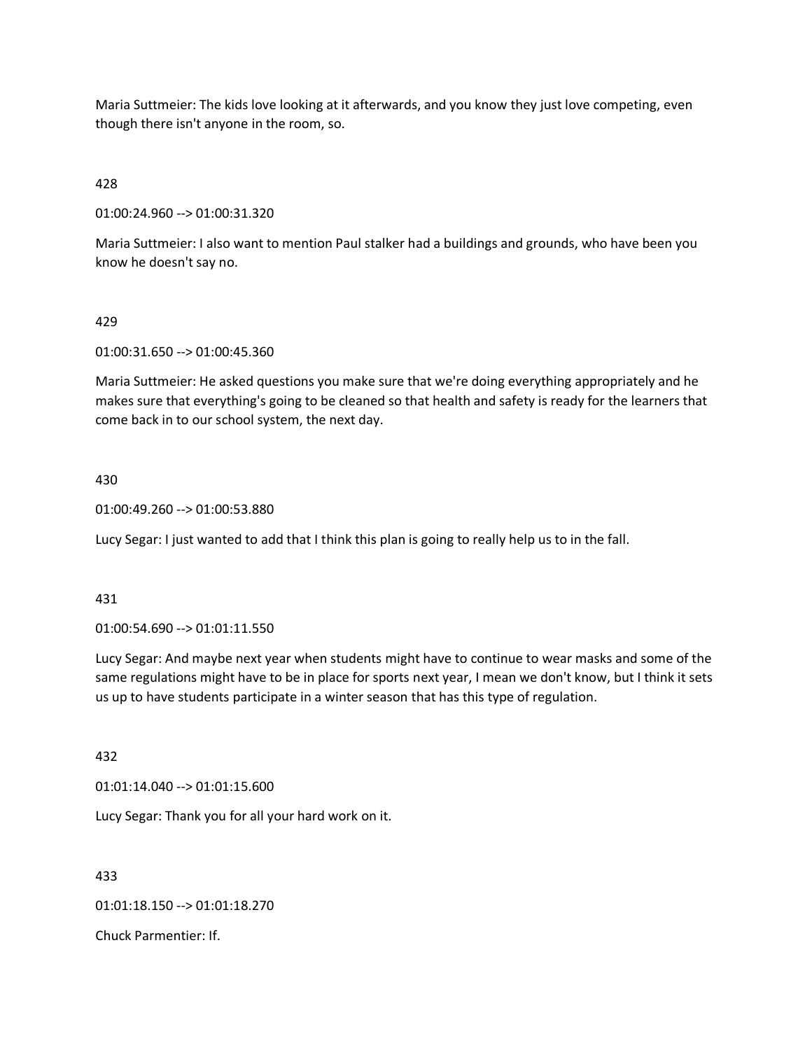Maria Suttmeier: The kids love looking at it afterwards, and you know they just love competing, even though there isn't anyone in the room, so.

# 428

01:00:24.960 --> 01:00:31.320

Maria Suttmeier: I also want to mention Paul stalker had a buildings and grounds, who have been you know he doesn't say no.

## 429

01:00:31.650 --> 01:00:45.360

Maria Suttmeier: He asked questions you make sure that we're doing everything appropriately and he makes sure that everything's going to be cleaned so that health and safety is ready for the learners that come back in to our school system, the next day.

## 430

01:00:49.260 --> 01:00:53.880

Lucy Segar: I just wanted to add that I think this plan is going to really help us to in the fall.

#### 431

01:00:54.690 --> 01:01:11.550

Lucy Segar: And maybe next year when students might have to continue to wear masks and some of the same regulations might have to be in place for sports next year, I mean we don't know, but I think it sets us up to have students participate in a winter season that has this type of regulation.

#### 432

01:01:14.040 --> 01:01:15.600

Lucy Segar: Thank you for all your hard work on it.

433

01:01:18.150 --> 01:01:18.270

Chuck Parmentier: If.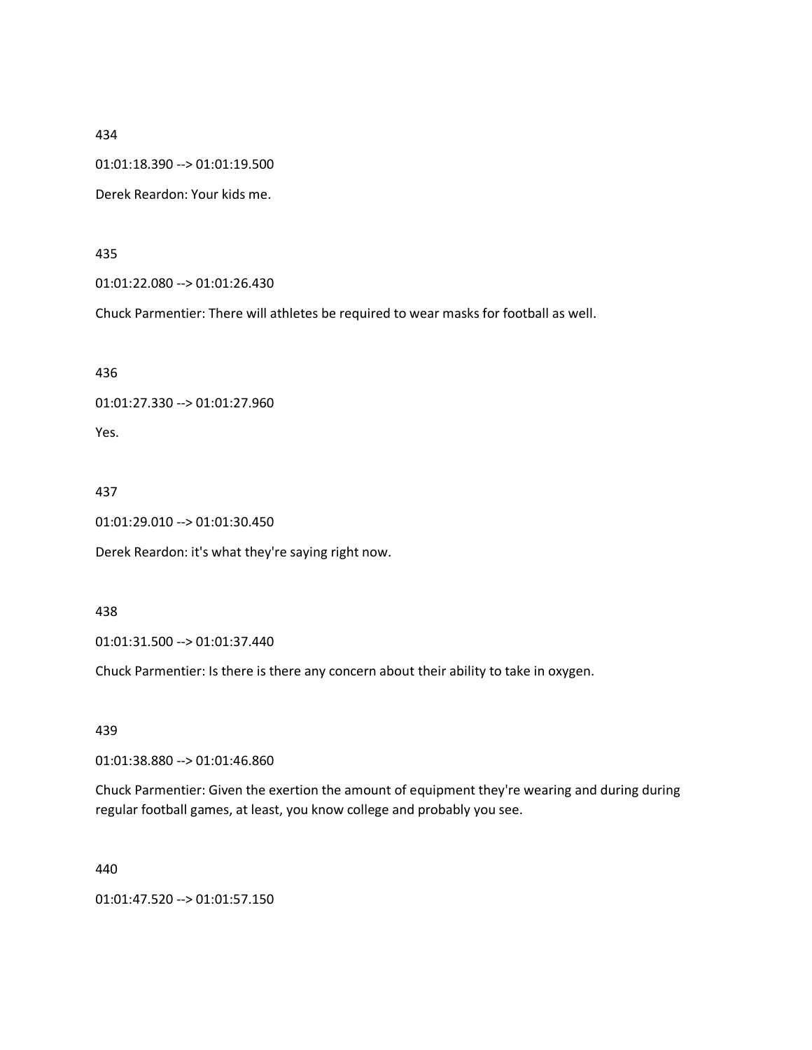01:01:18.390 --> 01:01:19.500

Derek Reardon: Your kids me.

435

01:01:22.080 --> 01:01:26.430

Chuck Parmentier: There will athletes be required to wear masks for football as well.

436

01:01:27.330 --> 01:01:27.960

Yes.

437

01:01:29.010 --> 01:01:30.450

Derek Reardon: it's what they're saying right now.

438

01:01:31.500 --> 01:01:37.440

Chuck Parmentier: Is there is there any concern about their ability to take in oxygen.

439

01:01:38.880 --> 01:01:46.860

Chuck Parmentier: Given the exertion the amount of equipment they're wearing and during during regular football games, at least, you know college and probably you see.

440

01:01:47.520 --> 01:01:57.150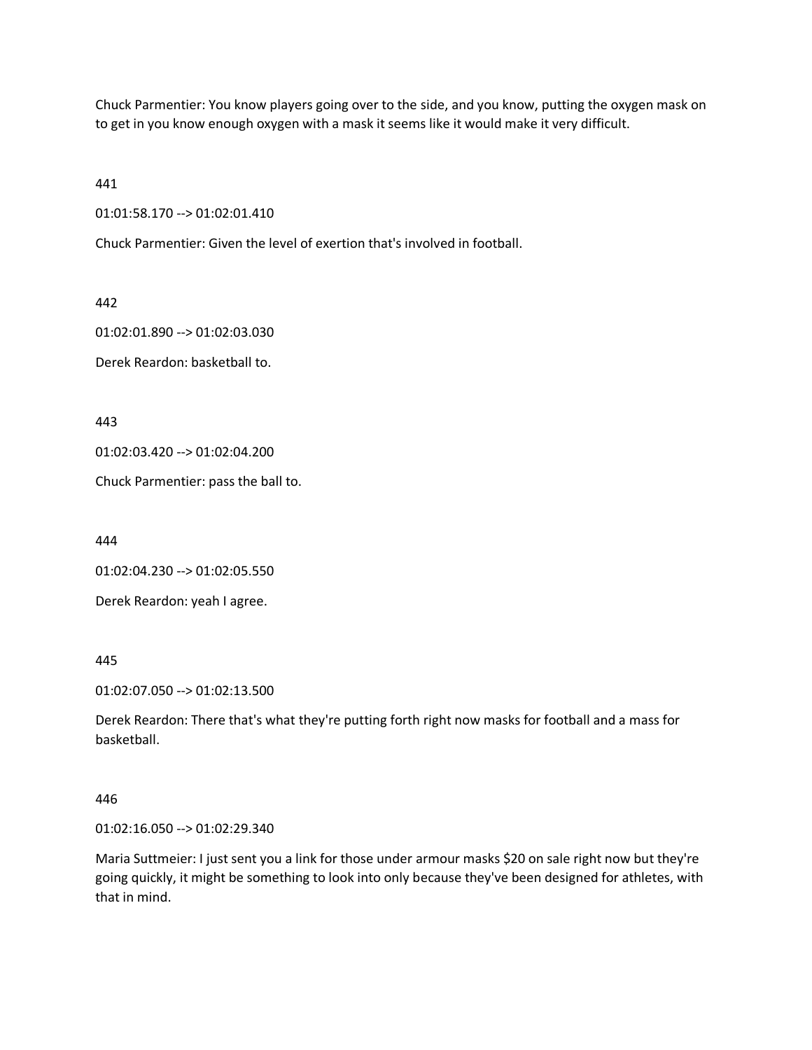Chuck Parmentier: You know players going over to the side, and you know, putting the oxygen mask on to get in you know enough oxygen with a mask it seems like it would make it very difficult.

441

01:01:58.170 --> 01:02:01.410

Chuck Parmentier: Given the level of exertion that's involved in football.

442

01:02:01.890 --> 01:02:03.030

Derek Reardon: basketball to.

443

01:02:03.420 --> 01:02:04.200

Chuck Parmentier: pass the ball to.

444

01:02:04.230 --> 01:02:05.550

Derek Reardon: yeah I agree.

445

01:02:07.050 --> 01:02:13.500

Derek Reardon: There that's what they're putting forth right now masks for football and a mass for basketball.

446

01:02:16.050 --> 01:02:29.340

Maria Suttmeier: I just sent you a link for those under armour masks \$20 on sale right now but they're going quickly, it might be something to look into only because they've been designed for athletes, with that in mind.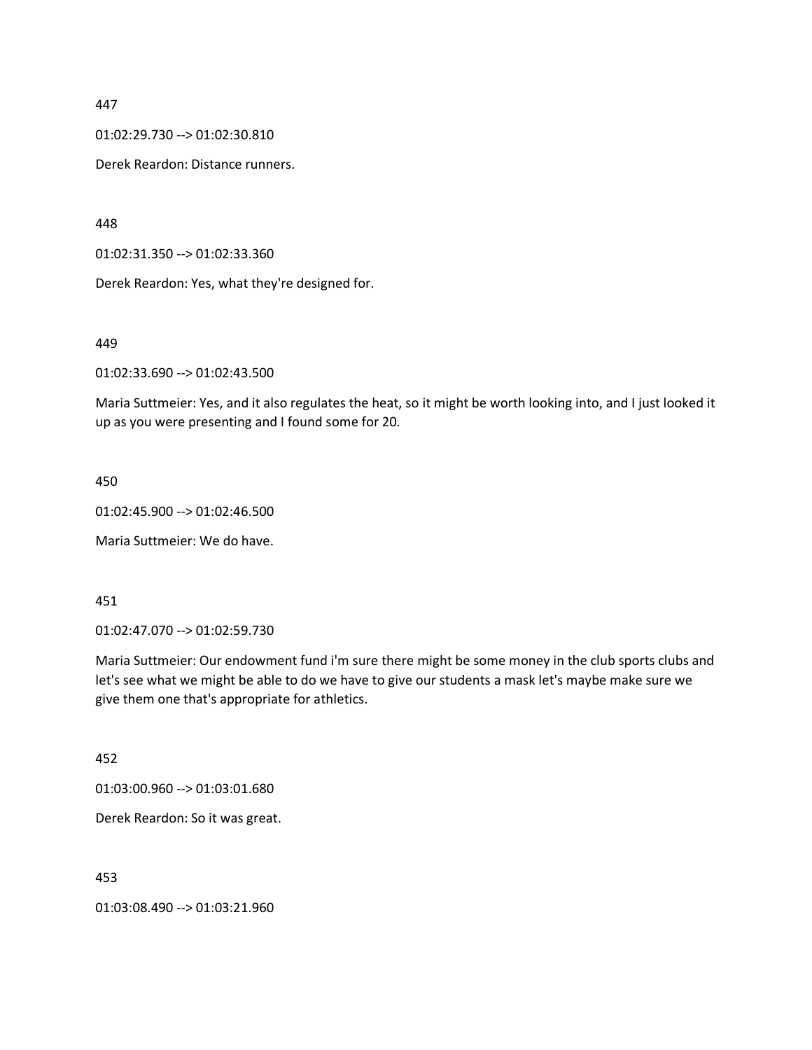01:02:29.730 --> 01:02:30.810

Derek Reardon: Distance runners.

448

01:02:31.350 --> 01:02:33.360

Derek Reardon: Yes, what they're designed for.

449

01:02:33.690 --> 01:02:43.500

Maria Suttmeier: Yes, and it also regulates the heat, so it might be worth looking into, and I just looked it up as you were presenting and I found some for 20.

#### 450

01:02:45.900 --> 01:02:46.500

Maria Suttmeier: We do have.

# 451

01:02:47.070 --> 01:02:59.730

Maria Suttmeier: Our endowment fund i'm sure there might be some money in the club sports clubs and let's see what we might be able to do we have to give our students a mask let's maybe make sure we give them one that's appropriate for athletics.

#### 452

01:03:00.960 --> 01:03:01.680

Derek Reardon: So it was great.

453

01:03:08.490 --> 01:03:21.960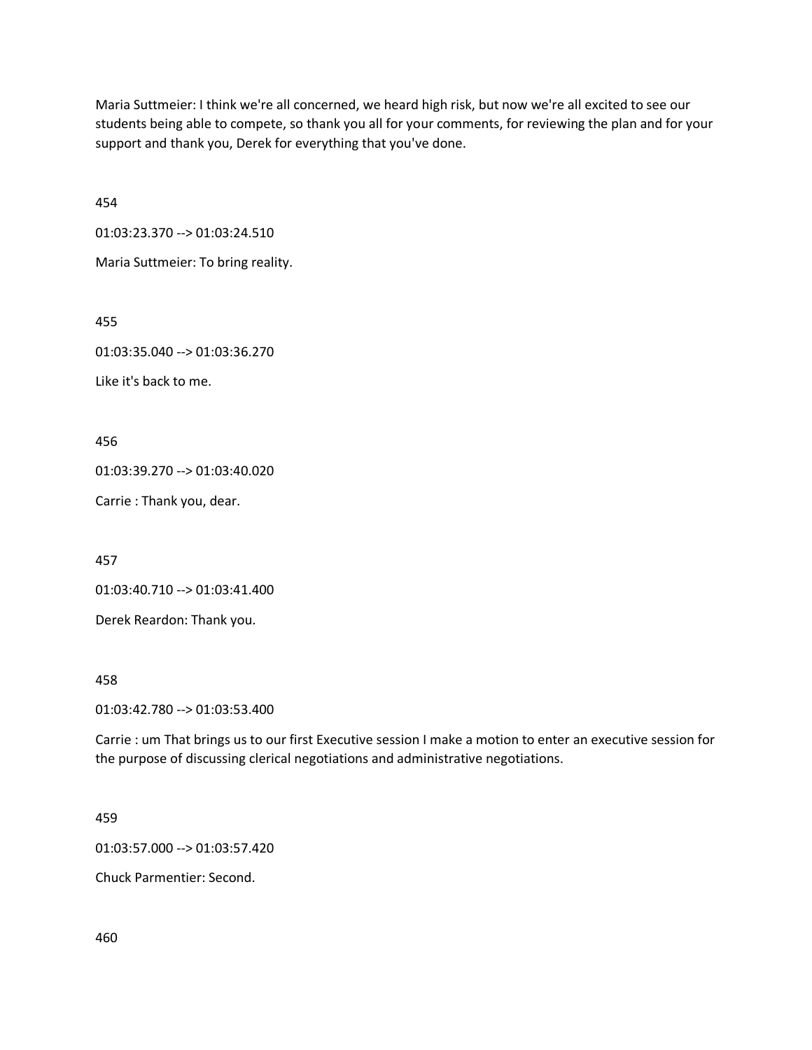Maria Suttmeier: I think we're all concerned, we heard high risk, but now we're all excited to see our students being able to compete, so thank you all for your comments, for reviewing the plan and for your support and thank you, Derek for everything that you've done.

454

01:03:23.370 --> 01:03:24.510

Maria Suttmeier: To bring reality.

455

01:03:35.040 --> 01:03:36.270

Like it's back to me.

456

01:03:39.270 --> 01:03:40.020

Carrie : Thank you, dear.

457

01:03:40.710 --> 01:03:41.400

Derek Reardon: Thank you.

458

01:03:42.780 --> 01:03:53.400

Carrie : um That brings us to our first Executive session I make a motion to enter an executive session for the purpose of discussing clerical negotiations and administrative negotiations.

459

01:03:57.000 --> 01:03:57.420

Chuck Parmentier: Second.

460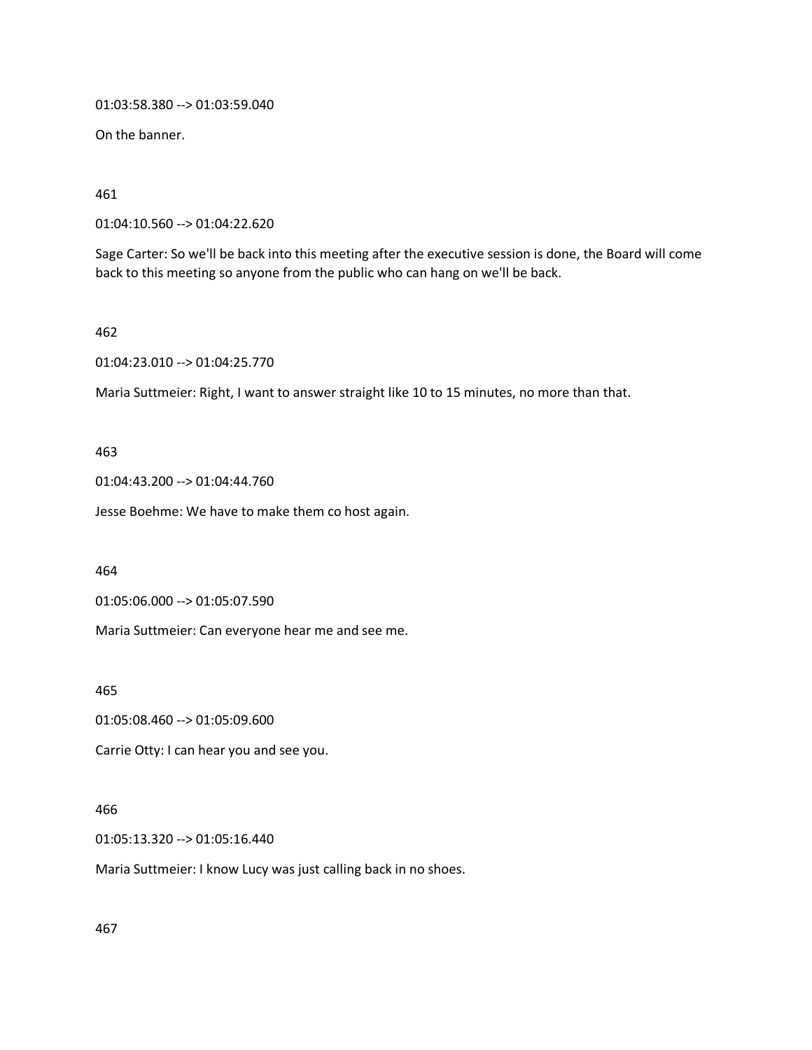01:03:58.380 --> 01:03:59.040

On the banner.

461

01:04:10.560 --> 01:04:22.620

Sage Carter: So we'll be back into this meeting after the executive session is done, the Board will come back to this meeting so anyone from the public who can hang on we'll be back.

462

01:04:23.010 --> 01:04:25.770

Maria Suttmeier: Right, I want to answer straight like 10 to 15 minutes, no more than that.

# 463

01:04:43.200 --> 01:04:44.760

Jesse Boehme: We have to make them co host again.

464

01:05:06.000 --> 01:05:07.590

Maria Suttmeier: Can everyone hear me and see me.

465

01:05:08.460 --> 01:05:09.600

Carrie Otty: I can hear you and see you.

# 466

01:05:13.320 --> 01:05:16.440

Maria Suttmeier: I know Lucy was just calling back in no shoes.

467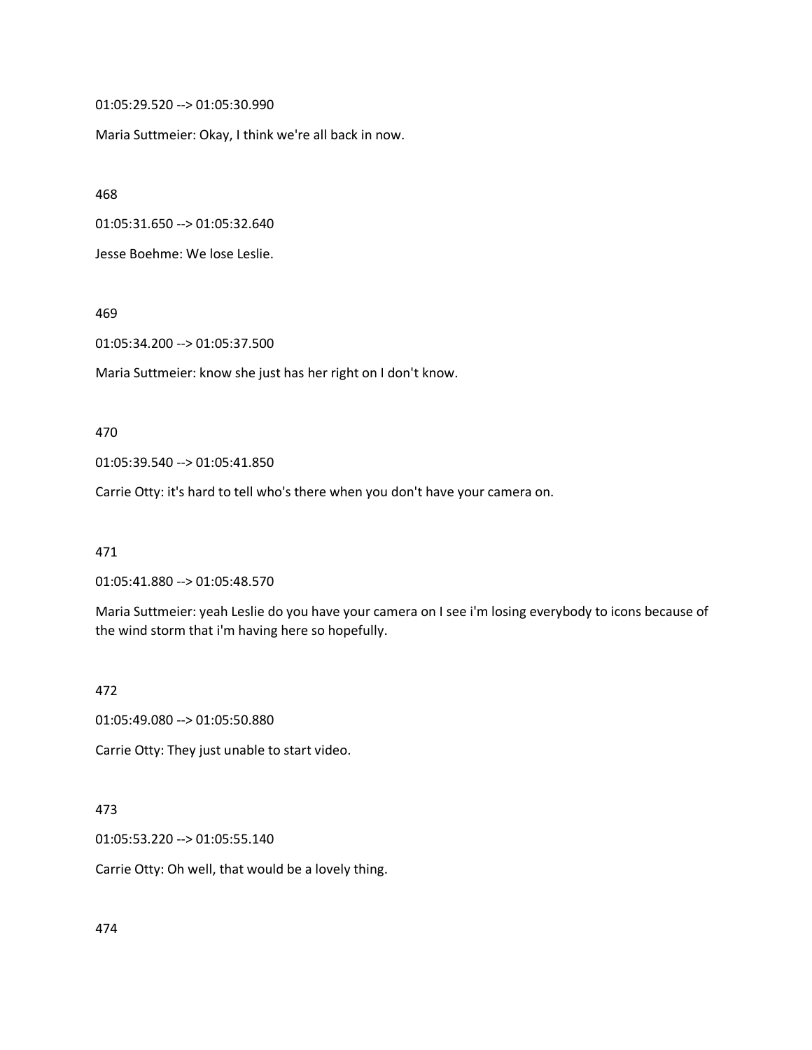01:05:29.520 --> 01:05:30.990

Maria Suttmeier: Okay, I think we're all back in now.

468

01:05:31.650 --> 01:05:32.640

Jesse Boehme: We lose Leslie.

469

01:05:34.200 --> 01:05:37.500

Maria Suttmeier: know she just has her right on I don't know.

470

01:05:39.540 --> 01:05:41.850

Carrie Otty: it's hard to tell who's there when you don't have your camera on.

471

01:05:41.880 --> 01:05:48.570

Maria Suttmeier: yeah Leslie do you have your camera on I see i'm losing everybody to icons because of the wind storm that i'm having here so hopefully.

472

01:05:49.080 --> 01:05:50.880

Carrie Otty: They just unable to start video.

#### 473

01:05:53.220 --> 01:05:55.140

Carrie Otty: Oh well, that would be a lovely thing.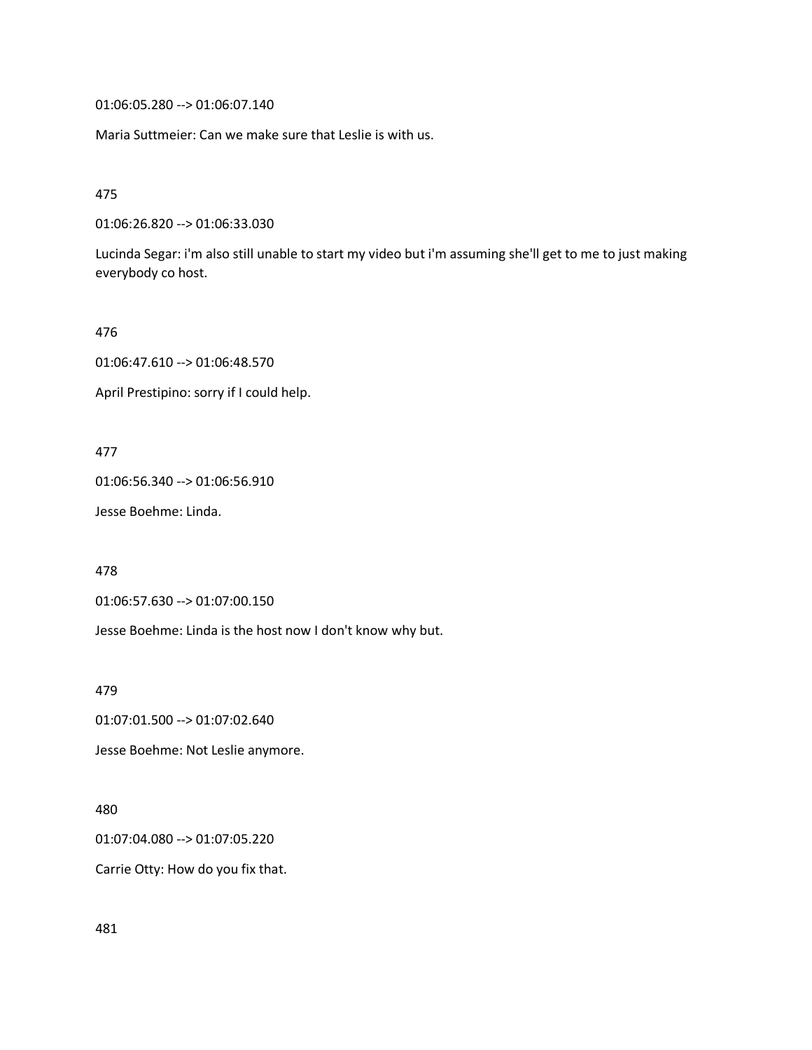01:06:05.280 --> 01:06:07.140

Maria Suttmeier: Can we make sure that Leslie is with us.

475

01:06:26.820 --> 01:06:33.030

Lucinda Segar: i'm also still unable to start my video but i'm assuming she'll get to me to just making everybody co host.

476

01:06:47.610 --> 01:06:48.570

April Prestipino: sorry if I could help.

477

01:06:56.340 --> 01:06:56.910

Jesse Boehme: Linda.

478

01:06:57.630 --> 01:07:00.150

Jesse Boehme: Linda is the host now I don't know why but.

479

01:07:01.500 --> 01:07:02.640

Jesse Boehme: Not Leslie anymore.

480

01:07:04.080 --> 01:07:05.220

Carrie Otty: How do you fix that.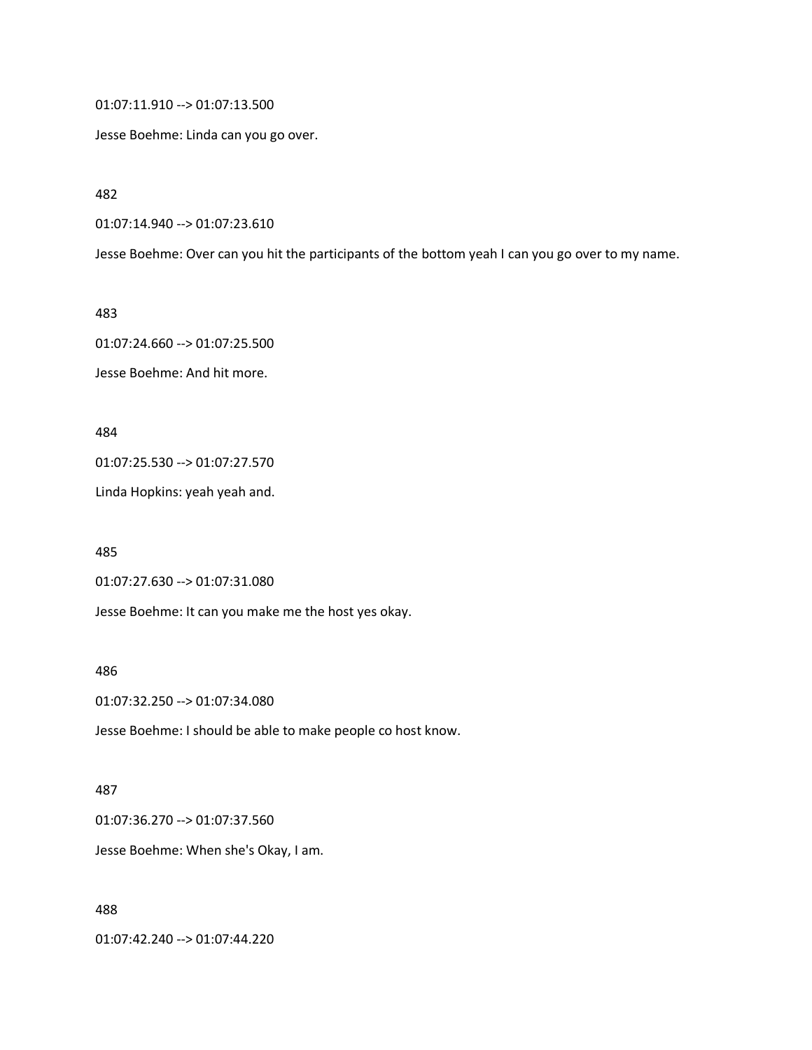01:07:11.910 --> 01:07:13.500

Jesse Boehme: Linda can you go over.

482

01:07:14.940 --> 01:07:23.610

Jesse Boehme: Over can you hit the participants of the bottom yeah I can you go over to my name.

483

01:07:24.660 --> 01:07:25.500

Jesse Boehme: And hit more.

484

01:07:25.530 --> 01:07:27.570

Linda Hopkins: yeah yeah and.

485

01:07:27.630 --> 01:07:31.080

Jesse Boehme: It can you make me the host yes okay.

486

01:07:32.250 --> 01:07:34.080

Jesse Boehme: I should be able to make people co host know.

487

01:07:36.270 --> 01:07:37.560

Jesse Boehme: When she's Okay, I am.

488

01:07:42.240 --> 01:07:44.220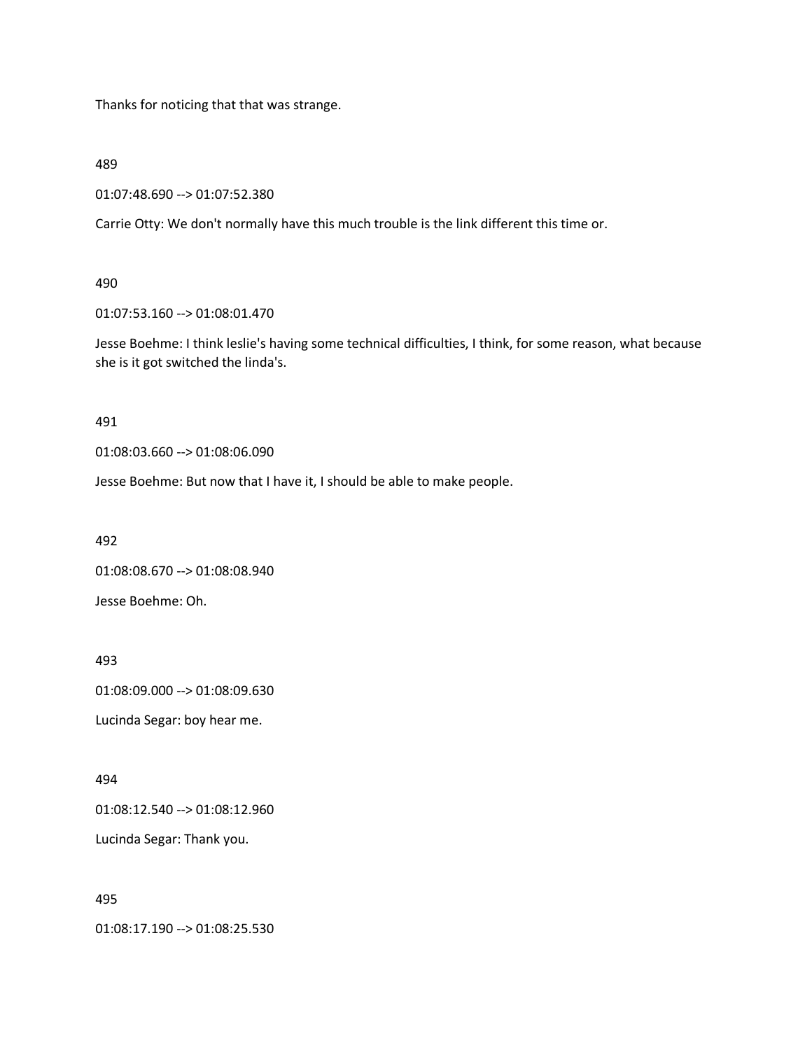Thanks for noticing that that was strange.

489

01:07:48.690 --> 01:07:52.380

Carrie Otty: We don't normally have this much trouble is the link different this time or.

490

01:07:53.160 --> 01:08:01.470

Jesse Boehme: I think leslie's having some technical difficulties, I think, for some reason, what because she is it got switched the linda's.

491

01:08:03.660 --> 01:08:06.090

Jesse Boehme: But now that I have it, I should be able to make people.

492

01:08:08.670 --> 01:08:08.940

Jesse Boehme: Oh.

493

01:08:09.000 --> 01:08:09.630

Lucinda Segar: boy hear me.

494

01:08:12.540 --> 01:08:12.960

Lucinda Segar: Thank you.

495

01:08:17.190 --> 01:08:25.530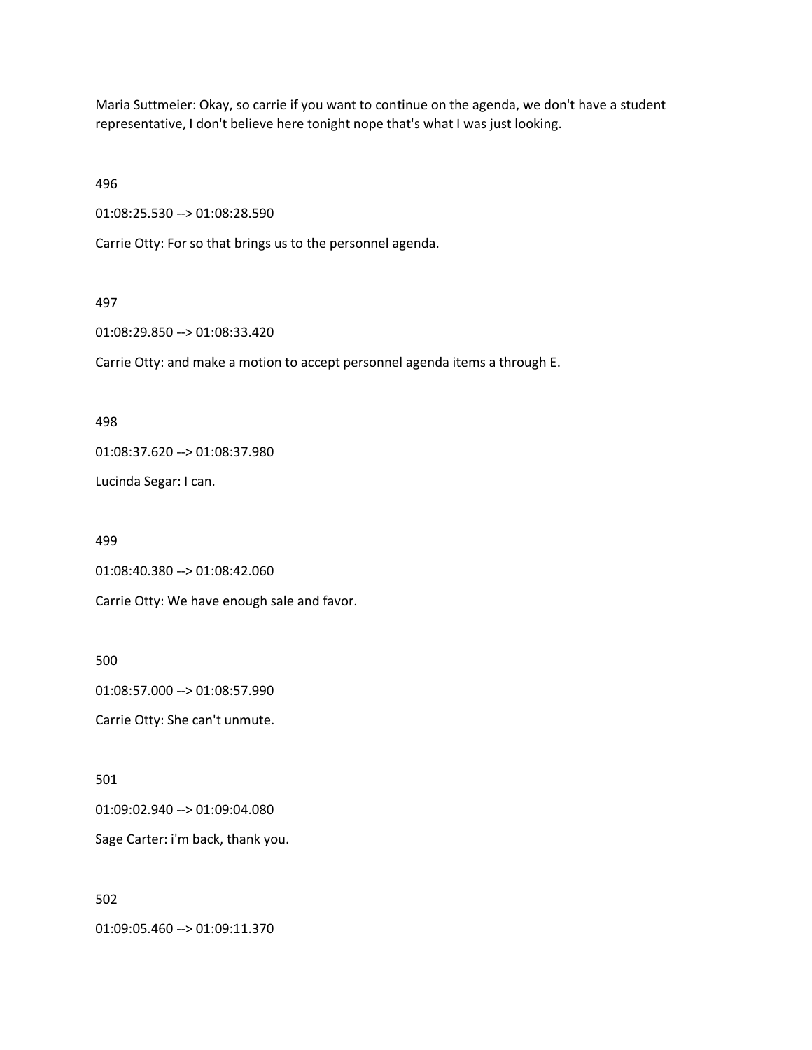Maria Suttmeier: Okay, so carrie if you want to continue on the agenda, we don't have a student representative, I don't believe here tonight nope that's what I was just looking.

496

01:08:25.530 --> 01:08:28.590

Carrie Otty: For so that brings us to the personnel agenda.

#### 497

01:08:29.850 --> 01:08:33.420

Carrie Otty: and make a motion to accept personnel agenda items a through E.

#### 498

01:08:37.620 --> 01:08:37.980

Lucinda Segar: I can.

499

01:08:40.380 --> 01:08:42.060

Carrie Otty: We have enough sale and favor.

500

01:08:57.000 --> 01:08:57.990

Carrie Otty: She can't unmute.

#### 501

01:09:02.940 --> 01:09:04.080

Sage Carter: i'm back, thank you.

### 502

01:09:05.460 --> 01:09:11.370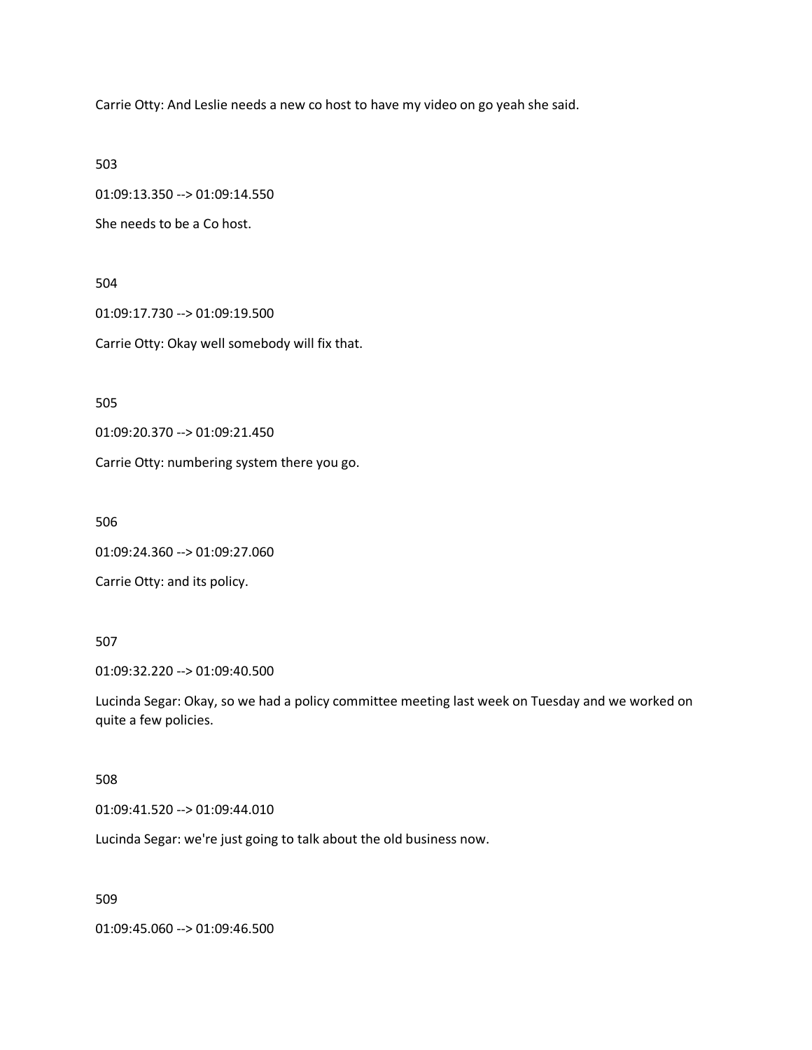Carrie Otty: And Leslie needs a new co host to have my video on go yeah she said.

503

01:09:13.350 --> 01:09:14.550

She needs to be a Co host.

504

01:09:17.730 --> 01:09:19.500

Carrie Otty: Okay well somebody will fix that.

505

01:09:20.370 --> 01:09:21.450

Carrie Otty: numbering system there you go.

506

01:09:24.360 --> 01:09:27.060

Carrie Otty: and its policy.

### 507

01:09:32.220 --> 01:09:40.500

Lucinda Segar: Okay, so we had a policy committee meeting last week on Tuesday and we worked on quite a few policies.

#### 508

01:09:41.520 --> 01:09:44.010

Lucinda Segar: we're just going to talk about the old business now.

509

01:09:45.060 --> 01:09:46.500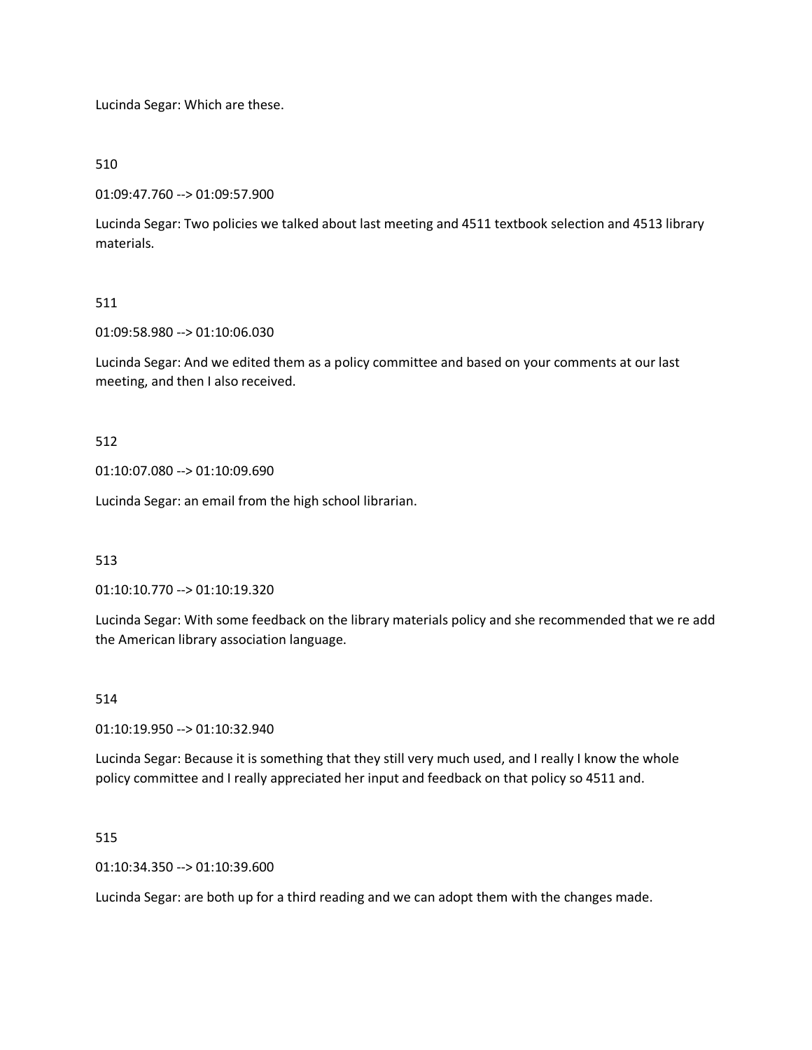Lucinda Segar: Which are these.

510

01:09:47.760 --> 01:09:57.900

Lucinda Segar: Two policies we talked about last meeting and 4511 textbook selection and 4513 library materials.

#### 511

01:09:58.980 --> 01:10:06.030

Lucinda Segar: And we edited them as a policy committee and based on your comments at our last meeting, and then I also received.

#### 512

01:10:07.080 --> 01:10:09.690

Lucinda Segar: an email from the high school librarian.

### 513

01:10:10.770 --> 01:10:19.320

Lucinda Segar: With some feedback on the library materials policy and she recommended that we re add the American library association language.

#### 514

01:10:19.950 --> 01:10:32.940

Lucinda Segar: Because it is something that they still very much used, and I really I know the whole policy committee and I really appreciated her input and feedback on that policy so 4511 and.

#### 515

01:10:34.350 --> 01:10:39.600

Lucinda Segar: are both up for a third reading and we can adopt them with the changes made.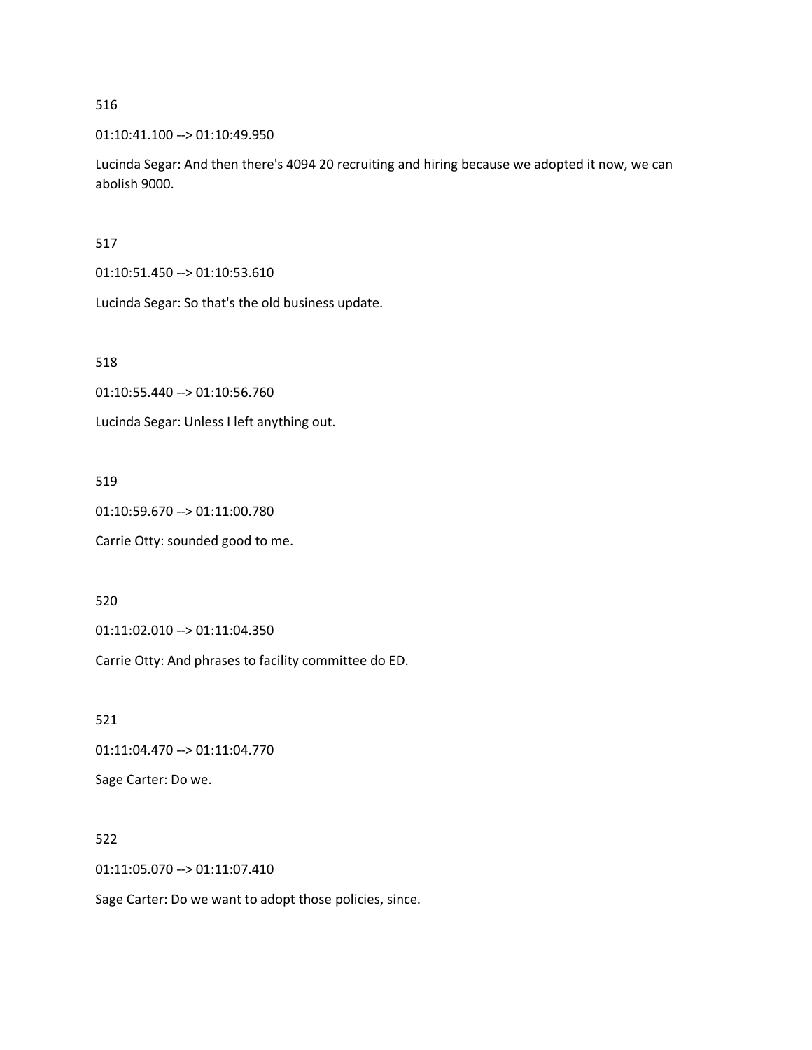01:10:41.100 --> 01:10:49.950

Lucinda Segar: And then there's 4094 20 recruiting and hiring because we adopted it now, we can abolish 9000.

517

01:10:51.450 --> 01:10:53.610

Lucinda Segar: So that's the old business update.

518

01:10:55.440 --> 01:10:56.760

Lucinda Segar: Unless I left anything out.

519

01:10:59.670 --> 01:11:00.780

Carrie Otty: sounded good to me.

520

01:11:02.010 --> 01:11:04.350

Carrie Otty: And phrases to facility committee do ED.

521

01:11:04.470 --> 01:11:04.770

Sage Carter: Do we.

522

01:11:05.070 --> 01:11:07.410

Sage Carter: Do we want to adopt those policies, since.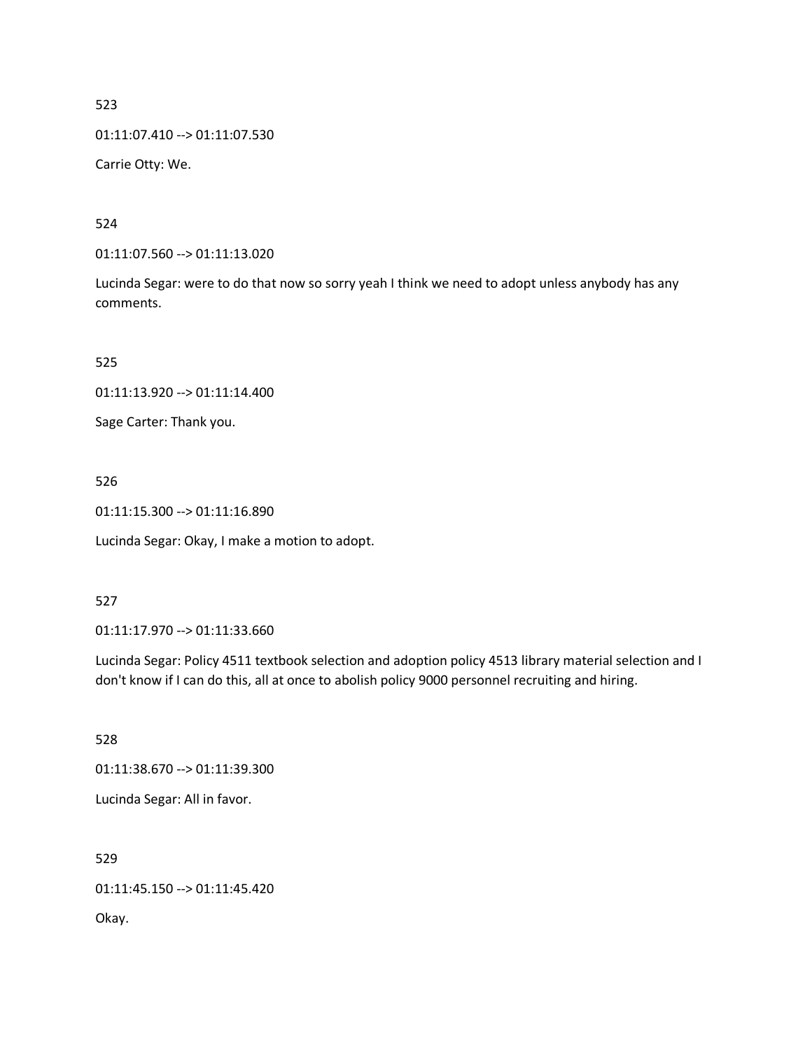01:11:07.410 --> 01:11:07.530

Carrie Otty: We.

524

01:11:07.560 --> 01:11:13.020

Lucinda Segar: were to do that now so sorry yeah I think we need to adopt unless anybody has any comments.

525

01:11:13.920 --> 01:11:14.400

Sage Carter: Thank you.

526

01:11:15.300 --> 01:11:16.890

Lucinda Segar: Okay, I make a motion to adopt.

527

01:11:17.970 --> 01:11:33.660

Lucinda Segar: Policy 4511 textbook selection and adoption policy 4513 library material selection and I don't know if I can do this, all at once to abolish policy 9000 personnel recruiting and hiring.

528

01:11:38.670 --> 01:11:39.300

Lucinda Segar: All in favor.

529

01:11:45.150 --> 01:11:45.420 Okay.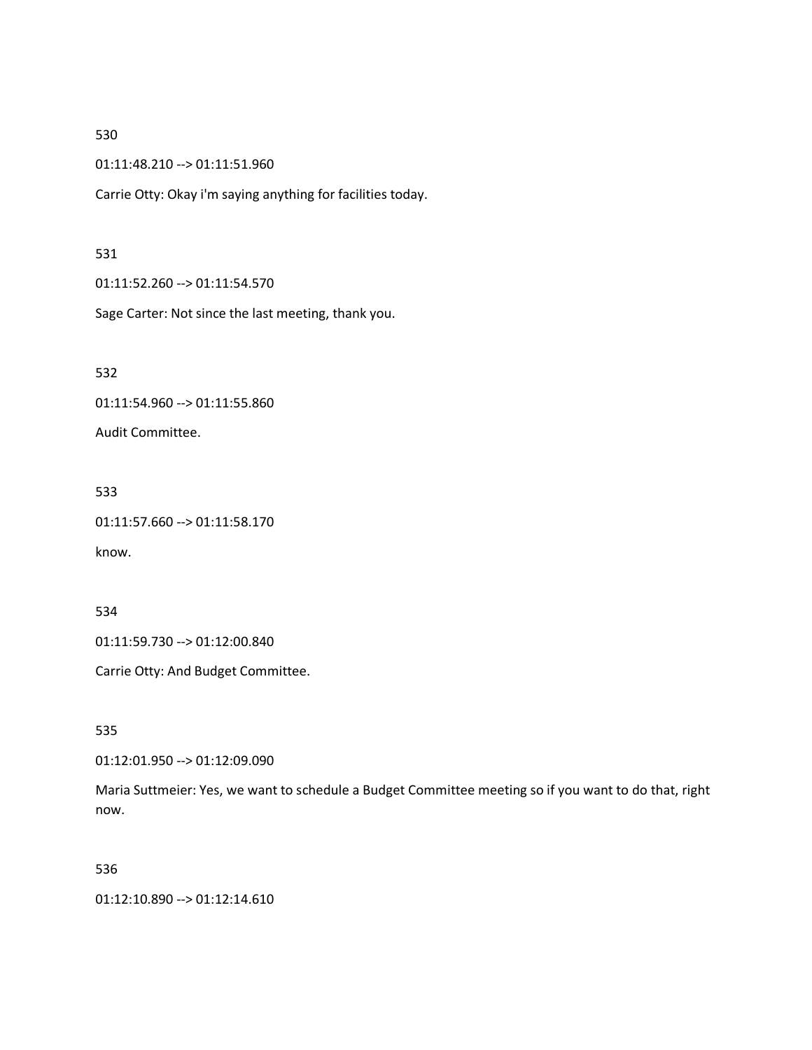01:11:48.210 --> 01:11:51.960

Carrie Otty: Okay i'm saying anything for facilities today.

### 531

01:11:52.260 --> 01:11:54.570

Sage Carter: Not since the last meeting, thank you.

532

01:11:54.960 --> 01:11:55.860

Audit Committee.

533

01:11:57.660 --> 01:11:58.170

know.

534

01:11:59.730 --> 01:12:00.840

Carrie Otty: And Budget Committee.

535

01:12:01.950 --> 01:12:09.090

Maria Suttmeier: Yes, we want to schedule a Budget Committee meeting so if you want to do that, right now.

### 536

01:12:10.890 --> 01:12:14.610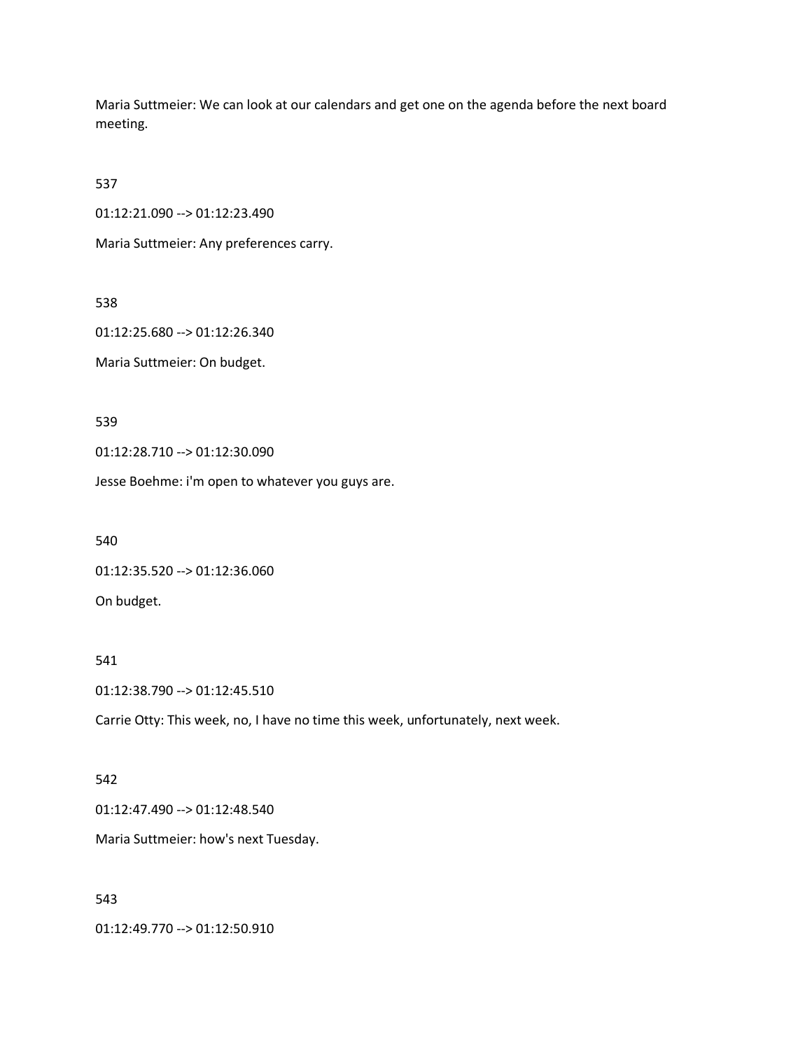Maria Suttmeier: We can look at our calendars and get one on the agenda before the next board meeting.

537

01:12:21.090 --> 01:12:23.490

Maria Suttmeier: Any preferences carry.

538

01:12:25.680 --> 01:12:26.340

Maria Suttmeier: On budget.

539

01:12:28.710 --> 01:12:30.090

Jesse Boehme: i'm open to whatever you guys are.

540

01:12:35.520 --> 01:12:36.060

On budget.

#### 541

01:12:38.790 --> 01:12:45.510

Carrie Otty: This week, no, I have no time this week, unfortunately, next week.

#### 542

01:12:47.490 --> 01:12:48.540

Maria Suttmeier: how's next Tuesday.

#### 543

01:12:49.770 --> 01:12:50.910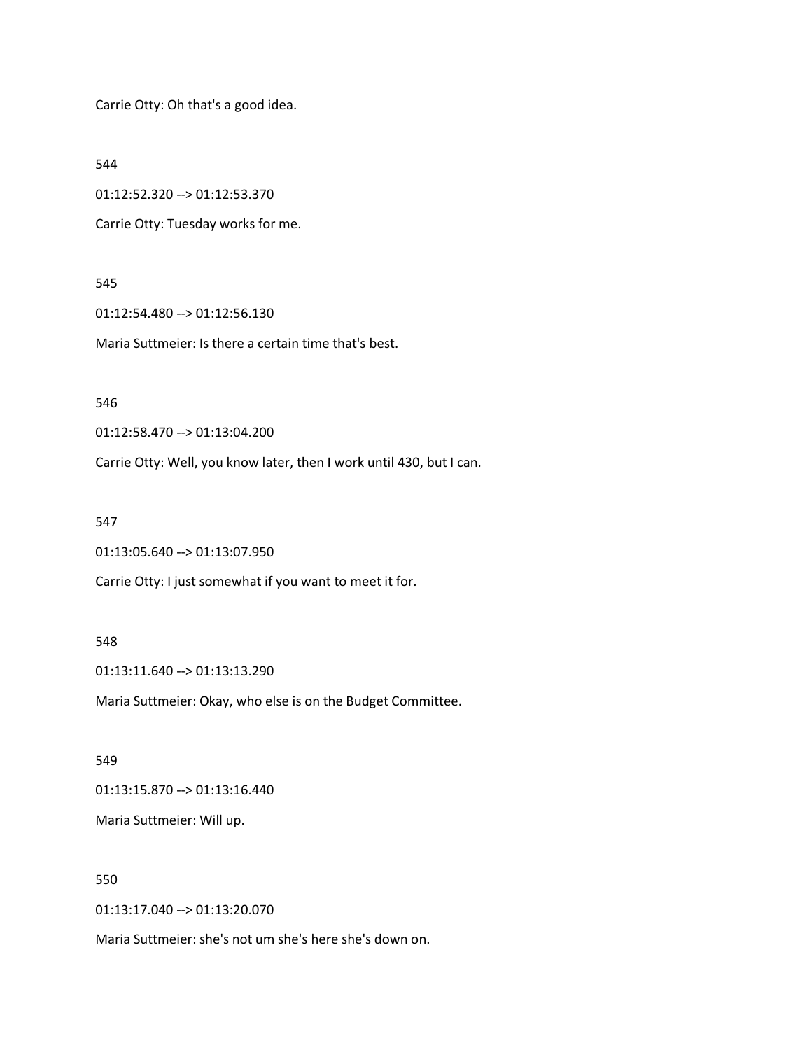Carrie Otty: Oh that's a good idea.

544

01:12:52.320 --> 01:12:53.370

Carrie Otty: Tuesday works for me.

#### 545

01:12:54.480 --> 01:12:56.130

Maria Suttmeier: Is there a certain time that's best.

#### 546

01:12:58.470 --> 01:13:04.200

Carrie Otty: Well, you know later, then I work until 430, but I can.

#### 547

01:13:05.640 --> 01:13:07.950

Carrie Otty: I just somewhat if you want to meet it for.

#### 548

01:13:11.640 --> 01:13:13.290

Maria Suttmeier: Okay, who else is on the Budget Committee.

#### 549

01:13:15.870 --> 01:13:16.440

Maria Suttmeier: Will up.

# 550

01:13:17.040 --> 01:13:20.070

Maria Suttmeier: she's not um she's here she's down on.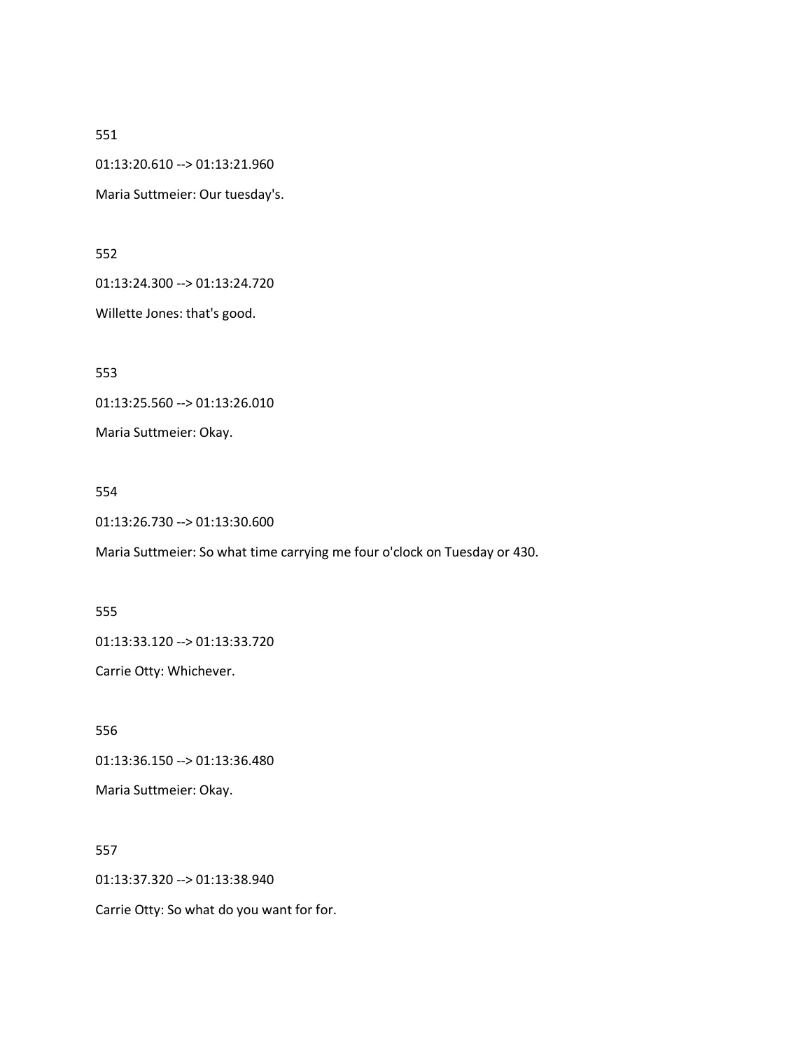01:13:20.610 --> 01:13:21.960

Maria Suttmeier: Our tuesday's.

552

01:13:24.300 --> 01:13:24.720

Willette Jones: that's good.

553

01:13:25.560 --> 01:13:26.010

Maria Suttmeier: Okay.

554

01:13:26.730 --> 01:13:30.600

Maria Suttmeier: So what time carrying me four o'clock on Tuesday or 430.

555

01:13:33.120 --> 01:13:33.720

Carrie Otty: Whichever.

556

01:13:36.150 --> 01:13:36.480

Maria Suttmeier: Okay.

557

01:13:37.320 --> 01:13:38.940

Carrie Otty: So what do you want for for.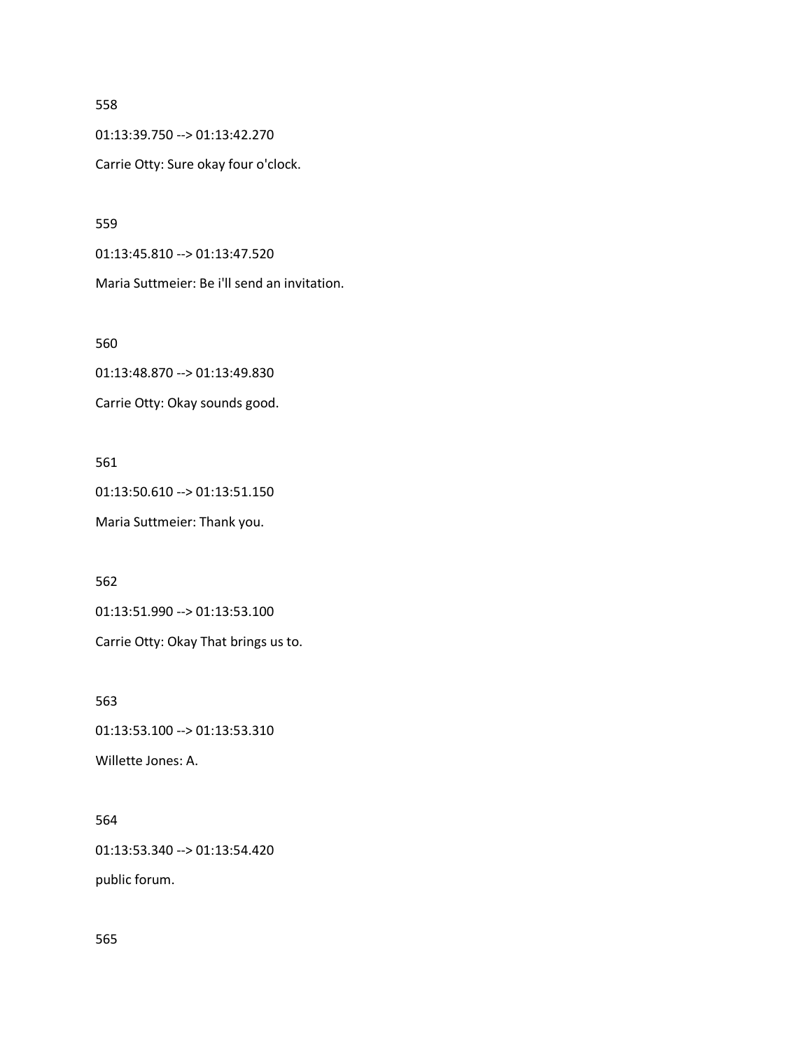01:13:39.750 --> 01:13:42.270

Carrie Otty: Sure okay four o'clock.

559

01:13:45.810 --> 01:13:47.520

Maria Suttmeier: Be i'll send an invitation.

560

01:13:48.870 --> 01:13:49.830

Carrie Otty: Okay sounds good.

561

01:13:50.610 --> 01:13:51.150

Maria Suttmeier: Thank you.

562

01:13:51.990 --> 01:13:53.100

Carrie Otty: Okay That brings us to.

563

01:13:53.100 --> 01:13:53.310

Willette Jones: A.

### 564

01:13:53.340 --> 01:13:54.420

public forum.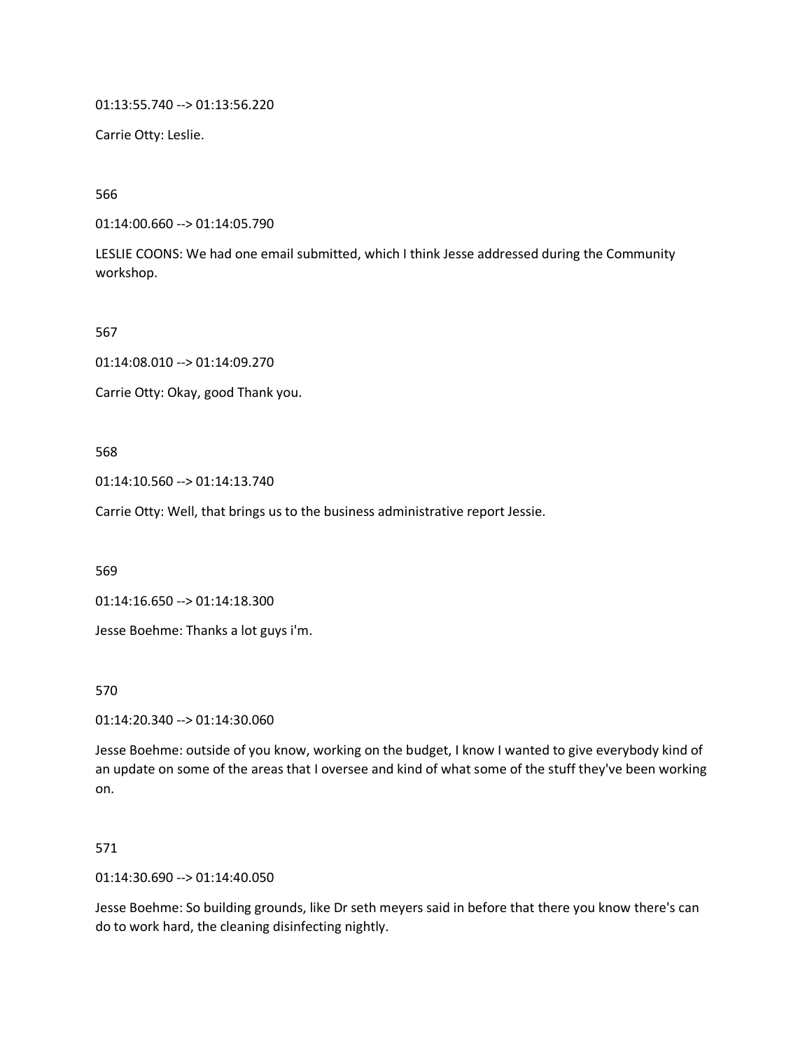01:13:55.740 --> 01:13:56.220

Carrie Otty: Leslie.

566

01:14:00.660 --> 01:14:05.790

LESLIE COONS: We had one email submitted, which I think Jesse addressed during the Community workshop.

567

01:14:08.010 --> 01:14:09.270

Carrie Otty: Okay, good Thank you.

568

01:14:10.560 --> 01:14:13.740

Carrie Otty: Well, that brings us to the business administrative report Jessie.

569

01:14:16.650 --> 01:14:18.300

Jesse Boehme: Thanks a lot guys i'm.

570

01:14:20.340 --> 01:14:30.060

Jesse Boehme: outside of you know, working on the budget, I know I wanted to give everybody kind of an update on some of the areas that I oversee and kind of what some of the stuff they've been working on.

571

01:14:30.690 --> 01:14:40.050

Jesse Boehme: So building grounds, like Dr seth meyers said in before that there you know there's can do to work hard, the cleaning disinfecting nightly.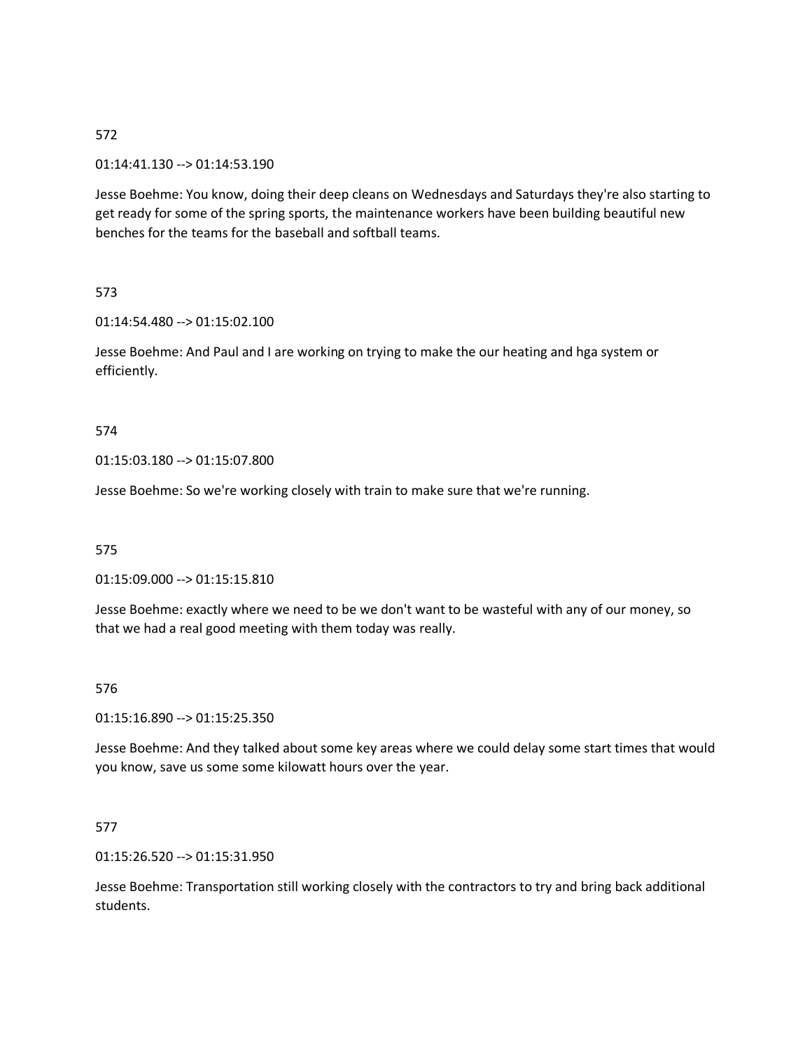### 01:14:41.130 --> 01:14:53.190

Jesse Boehme: You know, doing their deep cleans on Wednesdays and Saturdays they're also starting to get ready for some of the spring sports, the maintenance workers have been building beautiful new benches for the teams for the baseball and softball teams.

### 573

#### 01:14:54.480 --> 01:15:02.100

Jesse Boehme: And Paul and I are working on trying to make the our heating and hga system or efficiently.

#### 574

### 01:15:03.180 --> 01:15:07.800

Jesse Boehme: So we're working closely with train to make sure that we're running.

#### 575

#### 01:15:09.000 --> 01:15:15.810

Jesse Boehme: exactly where we need to be we don't want to be wasteful with any of our money, so that we had a real good meeting with them today was really.

#### 576

### 01:15:16.890 --> 01:15:25.350

Jesse Boehme: And they talked about some key areas where we could delay some start times that would you know, save us some some kilowatt hours over the year.

### 577

### 01:15:26.520 --> 01:15:31.950

Jesse Boehme: Transportation still working closely with the contractors to try and bring back additional students.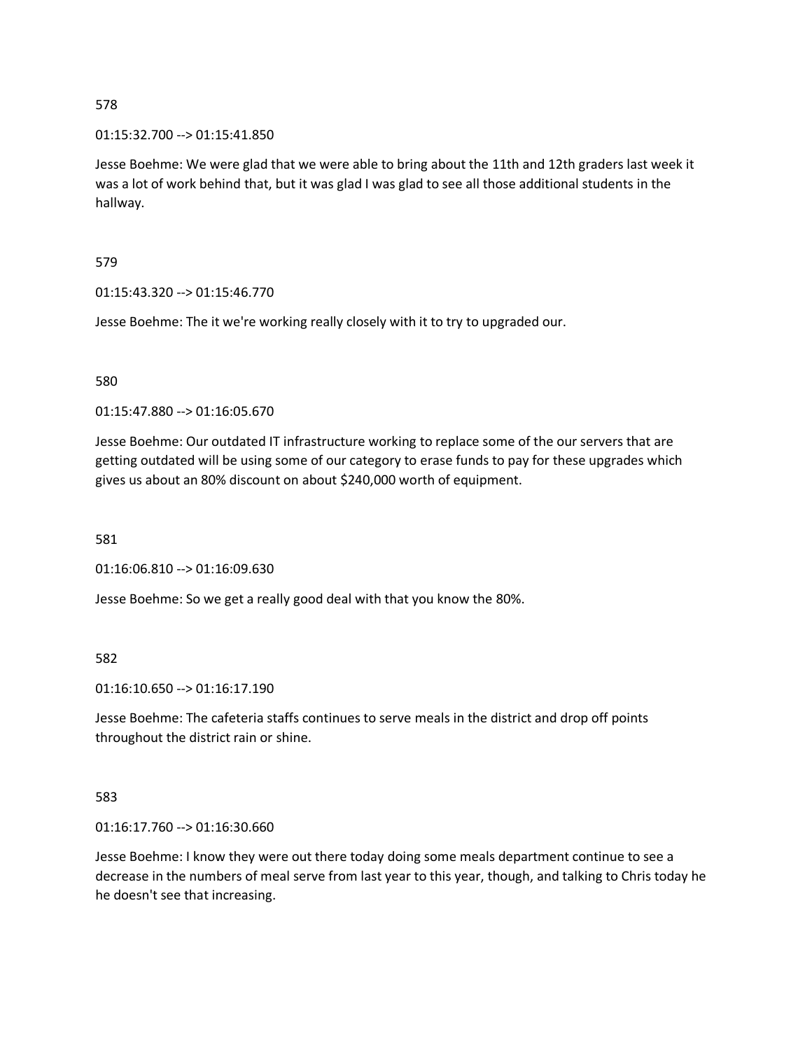### 01:15:32.700 --> 01:15:41.850

Jesse Boehme: We were glad that we were able to bring about the 11th and 12th graders last week it was a lot of work behind that, but it was glad I was glad to see all those additional students in the hallway.

579

01:15:43.320 --> 01:15:46.770

Jesse Boehme: The it we're working really closely with it to try to upgraded our.

580

01:15:47.880 --> 01:16:05.670

Jesse Boehme: Our outdated IT infrastructure working to replace some of the our servers that are getting outdated will be using some of our category to erase funds to pay for these upgrades which gives us about an 80% discount on about \$240,000 worth of equipment.

581

01:16:06.810 --> 01:16:09.630

Jesse Boehme: So we get a really good deal with that you know the 80%.

582

01:16:10.650 --> 01:16:17.190

Jesse Boehme: The cafeteria staffs continues to serve meals in the district and drop off points throughout the district rain or shine.

583

01:16:17.760 --> 01:16:30.660

Jesse Boehme: I know they were out there today doing some meals department continue to see a decrease in the numbers of meal serve from last year to this year, though, and talking to Chris today he he doesn't see that increasing.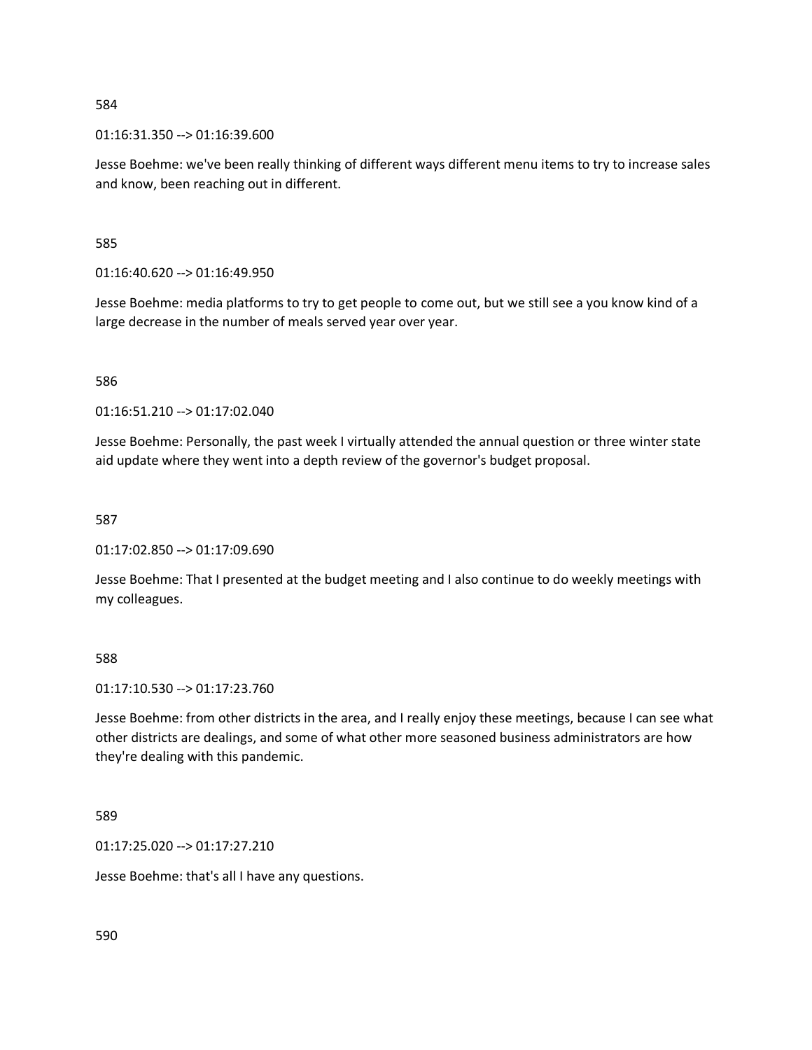01:16:31.350 --> 01:16:39.600

Jesse Boehme: we've been really thinking of different ways different menu items to try to increase sales and know, been reaching out in different.

585

01:16:40.620 --> 01:16:49.950

Jesse Boehme: media platforms to try to get people to come out, but we still see a you know kind of a large decrease in the number of meals served year over year.

586

01:16:51.210 --> 01:17:02.040

Jesse Boehme: Personally, the past week I virtually attended the annual question or three winter state aid update where they went into a depth review of the governor's budget proposal.

587

01:17:02.850 --> 01:17:09.690

Jesse Boehme: That I presented at the budget meeting and I also continue to do weekly meetings with my colleagues.

588

01:17:10.530 --> 01:17:23.760

Jesse Boehme: from other districts in the area, and I really enjoy these meetings, because I can see what other districts are dealings, and some of what other more seasoned business administrators are how they're dealing with this pandemic.

589

01:17:25.020 --> 01:17:27.210

Jesse Boehme: that's all I have any questions.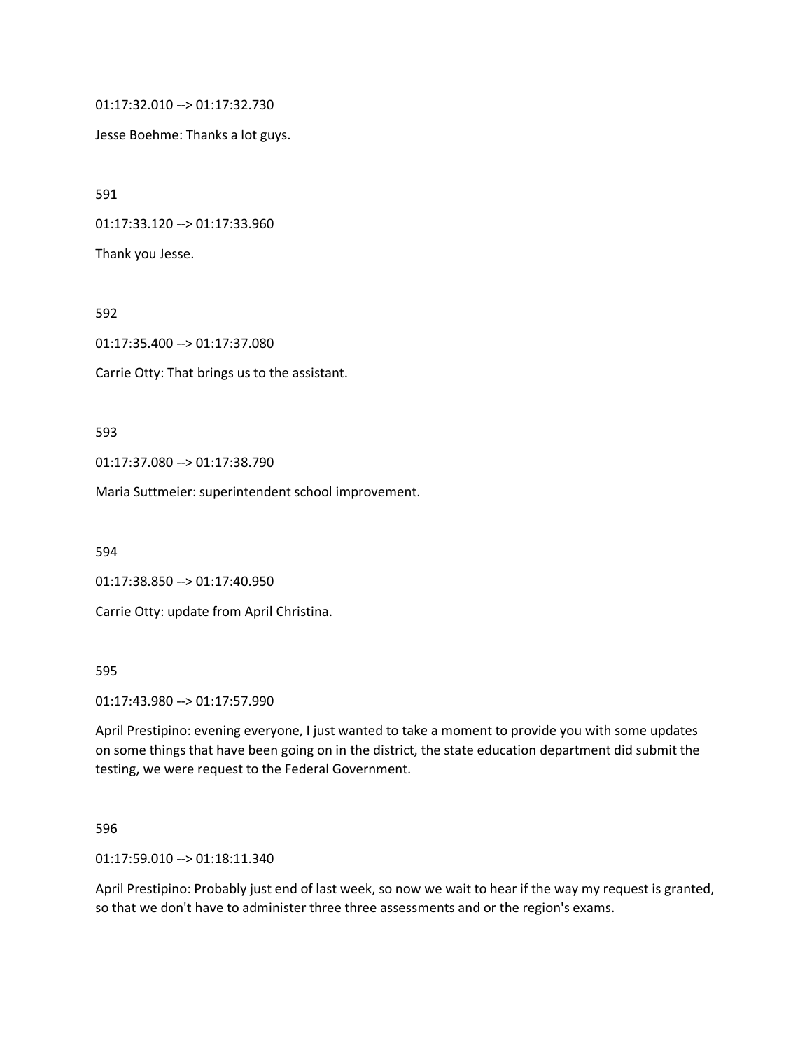01:17:32.010 --> 01:17:32.730

Jesse Boehme: Thanks a lot guys.

591

01:17:33.120 --> 01:17:33.960

Thank you Jesse.

592

01:17:35.400 --> 01:17:37.080

Carrie Otty: That brings us to the assistant.

593

01:17:37.080 --> 01:17:38.790

Maria Suttmeier: superintendent school improvement.

594

01:17:38.850 --> 01:17:40.950

Carrie Otty: update from April Christina.

595

01:17:43.980 --> 01:17:57.990

April Prestipino: evening everyone, I just wanted to take a moment to provide you with some updates on some things that have been going on in the district, the state education department did submit the testing, we were request to the Federal Government.

596

01:17:59.010 --> 01:18:11.340

April Prestipino: Probably just end of last week, so now we wait to hear if the way my request is granted, so that we don't have to administer three three assessments and or the region's exams.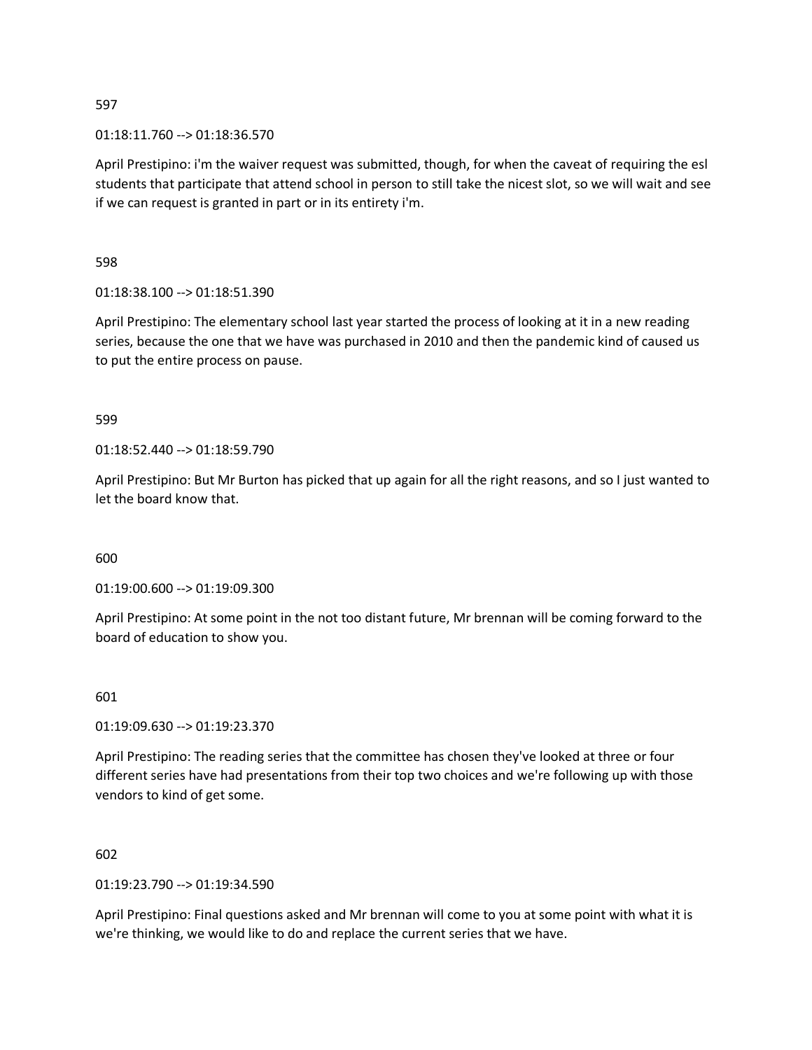01:18:11.760 --> 01:18:36.570

April Prestipino: i'm the waiver request was submitted, though, for when the caveat of requiring the esl students that participate that attend school in person to still take the nicest slot, so we will wait and see if we can request is granted in part or in its entirety i'm.

598

01:18:38.100 --> 01:18:51.390

April Prestipino: The elementary school last year started the process of looking at it in a new reading series, because the one that we have was purchased in 2010 and then the pandemic kind of caused us to put the entire process on pause.

599

01:18:52.440 --> 01:18:59.790

April Prestipino: But Mr Burton has picked that up again for all the right reasons, and so I just wanted to let the board know that.

600

01:19:00.600 --> 01:19:09.300

April Prestipino: At some point in the not too distant future, Mr brennan will be coming forward to the board of education to show you.

601

01:19:09.630 --> 01:19:23.370

April Prestipino: The reading series that the committee has chosen they've looked at three or four different series have had presentations from their top two choices and we're following up with those vendors to kind of get some.

602

01:19:23.790 --> 01:19:34.590

April Prestipino: Final questions asked and Mr brennan will come to you at some point with what it is we're thinking, we would like to do and replace the current series that we have.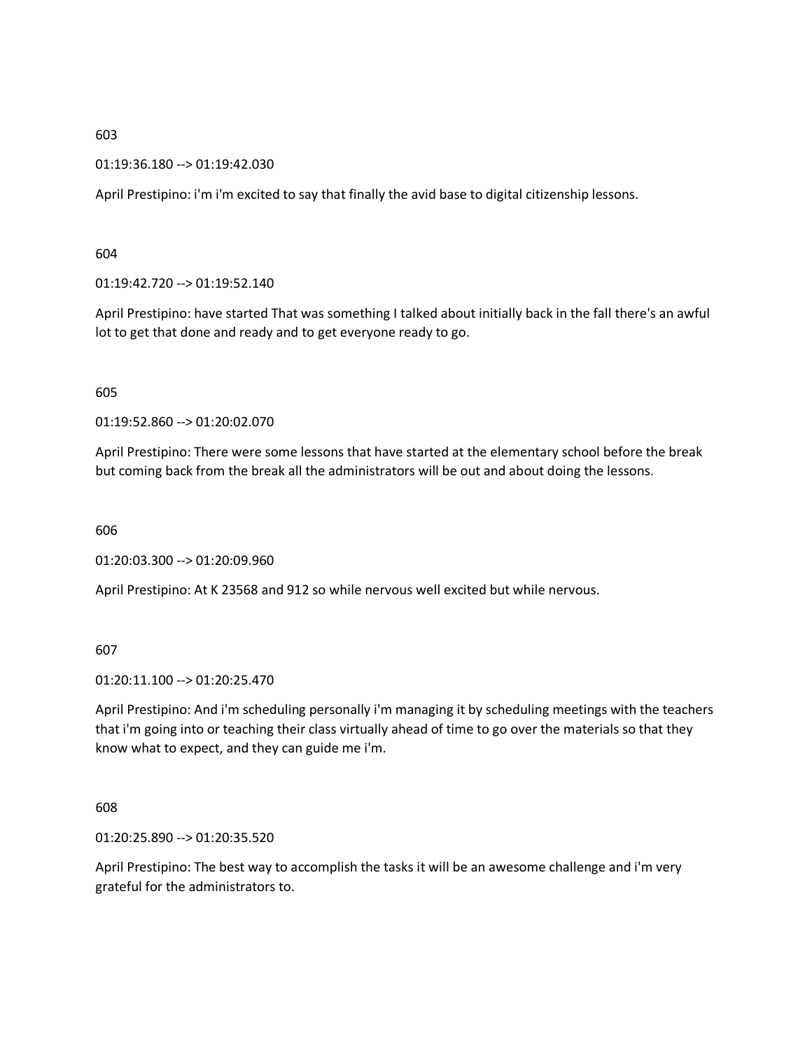01:19:36.180 --> 01:19:42.030

April Prestipino: i'm i'm excited to say that finally the avid base to digital citizenship lessons.

604

01:19:42.720 --> 01:19:52.140

April Prestipino: have started That was something I talked about initially back in the fall there's an awful lot to get that done and ready and to get everyone ready to go.

605

01:19:52.860 --> 01:20:02.070

April Prestipino: There were some lessons that have started at the elementary school before the break but coming back from the break all the administrators will be out and about doing the lessons.

606

01:20:03.300 --> 01:20:09.960

April Prestipino: At K 23568 and 912 so while nervous well excited but while nervous.

607

01:20:11.100 --> 01:20:25.470

April Prestipino: And i'm scheduling personally i'm managing it by scheduling meetings with the teachers that i'm going into or teaching their class virtually ahead of time to go over the materials so that they know what to expect, and they can guide me i'm.

608

01:20:25.890 --> 01:20:35.520

April Prestipino: The best way to accomplish the tasks it will be an awesome challenge and i'm very grateful for the administrators to.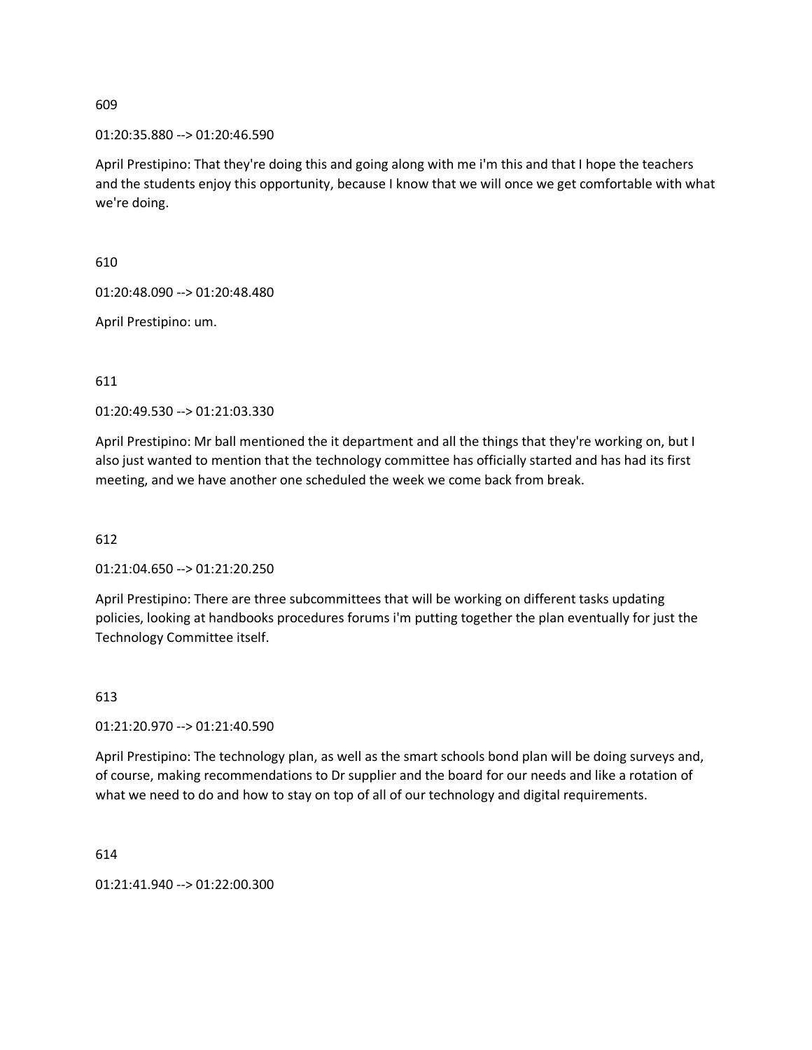01:20:35.880 --> 01:20:46.590

April Prestipino: That they're doing this and going along with me i'm this and that I hope the teachers and the students enjoy this opportunity, because I know that we will once we get comfortable with what we're doing.

610

01:20:48.090 --> 01:20:48.480

April Prestipino: um.

#### 611

01:20:49.530 --> 01:21:03.330

April Prestipino: Mr ball mentioned the it department and all the things that they're working on, but I also just wanted to mention that the technology committee has officially started and has had its first meeting, and we have another one scheduled the week we come back from break.

### 612

01:21:04.650 --> 01:21:20.250

April Prestipino: There are three subcommittees that will be working on different tasks updating policies, looking at handbooks procedures forums i'm putting together the plan eventually for just the Technology Committee itself.

#### 613

01:21:20.970 --> 01:21:40.590

April Prestipino: The technology plan, as well as the smart schools bond plan will be doing surveys and, of course, making recommendations to Dr supplier and the board for our needs and like a rotation of what we need to do and how to stay on top of all of our technology and digital requirements.

614

01:21:41.940 --> 01:22:00.300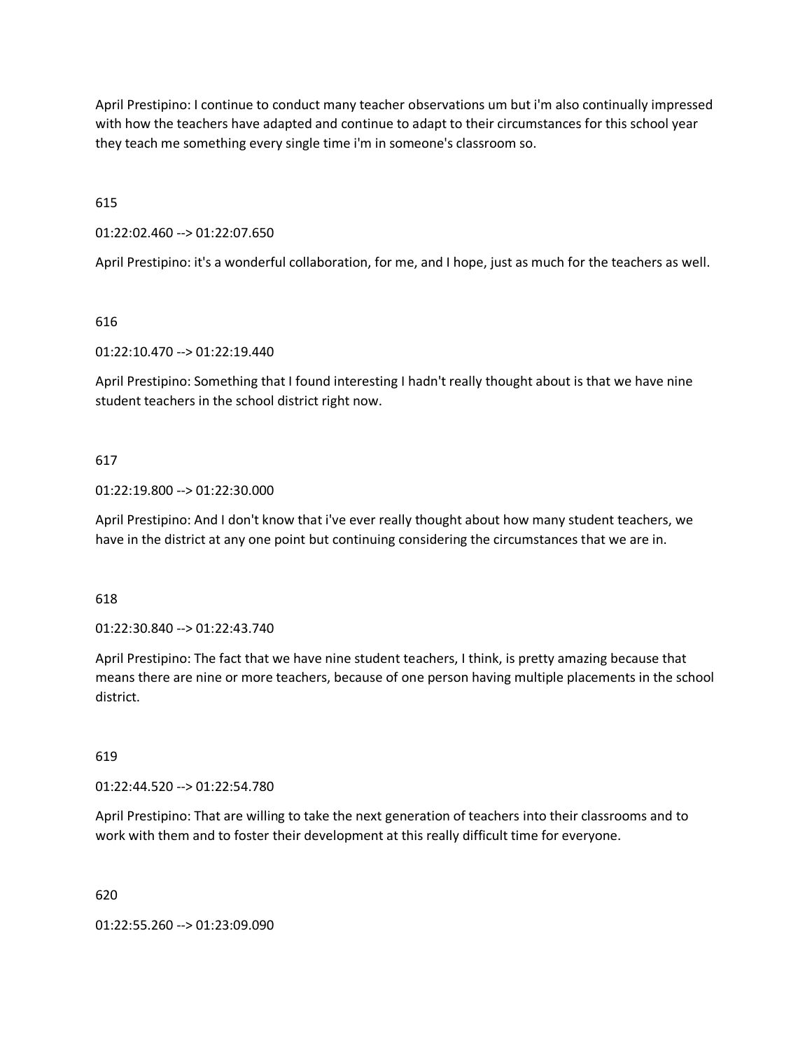April Prestipino: I continue to conduct many teacher observations um but i'm also continually impressed with how the teachers have adapted and continue to adapt to their circumstances for this school year they teach me something every single time i'm in someone's classroom so.

615

01:22:02.460 --> 01:22:07.650

April Prestipino: it's a wonderful collaboration, for me, and I hope, just as much for the teachers as well.

616

01:22:10.470 --> 01:22:19.440

April Prestipino: Something that I found interesting I hadn't really thought about is that we have nine student teachers in the school district right now.

#### 617

#### 01:22:19.800 --> 01:22:30.000

April Prestipino: And I don't know that i've ever really thought about how many student teachers, we have in the district at any one point but continuing considering the circumstances that we are in.

#### 618

01:22:30.840 --> 01:22:43.740

April Prestipino: The fact that we have nine student teachers, I think, is pretty amazing because that means there are nine or more teachers, because of one person having multiple placements in the school district.

#### 619

01:22:44.520 --> 01:22:54.780

April Prestipino: That are willing to take the next generation of teachers into their classrooms and to work with them and to foster their development at this really difficult time for everyone.

620

01:22:55.260 --> 01:23:09.090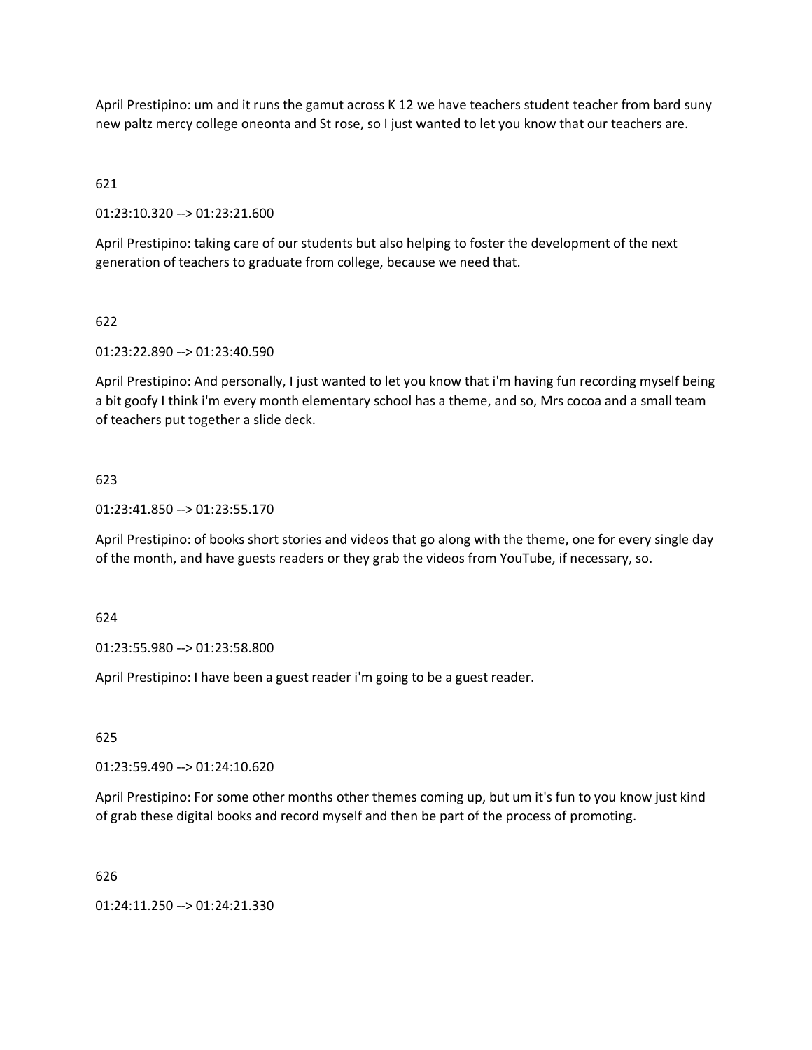April Prestipino: um and it runs the gamut across K 12 we have teachers student teacher from bard suny new paltz mercy college oneonta and St rose, so I just wanted to let you know that our teachers are.

# 621

01:23:10.320 --> 01:23:21.600

April Prestipino: taking care of our students but also helping to foster the development of the next generation of teachers to graduate from college, because we need that.

### 622

01:23:22.890 --> 01:23:40.590

April Prestipino: And personally, I just wanted to let you know that i'm having fun recording myself being a bit goofy I think i'm every month elementary school has a theme, and so, Mrs cocoa and a small team of teachers put together a slide deck.

#### 623

01:23:41.850 --> 01:23:55.170

April Prestipino: of books short stories and videos that go along with the theme, one for every single day of the month, and have guests readers or they grab the videos from YouTube, if necessary, so.

#### 624

01:23:55.980 --> 01:23:58.800

April Prestipino: I have been a guest reader i'm going to be a guest reader.

625

01:23:59.490 --> 01:24:10.620

April Prestipino: For some other months other themes coming up, but um it's fun to you know just kind of grab these digital books and record myself and then be part of the process of promoting.

626

01:24:11.250 --> 01:24:21.330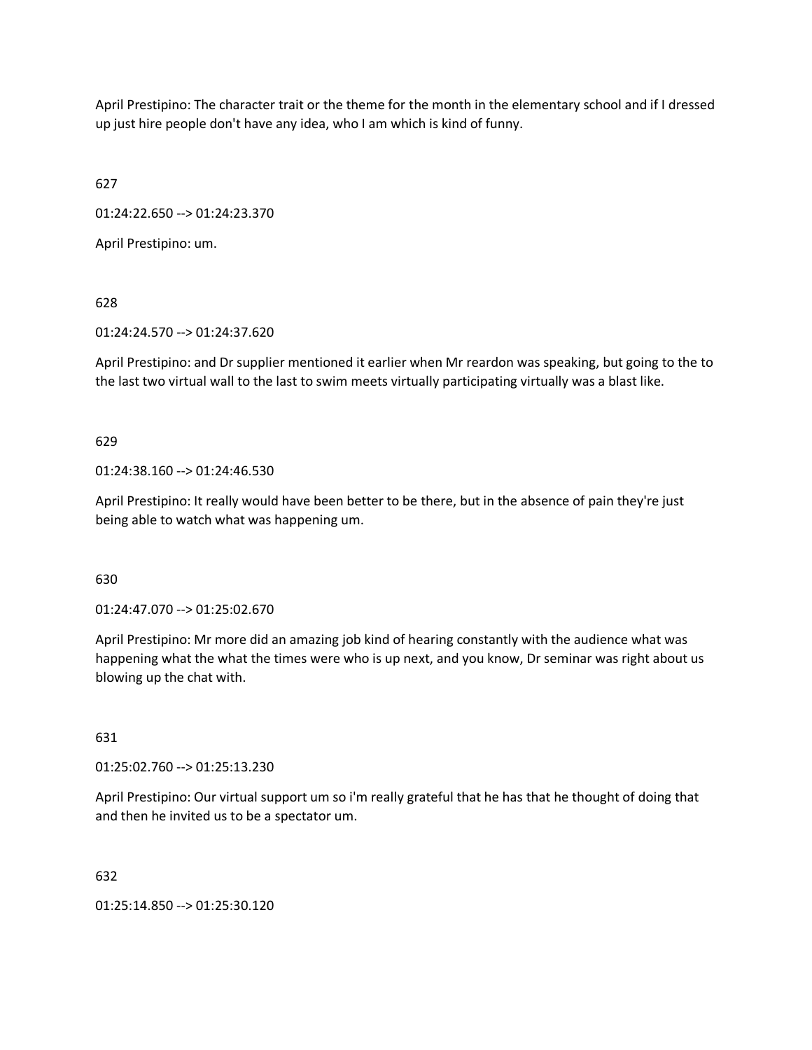April Prestipino: The character trait or the theme for the month in the elementary school and if I dressed up just hire people don't have any idea, who I am which is kind of funny.

627

01:24:22.650 --> 01:24:23.370

April Prestipino: um.

628

01:24:24.570 --> 01:24:37.620

April Prestipino: and Dr supplier mentioned it earlier when Mr reardon was speaking, but going to the to the last two virtual wall to the last to swim meets virtually participating virtually was a blast like.

629

01:24:38.160 --> 01:24:46.530

April Prestipino: It really would have been better to be there, but in the absence of pain they're just being able to watch what was happening um.

630

01:24:47.070 --> 01:25:02.670

April Prestipino: Mr more did an amazing job kind of hearing constantly with the audience what was happening what the what the times were who is up next, and you know, Dr seminar was right about us blowing up the chat with.

631

01:25:02.760 --> 01:25:13.230

April Prestipino: Our virtual support um so i'm really grateful that he has that he thought of doing that and then he invited us to be a spectator um.

632

01:25:14.850 --> 01:25:30.120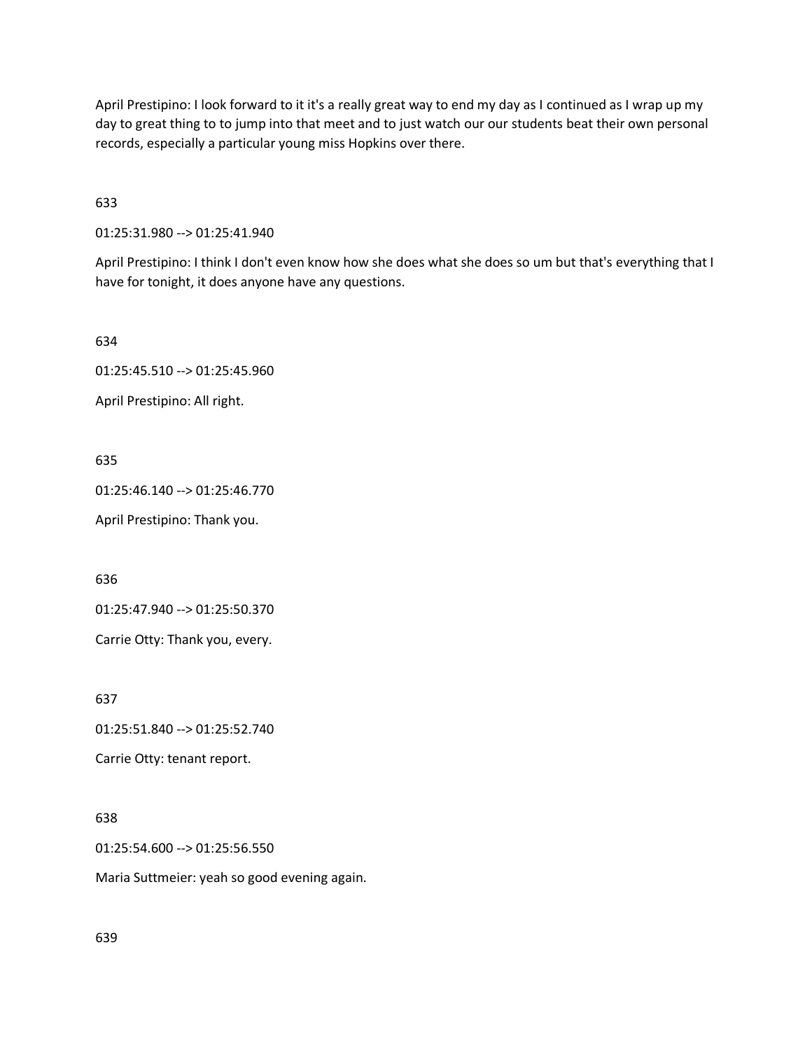April Prestipino: I look forward to it it's a really great way to end my day as I continued as I wrap up my day to great thing to to jump into that meet and to just watch our our students beat their own personal records, especially a particular young miss Hopkins over there.

633

01:25:31.980 --> 01:25:41.940

April Prestipino: I think I don't even know how she does what she does so um but that's everything that I have for tonight, it does anyone have any questions.

634

01:25:45.510 --> 01:25:45.960

April Prestipino: All right.

635

01:25:46.140 --> 01:25:46.770

April Prestipino: Thank you.

636

01:25:47.940 --> 01:25:50.370

Carrie Otty: Thank you, every.

637

01:25:51.840 --> 01:25:52.740

Carrie Otty: tenant report.

638

01:25:54.600 --> 01:25:56.550

Maria Suttmeier: yeah so good evening again.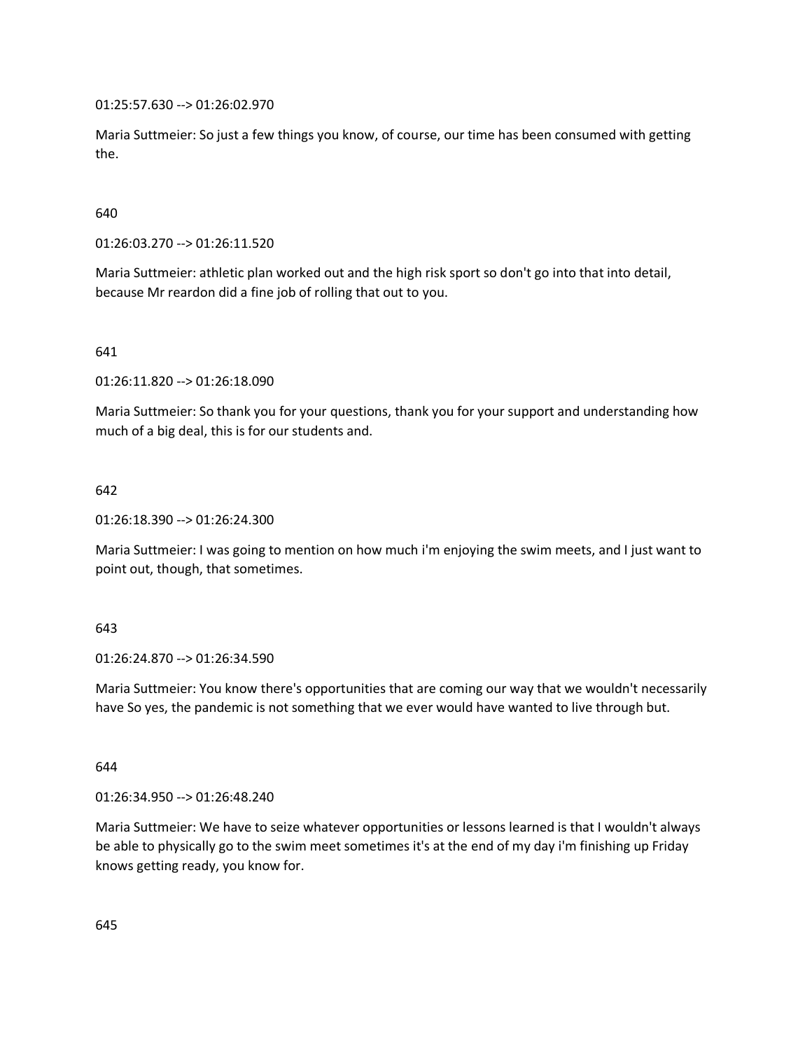01:25:57.630 --> 01:26:02.970

Maria Suttmeier: So just a few things you know, of course, our time has been consumed with getting the.

640

01:26:03.270 --> 01:26:11.520

Maria Suttmeier: athletic plan worked out and the high risk sport so don't go into that into detail, because Mr reardon did a fine job of rolling that out to you.

641

01:26:11.820 --> 01:26:18.090

Maria Suttmeier: So thank you for your questions, thank you for your support and understanding how much of a big deal, this is for our students and.

642

01:26:18.390 --> 01:26:24.300

Maria Suttmeier: I was going to mention on how much i'm enjoying the swim meets, and I just want to point out, though, that sometimes.

643

01:26:24.870 --> 01:26:34.590

Maria Suttmeier: You know there's opportunities that are coming our way that we wouldn't necessarily have So yes, the pandemic is not something that we ever would have wanted to live through but.

644

01:26:34.950 --> 01:26:48.240

Maria Suttmeier: We have to seize whatever opportunities or lessons learned is that I wouldn't always be able to physically go to the swim meet sometimes it's at the end of my day i'm finishing up Friday knows getting ready, you know for.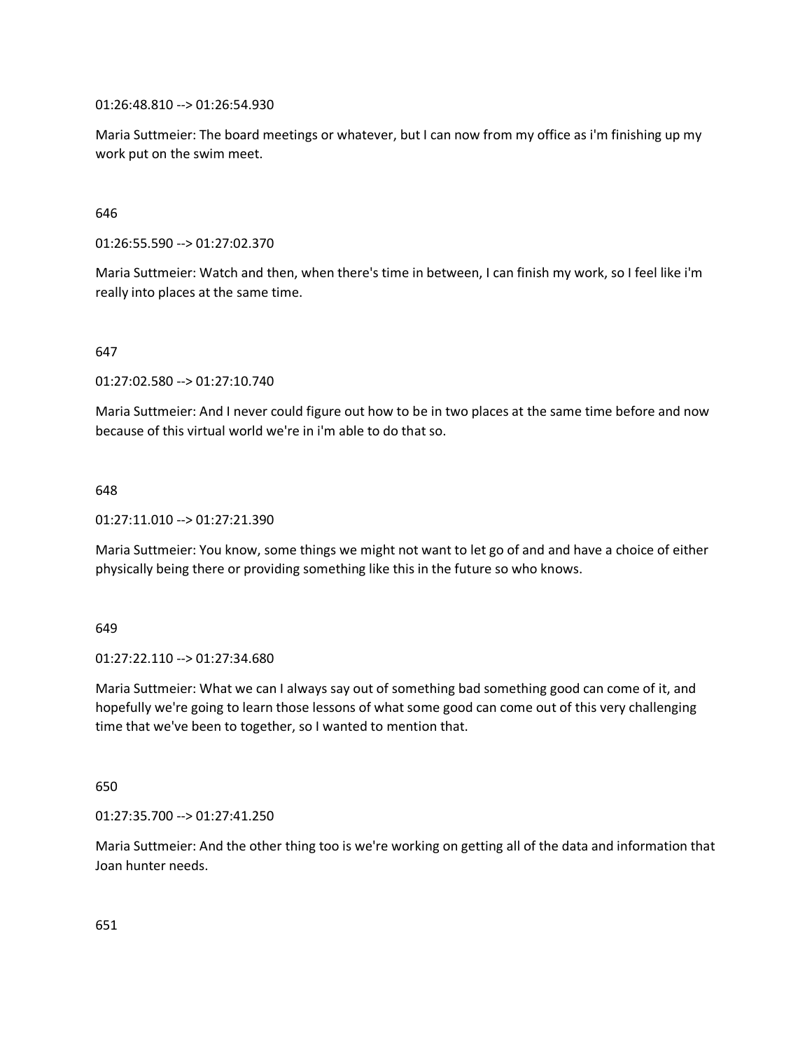01:26:48.810 --> 01:26:54.930

Maria Suttmeier: The board meetings or whatever, but I can now from my office as i'm finishing up my work put on the swim meet.

646

01:26:55.590 --> 01:27:02.370

Maria Suttmeier: Watch and then, when there's time in between, I can finish my work, so I feel like i'm really into places at the same time.

647

01:27:02.580 --> 01:27:10.740

Maria Suttmeier: And I never could figure out how to be in two places at the same time before and now because of this virtual world we're in i'm able to do that so.

648

01:27:11.010 --> 01:27:21.390

Maria Suttmeier: You know, some things we might not want to let go of and and have a choice of either physically being there or providing something like this in the future so who knows.

649

01:27:22.110 --> 01:27:34.680

Maria Suttmeier: What we can I always say out of something bad something good can come of it, and hopefully we're going to learn those lessons of what some good can come out of this very challenging time that we've been to together, so I wanted to mention that.

650

01:27:35.700 --> 01:27:41.250

Maria Suttmeier: And the other thing too is we're working on getting all of the data and information that Joan hunter needs.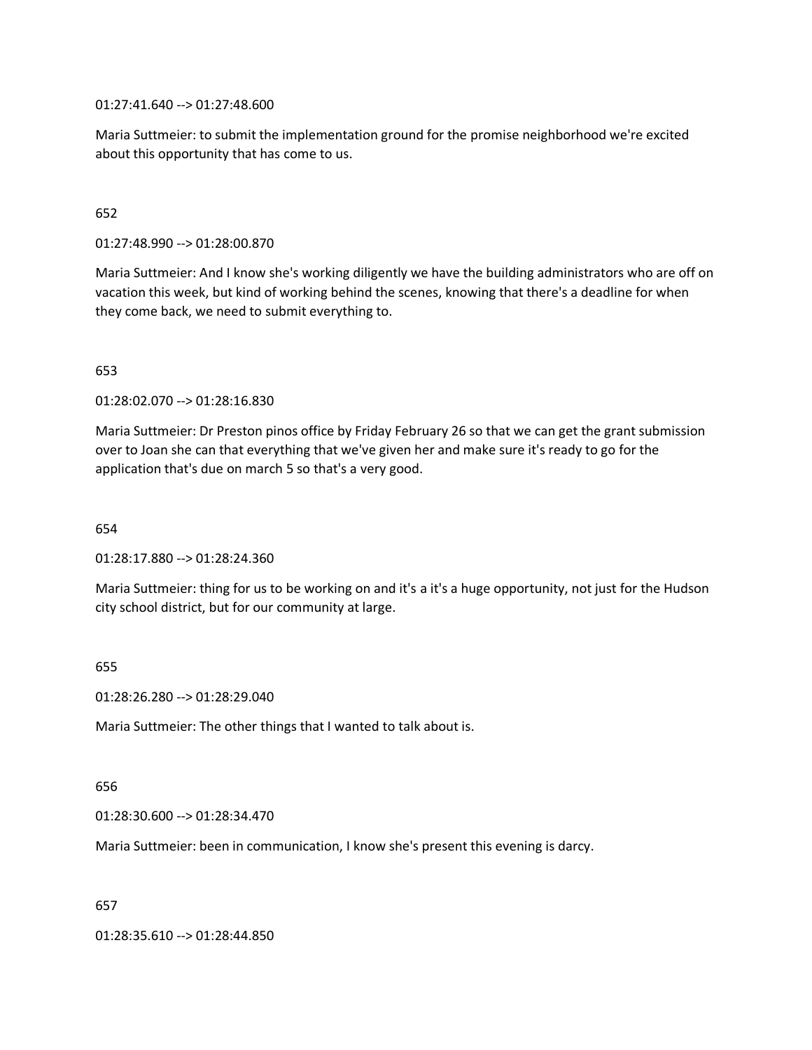01:27:41.640 --> 01:27:48.600

Maria Suttmeier: to submit the implementation ground for the promise neighborhood we're excited about this opportunity that has come to us.

### 652

01:27:48.990 --> 01:28:00.870

Maria Suttmeier: And I know she's working diligently we have the building administrators who are off on vacation this week, but kind of working behind the scenes, knowing that there's a deadline for when they come back, we need to submit everything to.

#### 653

01:28:02.070 --> 01:28:16.830

Maria Suttmeier: Dr Preston pinos office by Friday February 26 so that we can get the grant submission over to Joan she can that everything that we've given her and make sure it's ready to go for the application that's due on march 5 so that's a very good.

654

01:28:17.880 --> 01:28:24.360

Maria Suttmeier: thing for us to be working on and it's a it's a huge opportunity, not just for the Hudson city school district, but for our community at large.

#### 655

01:28:26.280 --> 01:28:29.040

Maria Suttmeier: The other things that I wanted to talk about is.

#### 656

01:28:30.600 --> 01:28:34.470

Maria Suttmeier: been in communication, I know she's present this evening is darcy.

657

01:28:35.610 --> 01:28:44.850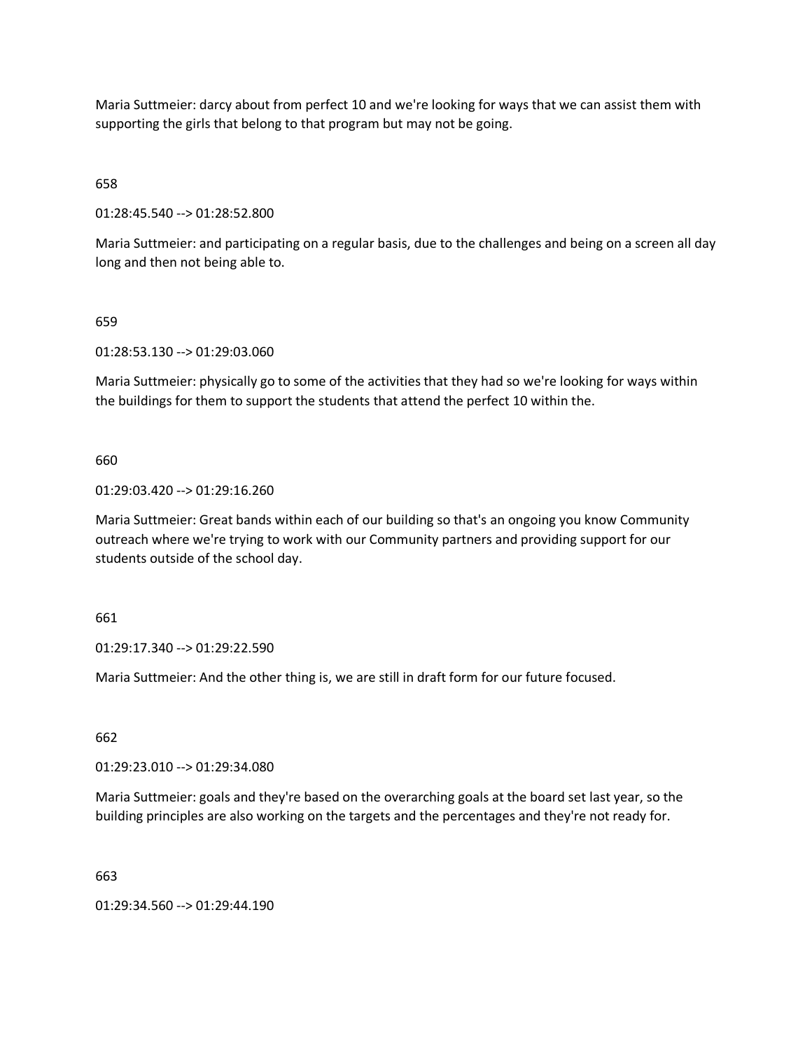Maria Suttmeier: darcy about from perfect 10 and we're looking for ways that we can assist them with supporting the girls that belong to that program but may not be going.

658

01:28:45.540 --> 01:28:52.800

Maria Suttmeier: and participating on a regular basis, due to the challenges and being on a screen all day long and then not being able to.

#### 659

01:28:53.130 --> 01:29:03.060

Maria Suttmeier: physically go to some of the activities that they had so we're looking for ways within the buildings for them to support the students that attend the perfect 10 within the.

660

#### 01:29:03.420 --> 01:29:16.260

Maria Suttmeier: Great bands within each of our building so that's an ongoing you know Community outreach where we're trying to work with our Community partners and providing support for our students outside of the school day.

661

01:29:17.340 --> 01:29:22.590

Maria Suttmeier: And the other thing is, we are still in draft form for our future focused.

662

01:29:23.010 --> 01:29:34.080

Maria Suttmeier: goals and they're based on the overarching goals at the board set last year, so the building principles are also working on the targets and the percentages and they're not ready for.

663

01:29:34.560 --> 01:29:44.190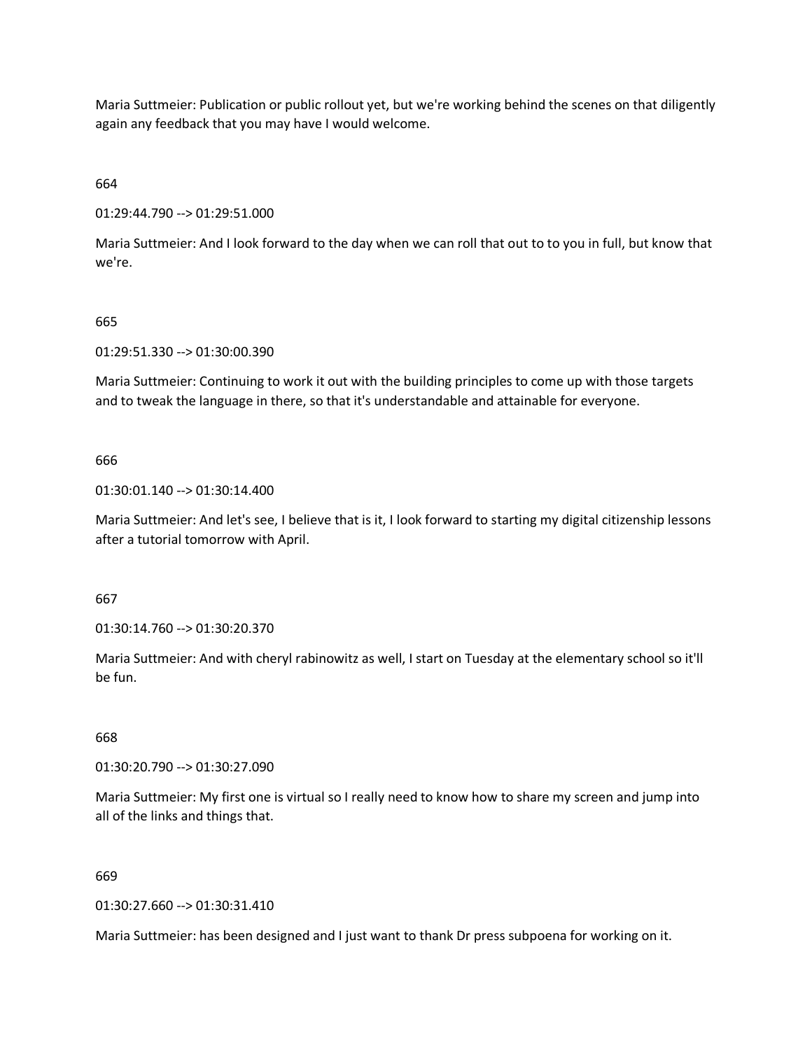Maria Suttmeier: Publication or public rollout yet, but we're working behind the scenes on that diligently again any feedback that you may have I would welcome.

664

01:29:44.790 --> 01:29:51.000

Maria Suttmeier: And I look forward to the day when we can roll that out to to you in full, but know that we're.

#### 665

01:29:51.330 --> 01:30:00.390

Maria Suttmeier: Continuing to work it out with the building principles to come up with those targets and to tweak the language in there, so that it's understandable and attainable for everyone.

#### 666

01:30:01.140 --> 01:30:14.400

Maria Suttmeier: And let's see, I believe that is it, I look forward to starting my digital citizenship lessons after a tutorial tomorrow with April.

667

01:30:14.760 --> 01:30:20.370

Maria Suttmeier: And with cheryl rabinowitz as well, I start on Tuesday at the elementary school so it'll be fun.

# 668

01:30:20.790 --> 01:30:27.090

Maria Suttmeier: My first one is virtual so I really need to know how to share my screen and jump into all of the links and things that.

### 669

01:30:27.660 --> 01:30:31.410

Maria Suttmeier: has been designed and I just want to thank Dr press subpoena for working on it.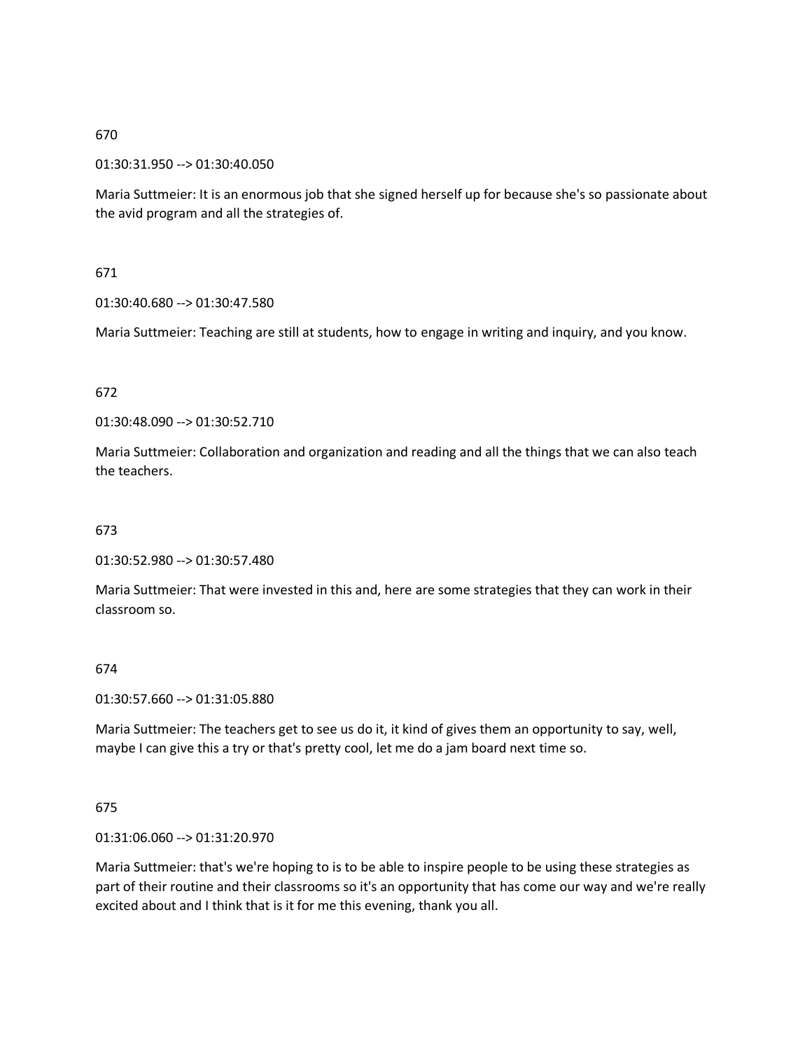### 01:30:31.950 --> 01:30:40.050

Maria Suttmeier: It is an enormous job that she signed herself up for because she's so passionate about the avid program and all the strategies of.

# 671

# 01:30:40.680 --> 01:30:47.580

Maria Suttmeier: Teaching are still at students, how to engage in writing and inquiry, and you know.

### 672

01:30:48.090 --> 01:30:52.710

Maria Suttmeier: Collaboration and organization and reading and all the things that we can also teach the teachers.

# 673

01:30:52.980 --> 01:30:57.480

Maria Suttmeier: That were invested in this and, here are some strategies that they can work in their classroom so.

### 674

01:30:57.660 --> 01:31:05.880

Maria Suttmeier: The teachers get to see us do it, it kind of gives them an opportunity to say, well, maybe I can give this a try or that's pretty cool, let me do a jam board next time so.

### 675

01:31:06.060 --> 01:31:20.970

Maria Suttmeier: that's we're hoping to is to be able to inspire people to be using these strategies as part of their routine and their classrooms so it's an opportunity that has come our way and we're really excited about and I think that is it for me this evening, thank you all.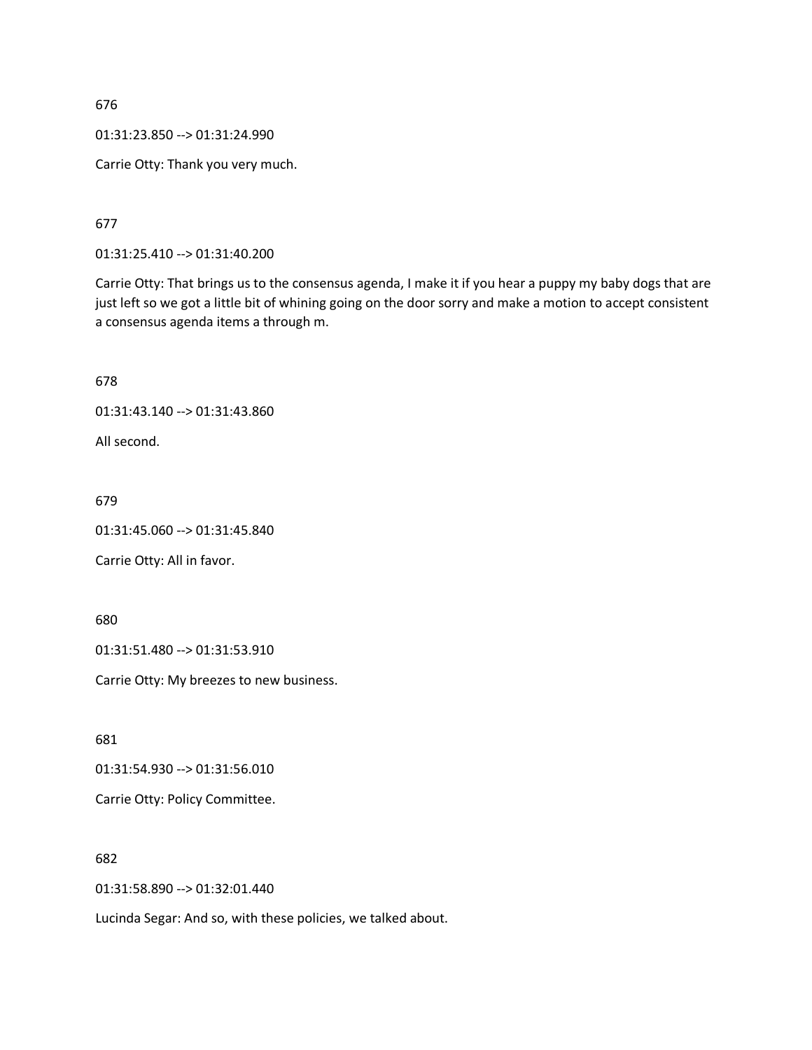01:31:23.850 --> 01:31:24.990

Carrie Otty: Thank you very much.

677

01:31:25.410 --> 01:31:40.200

Carrie Otty: That brings us to the consensus agenda, I make it if you hear a puppy my baby dogs that are just left so we got a little bit of whining going on the door sorry and make a motion to accept consistent a consensus agenda items a through m.

678

01:31:43.140 --> 01:31:43.860

All second.

679

01:31:45.060 --> 01:31:45.840

Carrie Otty: All in favor.

680

01:31:51.480 --> 01:31:53.910

Carrie Otty: My breezes to new business.

681

01:31:54.930 --> 01:31:56.010

Carrie Otty: Policy Committee.

682

01:31:58.890 --> 01:32:01.440

Lucinda Segar: And so, with these policies, we talked about.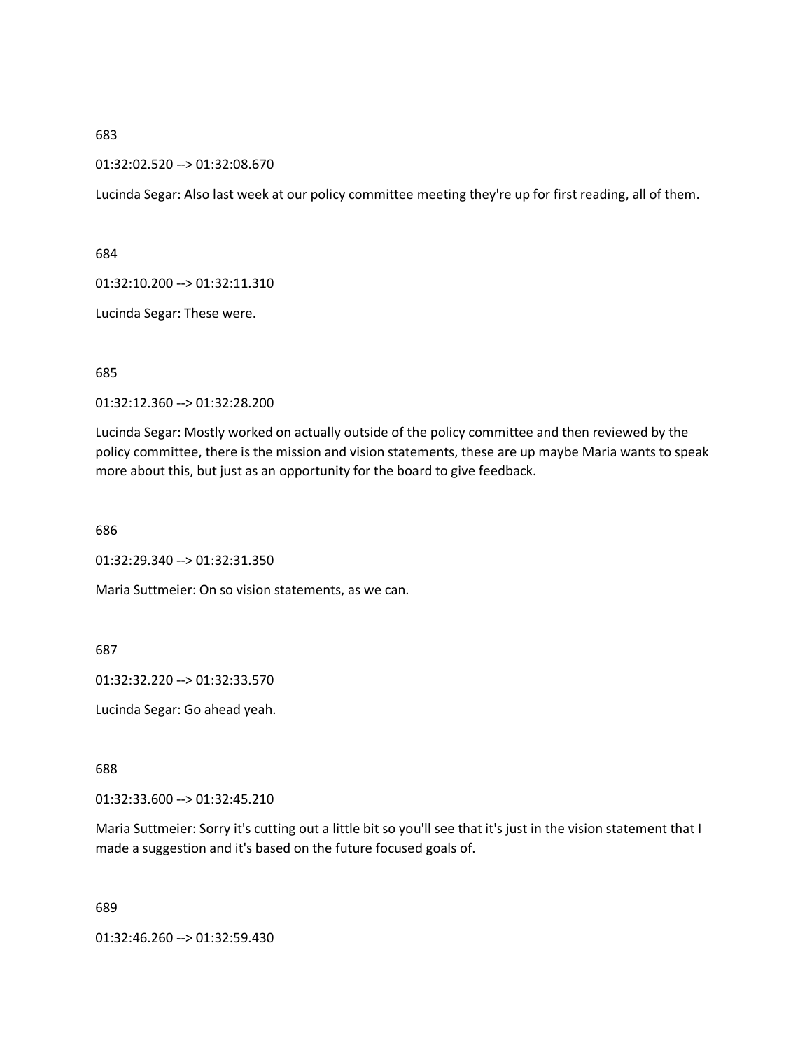#### 01:32:02.520 --> 01:32:08.670

Lucinda Segar: Also last week at our policy committee meeting they're up for first reading, all of them.

684

01:32:10.200 --> 01:32:11.310

Lucinda Segar: These were.

685

01:32:12.360 --> 01:32:28.200

Lucinda Segar: Mostly worked on actually outside of the policy committee and then reviewed by the policy committee, there is the mission and vision statements, these are up maybe Maria wants to speak more about this, but just as an opportunity for the board to give feedback.

686

01:32:29.340 --> 01:32:31.350

Maria Suttmeier: On so vision statements, as we can.

687

01:32:32.220 --> 01:32:33.570

Lucinda Segar: Go ahead yeah.

688

01:32:33.600 --> 01:32:45.210

Maria Suttmeier: Sorry it's cutting out a little bit so you'll see that it's just in the vision statement that I made a suggestion and it's based on the future focused goals of.

689

01:32:46.260 --> 01:32:59.430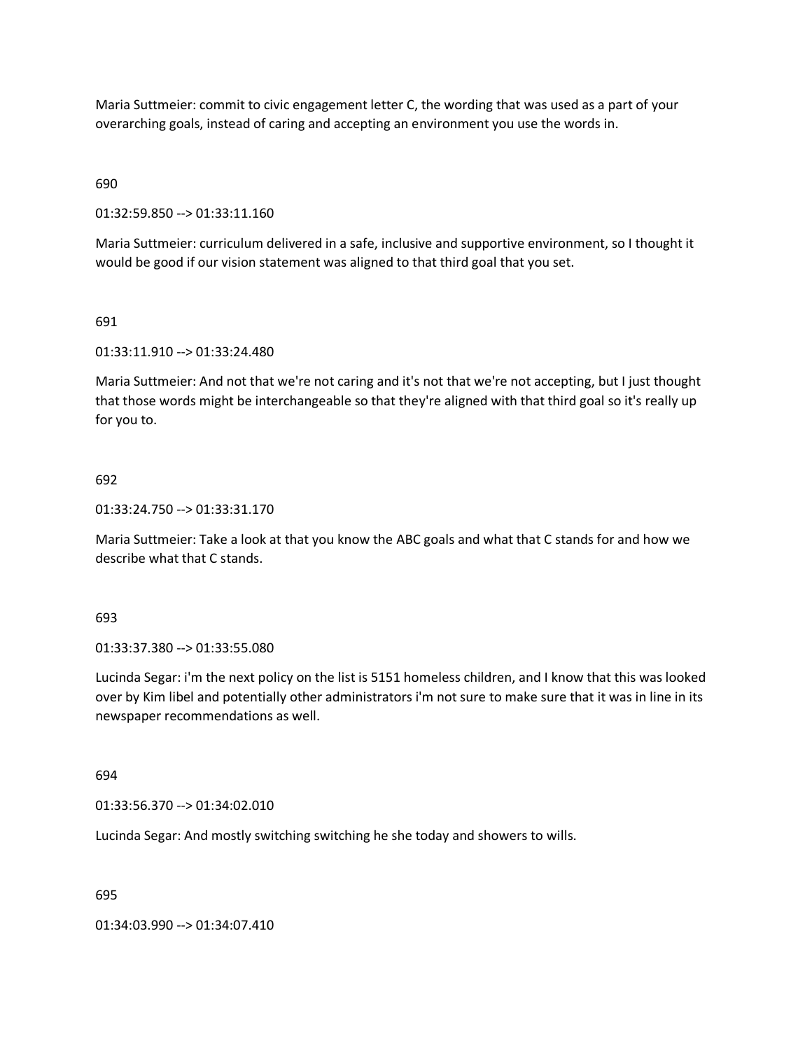Maria Suttmeier: commit to civic engagement letter C, the wording that was used as a part of your overarching goals, instead of caring and accepting an environment you use the words in.

690

01:32:59.850 --> 01:33:11.160

Maria Suttmeier: curriculum delivered in a safe, inclusive and supportive environment, so I thought it would be good if our vision statement was aligned to that third goal that you set.

691

01:33:11.910 --> 01:33:24.480

Maria Suttmeier: And not that we're not caring and it's not that we're not accepting, but I just thought that those words might be interchangeable so that they're aligned with that third goal so it's really up for you to.

#### 692

01:33:24.750 --> 01:33:31.170

Maria Suttmeier: Take a look at that you know the ABC goals and what that C stands for and how we describe what that C stands.

693

01:33:37.380 --> 01:33:55.080

Lucinda Segar: i'm the next policy on the list is 5151 homeless children, and I know that this was looked over by Kim libel and potentially other administrators i'm not sure to make sure that it was in line in its newspaper recommendations as well.

694

01:33:56.370 --> 01:34:02.010

Lucinda Segar: And mostly switching switching he she today and showers to wills.

695

01:34:03.990 --> 01:34:07.410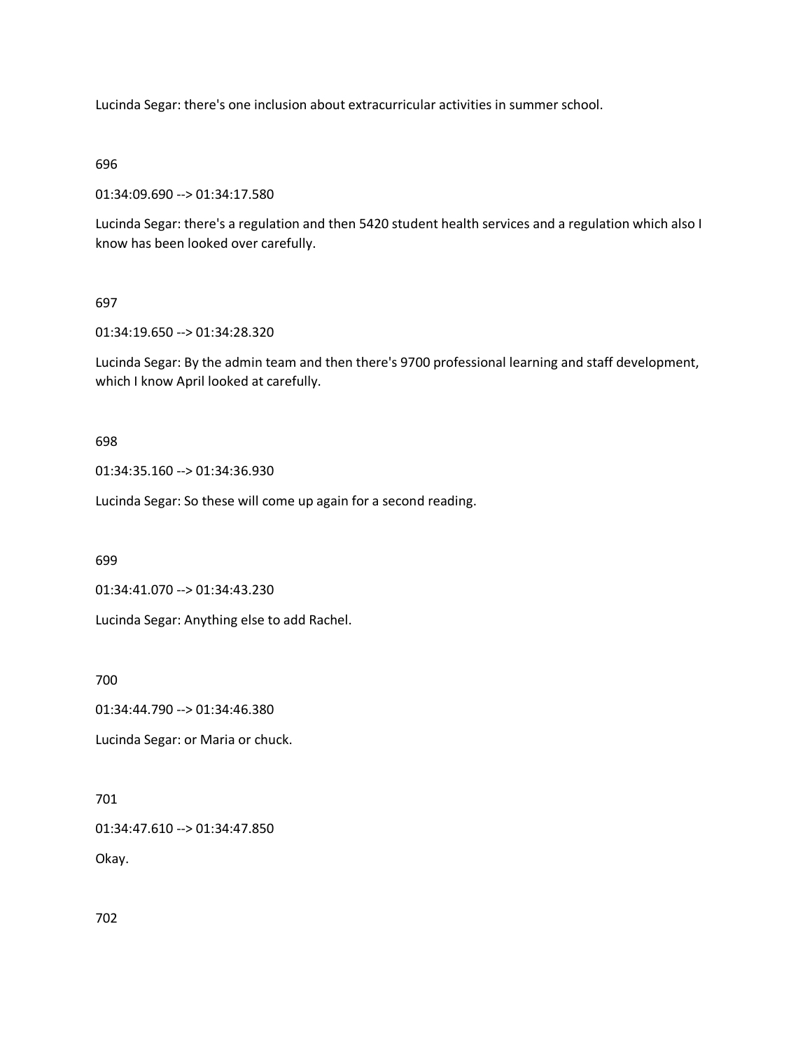Lucinda Segar: there's one inclusion about extracurricular activities in summer school.

696

01:34:09.690 --> 01:34:17.580

Lucinda Segar: there's a regulation and then 5420 student health services and a regulation which also I know has been looked over carefully.

697

01:34:19.650 --> 01:34:28.320

Lucinda Segar: By the admin team and then there's 9700 professional learning and staff development, which I know April looked at carefully.

698

01:34:35.160 --> 01:34:36.930

Lucinda Segar: So these will come up again for a second reading.

699

01:34:41.070 --> 01:34:43.230

Lucinda Segar: Anything else to add Rachel.

700

01:34:44.790 --> 01:34:46.380

Lucinda Segar: or Maria or chuck.

701

01:34:47.610 --> 01:34:47.850

Okay.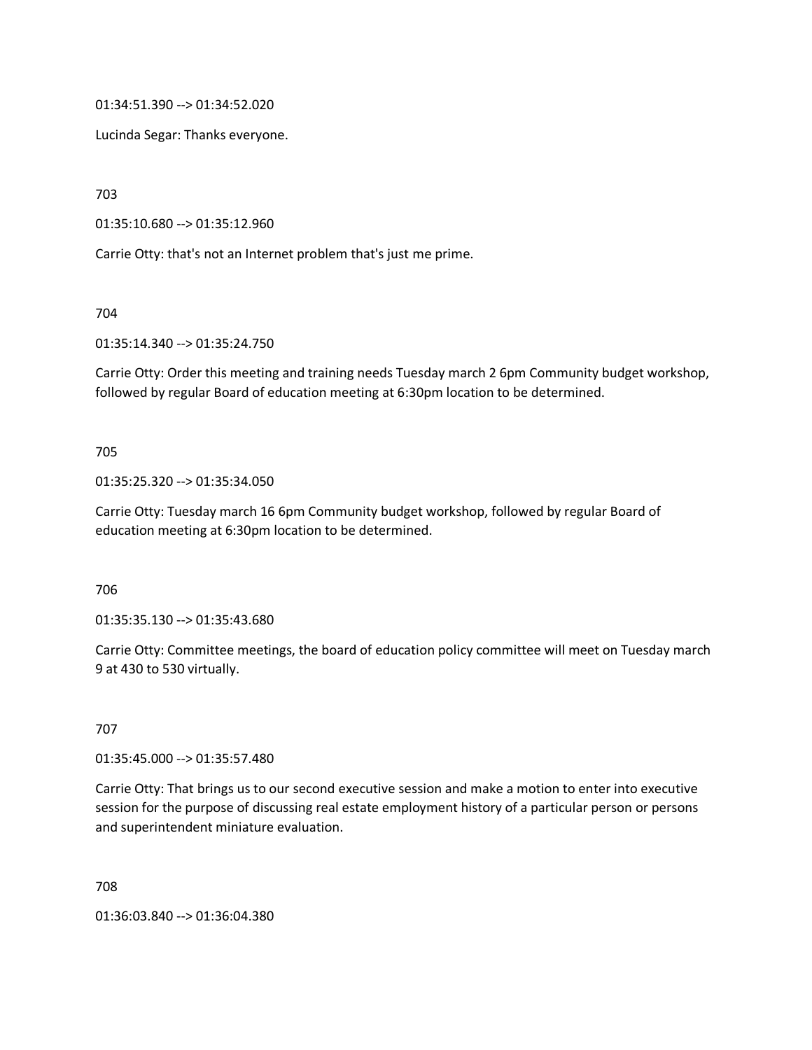01:34:51.390 --> 01:34:52.020

Lucinda Segar: Thanks everyone.

703

01:35:10.680 --> 01:35:12.960

Carrie Otty: that's not an Internet problem that's just me prime.

704

01:35:14.340 --> 01:35:24.750

Carrie Otty: Order this meeting and training needs Tuesday march 2 6pm Community budget workshop, followed by regular Board of education meeting at 6:30pm location to be determined.

#### 705

01:35:25.320 --> 01:35:34.050

Carrie Otty: Tuesday march 16 6pm Community budget workshop, followed by regular Board of education meeting at 6:30pm location to be determined.

706

01:35:35.130 --> 01:35:43.680

Carrie Otty: Committee meetings, the board of education policy committee will meet on Tuesday march 9 at 430 to 530 virtually.

707

01:35:45.000 --> 01:35:57.480

Carrie Otty: That brings us to our second executive session and make a motion to enter into executive session for the purpose of discussing real estate employment history of a particular person or persons and superintendent miniature evaluation.

708

01:36:03.840 --> 01:36:04.380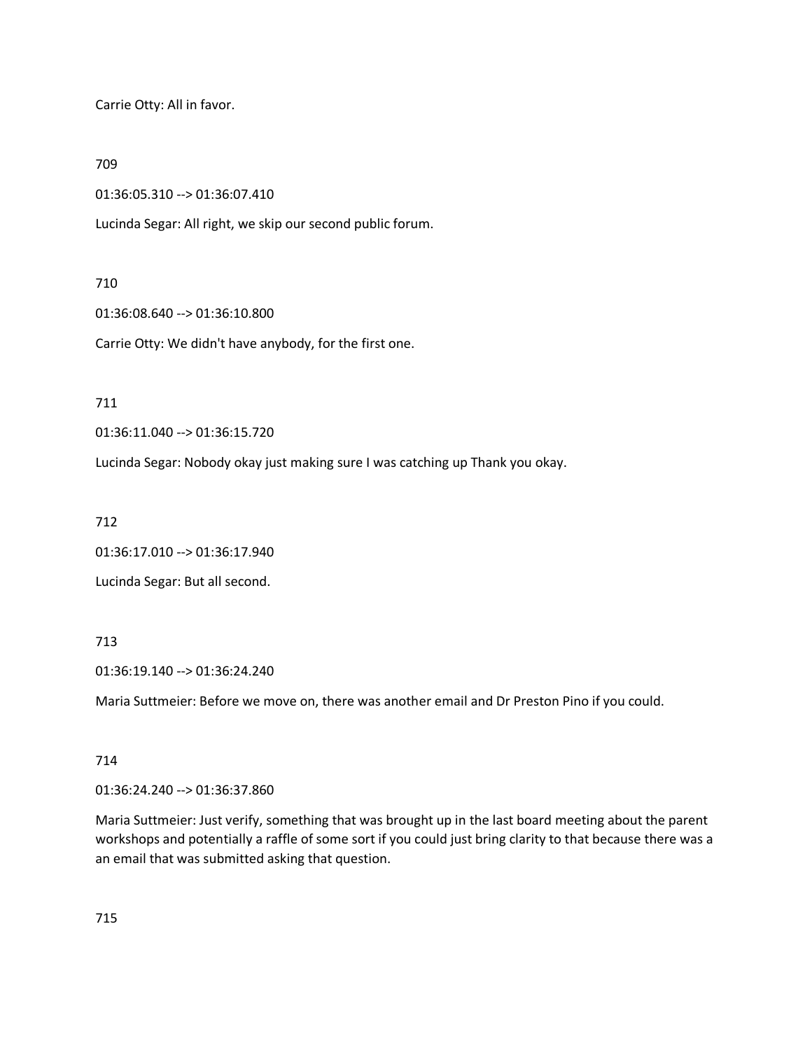Carrie Otty: All in favor.

709

01:36:05.310 --> 01:36:07.410

Lucinda Segar: All right, we skip our second public forum.

# 710

01:36:08.640 --> 01:36:10.800

Carrie Otty: We didn't have anybody, for the first one.

## 711

01:36:11.040 --> 01:36:15.720

Lucinda Segar: Nobody okay just making sure I was catching up Thank you okay.

712

01:36:17.010 --> 01:36:17.940

Lucinda Segar: But all second.

# 713

01:36:19.140 --> 01:36:24.240

Maria Suttmeier: Before we move on, there was another email and Dr Preston Pino if you could.

## 714

01:36:24.240 --> 01:36:37.860

Maria Suttmeier: Just verify, something that was brought up in the last board meeting about the parent workshops and potentially a raffle of some sort if you could just bring clarity to that because there was a an email that was submitted asking that question.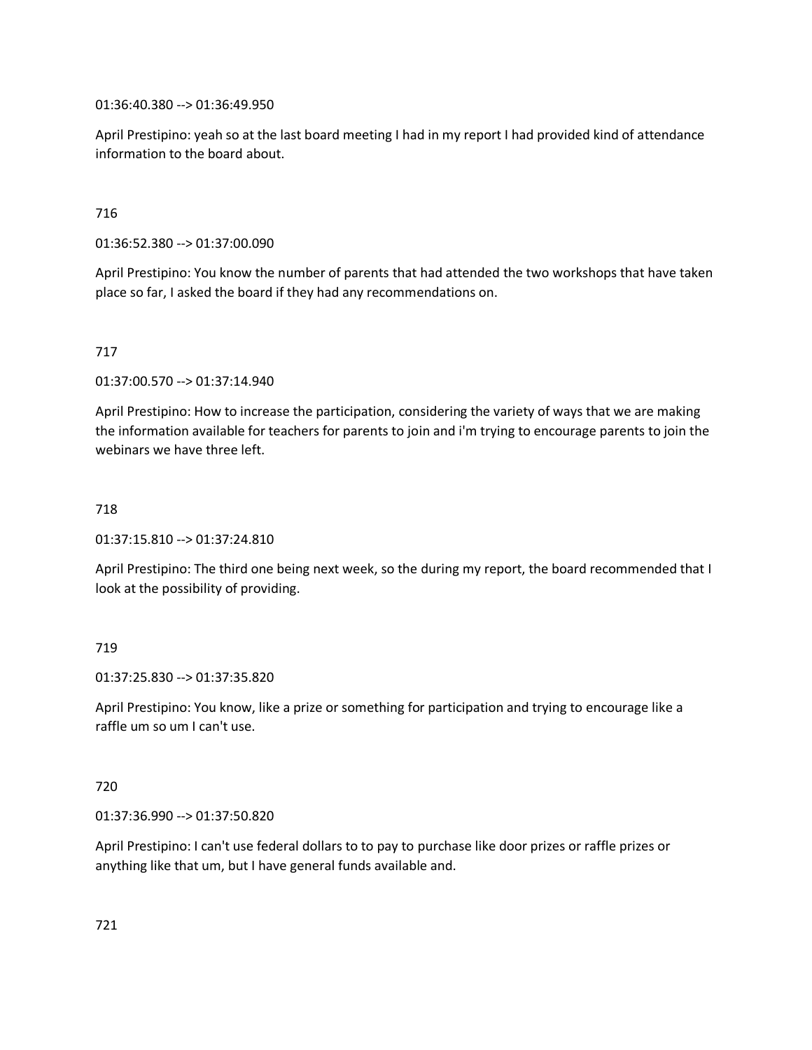01:36:40.380 --> 01:36:49.950

April Prestipino: yeah so at the last board meeting I had in my report I had provided kind of attendance information to the board about.

### 716

01:36:52.380 --> 01:37:00.090

April Prestipino: You know the number of parents that had attended the two workshops that have taken place so far, I asked the board if they had any recommendations on.

#### 717

01:37:00.570 --> 01:37:14.940

April Prestipino: How to increase the participation, considering the variety of ways that we are making the information available for teachers for parents to join and i'm trying to encourage parents to join the webinars we have three left.

#### 718

01:37:15.810 --> 01:37:24.810

April Prestipino: The third one being next week, so the during my report, the board recommended that I look at the possibility of providing.

#### 719

01:37:25.830 --> 01:37:35.820

April Prestipino: You know, like a prize or something for participation and trying to encourage like a raffle um so um I can't use.

#### 720

01:37:36.990 --> 01:37:50.820

April Prestipino: I can't use federal dollars to to pay to purchase like door prizes or raffle prizes or anything like that um, but I have general funds available and.

721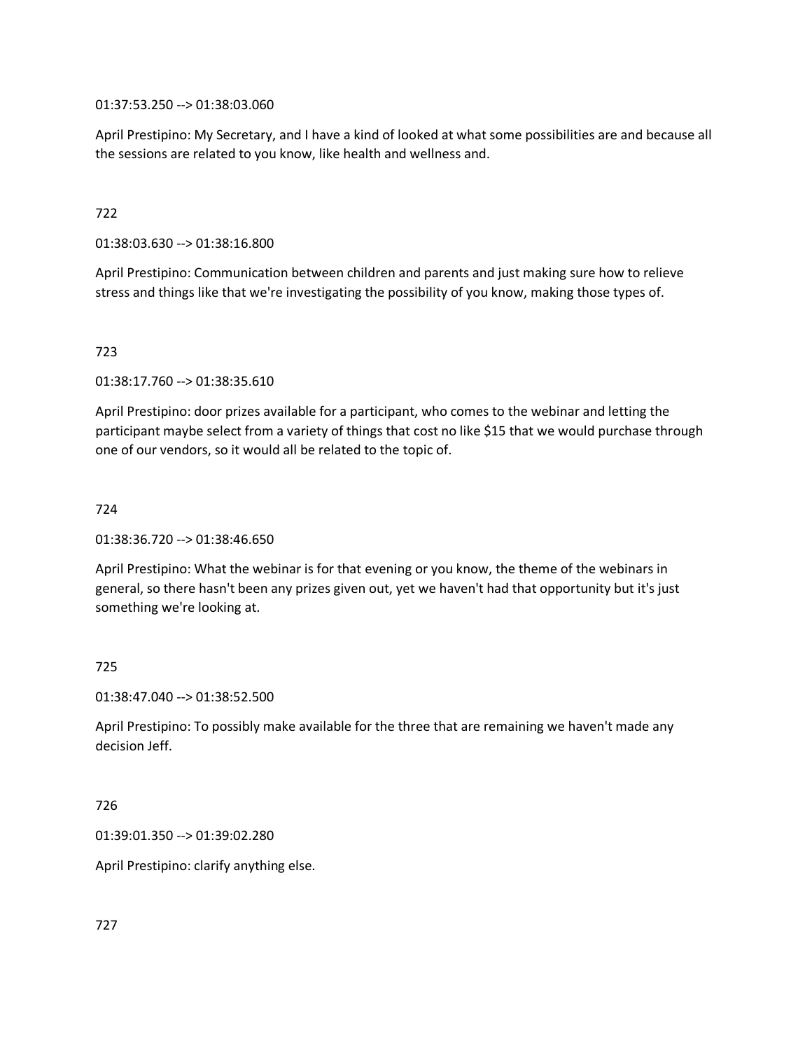01:37:53.250 --> 01:38:03.060

April Prestipino: My Secretary, and I have a kind of looked at what some possibilities are and because all the sessions are related to you know, like health and wellness and.

## 722

01:38:03.630 --> 01:38:16.800

April Prestipino: Communication between children and parents and just making sure how to relieve stress and things like that we're investigating the possibility of you know, making those types of.

# 723

01:38:17.760 --> 01:38:35.610

April Prestipino: door prizes available for a participant, who comes to the webinar and letting the participant maybe select from a variety of things that cost no like \$15 that we would purchase through one of our vendors, so it would all be related to the topic of.

## 724

01:38:36.720 --> 01:38:46.650

April Prestipino: What the webinar is for that evening or you know, the theme of the webinars in general, so there hasn't been any prizes given out, yet we haven't had that opportunity but it's just something we're looking at.

## 725

01:38:47.040 --> 01:38:52.500

April Prestipino: To possibly make available for the three that are remaining we haven't made any decision Jeff.

## 726

01:39:01.350 --> 01:39:02.280

April Prestipino: clarify anything else.

727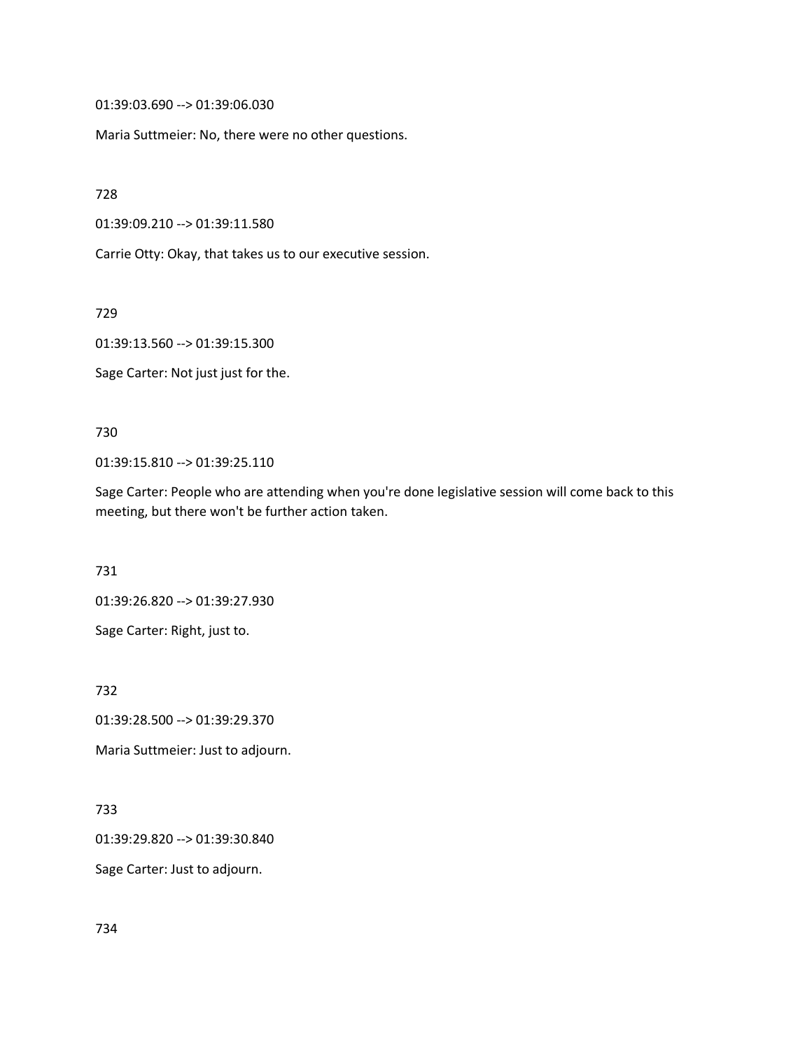01:39:03.690 --> 01:39:06.030

Maria Suttmeier: No, there were no other questions.

728

01:39:09.210 --> 01:39:11.580

Carrie Otty: Okay, that takes us to our executive session.

729

01:39:13.560 --> 01:39:15.300

Sage Carter: Not just just for the.

730

01:39:15.810 --> 01:39:25.110

Sage Carter: People who are attending when you're done legislative session will come back to this meeting, but there won't be further action taken.

731

01:39:26.820 --> 01:39:27.930

Sage Carter: Right, just to.

732

01:39:28.500 --> 01:39:29.370

Maria Suttmeier: Just to adjourn.

733

01:39:29.820 --> 01:39:30.840

Sage Carter: Just to adjourn.

734